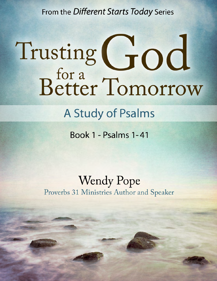From the Different Starts Today Series

# Trusting God

# **A Study of Psalms**

**Book 1 - Psalms 1-41** 

# **Wendy Pope** Proverbs 31 Ministries Author and Speaker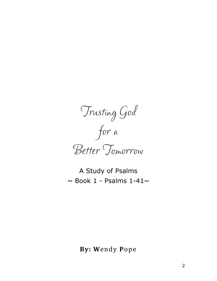Trusting God

for a Better Tomorrow

A Study of Psalms  $\sim$  Book 1 - Psalms 1-41 $\sim$ 

**By:\$W**endy%**P**ope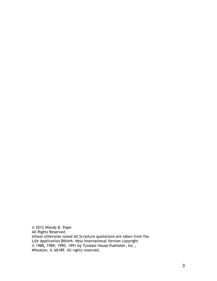© 2012 Wendy B. Pope All Rights Reserved Unless otherwise noted all Scripture quotations are taken from the *Life Application Bible*®, New International Version copyright © 1988, 1989, 1990, 1991 by Tyndale House Publisher, Inc., Wheaton, IL 60189. All rights reserved.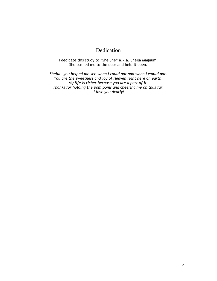# Dedication

I dedicate this study to "She She" a.k.a. Sheila Magnum. She pushed me to the door and held it open.

*Sheila~ you helped me see when I could not and when I would not. You are the sweetness and joy of Heaven right here on earth. My life is richer because you are a part of it. Thanks for holding the pom poms and cheering me on thus far. I love you dearly!*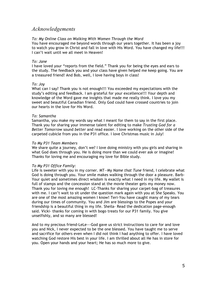# *Acknowledgements*

### *To: My Online Class on Walking With Women Through the Word*

You have encouraged me beyond words through our years together. It has been a joy to watch you grow in Christ and fall in love with His Word. You have changed my life!!! I can't wait until we all meet in Heaven!

### *To: Jane*

I have loved your "reports from the field." Thank you for being the eyes and ears to the study. The feedback you and your class have given helped me keep going. You are a treasured friend! And Bob, well, I love having boys in class!

### *To: Joy*

What can I say? Thank you is not enough!!! You exceeded my expectations with the study's editing and feedback. I am grateful for your excellence!!! Your depth and knowledge of the Word gave me insights that made me really think. I love you my sweet and beautiful Canadian friend. Only God could have crossed countries to join our hearts in the love for His Word.

### *To: Samantha*

Samantha, you make my words say what I meant for them to say in the first place. Thank you for sharing your immense talent for editing to make *Trusting God for a Better Tomorrow* sound *better* and read easier. I love working on the other side of the carpeted cubicle from you in the P31 office. I love Christmas music in July!

### *To My P31 Team Members*

We share quite a journey, don't we? I love doing ministry with you girls and sharing in what God does through you. He is doing more than we could ever ask or imagine! Thanks for loving me and encouraging my love for Bible study.

### *To My P31 Office Family:*

Life is sweeter with you in my corner. MT—My *Name that Tune* friend, I celebrate what God is doing through you. Your smile makes walking through the door a pleasure. Barb-Your quiet and sometimes direct wisdom is exactly what I need in my life. My wallet is full of stamps and the concession stand at the movie theater gets my money now. Thank you for loving me enough! LC-Thanks for sharing your carpet-bag of treasures with me. I can't wait to sit under the question mark again with you at She Speaks. You are one of the most amazing women I know! Teri-You have caught many of my tears during our times of community. You and Jim are blessings to the Popes and your friendship is a beautiful thing in my life. Sheila- Read the dedication page-enough said. Vicki- thanks for coming in with bogo treats for our P31 family. You give unselfishly, and so many are blessed!

And to my precious friend-LeLe---God gave us strict instructions to care for and love you and Nick, I never expected to be the one blessed. You have taught me to serve and sacrifice for others even when I did not think I had anything to offer. I have loved watching God restore His best in your life. I am thrilled about all He has in store for you. Open your hands and your heart; He has so much more to give.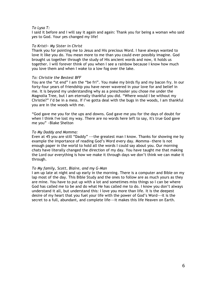### *To Lysa T:*

I said it before and I will say it again and again: Thank you for being a woman who said *yes* to God. Your yes changed my life!

### *To Kristi~ My Sister in Christ*

Thank you for pointing me to Jesus and His precious Word. I have always wanted to love it like you do. You mean more to me than you could ever possibly imagine. God brought us together through the study of His ancient words and now, it holds us together. I will forever think of you when I see a rainbow because I know how much you love them and when I wake to a low fog over the lake.

### *To: Christie the Bestest BFF*

You are the "st end" I am the "be fri". You make my birds fly and my bacon fry. In our forty-four years of friendship you have never wavered in your love for and belief in me. It is beyond my understanding why as a preschooler you chose me under the Magnolia Tree, but I am eternally thankful you did. "Where would I be without my Christie?" I'd be in a mess. If I've gotta deal with the bugs in the woods, I am thankful you are in the woods with me.

"God gave me you for the ups and downs. God gave me you for the days of doubt for when I think I've lost my way. There are no words here left to say, it's true God gave me you" ~Blake Shelton

### *To My Daddy and Momma:*

Even at 45 you are still "Daddy" ---the greatest man I know. Thanks for showing me by example the importance of reading God's Word every day. Momma—there is not enough paper in the world to hold all the words I could say about you. Our morning chats have literally changed the direction of my day. You have taught me that making the Lord our everything is how we make it through days we don't think we can make it through.

### *To My family, Scott, Blaire, and my G-Man*

I am up late at night and up early in the morning. There is a computer and Bible on my lap most of the day. This Bible Study and the ones to follow are as much yours as they are mine. You have to put up with a lot and sometimes miss things so I can be where God has called me to be and do what He has called me to do. I know you don't always understand it all, but understand this: I love you more than life. It is the deepest desire of my heart that you fuel your life with the power of God's Word---it is the secret to a full, abundant, and complete life---it makes this life Heaven on Earth.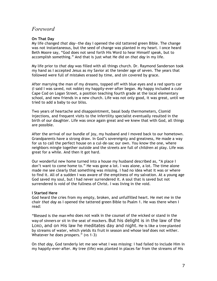# *Foreword*

### **On That Day**

My life changed *that day*—the day I opened the old tattered green Bible. The change was not instantaneous, but the seed of change was planted in my heart. I once heard Beth Moore say, "God does not send forth His Word to hear Himself speak, but to accomplish something." And that is just what He did on *that day* in my life.

My life prior to *that day* was filled with all things church. Dr. Raymond Sanderson took my hand as I accepted Jesus as my Savior at the tender age of seven. The years that followed were full of mistakes erased by time, and sin covered by grace.

After marrying the man of my dreams, topped off with blue eyes and a red sports car (I said I was saved, not noble) my happily-ever-after began. My happy included a cute Cape Cod on Logan Street, a position teaching fourth grade at the local elementary school, and new friends in a new church. Life was not only good, it was great, until we tried to add a baby to our bliss.

Two years of heartache and disappointment, basal body thermometers, Clomid injections, and frequent visits to the infertility specialist eventually resulted in the birth of our daughter. Life was once again great and we knew that with God, all things are possible.

After the arrival of our bundle of joy, my husband and I moved back to our hometown. Grandparents have a strong draw. In God's sovereignty and greatness, He made a way for us to call the perfect house on a cul-de-sac our own. You know the one, where neighbors mingle together outside and the streets are full of children at play. Life was great for a while. And then it got hard.

Our wonderful new home turned into a house my husband described as, "A place I don't want to come home to." He was gone a lot. I was alone, a lot. The time alone made me see clearly that something was missing. I had no idea what it was or where to find it. All of a sudden I was aware of the emptiness of my salvation. At a young age God saved my soul, but I had never surrendered it. A soul that is saved but not surrendered is void of the fullness of Christ. I was living in the void.

### **I Started Here**

God heard the cries from my empty, broken, and unfulfilled heart. He met me in the chair *that day* as I opened the tattered green Bible to Psalm 1. He was there when I read:

"Blessed is the man who does not walk in the counsel of the wicked or stand in the way of sinners or sit in the seat of mockers. But his delight is in the law of the LORD, and on His law he meditates day and night. He is like a tree planted by streams of water, which yields its fruit in season and whose leaf does not wither. Whatever he does prospers." (vs 1-3)

On *that day*, God tenderly let me see what I was missing: I had failed to include Him in my happily-ever-after. My tree (life) was planted in places far from the streams of His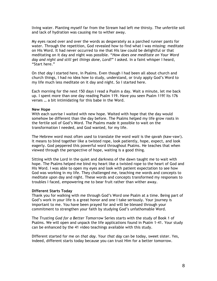living water. Planting myself far from the Stream had left me thirsty. The unfertile soil and lack of hydration was causing me to wither away.

My eyes raced over and over the words as desperately as a parched runner pants for water. Through the repetition, God revealed how to find what I was missing: meditate on His Word. It had never occurred to me that His law could be delightful or that meditating on it day and night was possible. "*How does one meditate on Your Word day and night and still get things done, Lord*?" I asked. In a faint whisper I heard, "Start here."

On *that day* I started here, in Psalms. Even though I had been all about church and church things, I had no idea how to study, understand, or truly apply God's Word to my life much less meditate on it day and night. So I started here.

Each morning for the next 150 days I read a Psalm a day. Wait a minute, let me back up. I spent more than one day reading Psalm 119. Have you seen Psalm 119? Its 176 verses … a bit intimidating for this babe in the Word.

### **New Hope**

With each sunrise I waited with new hope. Waited with hope that the day would somehow be different than the day before. The Psalms helped my life grow roots in the fertile soil of God's Word. The Psalms made it possible to wait on the transformation I needed, and God wanted, for my life.

The Hebrew word most often used to translate the word *wait* is the qavah (kaw-vaw'). It means to bind together like a twisted rope, look patiently, hope, expect, and look eagerly. God peppered this powerful word throughout Psalms. He teaches that when viewed through the perspective of hope, waiting is a good thing.

Sitting with the Lord in the quiet and darkness of the dawn taught me to wait with hope. The Psalms helped me bind my heart like a twisted rope to the heart of God and His Word. I was able to open my eyes and look with patient expectation to see how God was working in my life. They challenged me, teaching me words and concepts to meditate upon day and night. These words and concepts transformed my responses to troubles I faced, empowering me to bear fruit rather than wither away.

### **Different Starts Today**

Thank you for walking with me through God's Word one Psalm at a time. Being part of God's work in your life is a great honor and one I take seriously. Your journey is important to me. You have been prayed for and will be blessed through your commitment to strengthen your faith by studying God's unfathomable Word.

The *Trusting God for a Better Tomorrow* Series starts with the study of Book 1 of Psalms. We will open and unpack the life applications found in Psalm 1-41. Your study can be enhanced by the 41 video teachings available with this study.

Different started for me on *that day*. Your *that day* can be today, sweet sister. Yes, indeed, different starts today because you can trust Him for a better tomorrow.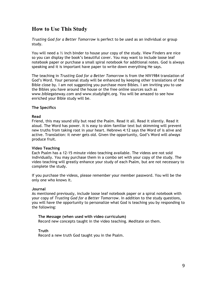# **How to Use This Study**

*Trusting God for a Better Tomorrow* is perfect to be used as an individual or group study.

You will need a  $\frac{1}{2}$  inch binder to house your copy of the study. View Finders are nice so you can display the book's beautiful cover. You may want to include loose leaf notebook paper or purchase a small spiral notebook for additional notes. God is always speaking and it is important have paper to write down everything He says.

The teaching in *Trusting God for a Better Tomorrow* is from the NIV1984 translation of God's Word. Your personal study will be enhanced by keeping other translations of the Bible close by. I am not suggesting you purchase more Bibles. I am inviting you to use the Bibles you have around the house or the free online sources such as www.biblegateway.com and www.studylight.org. You will be amazed to see how enriched your Bible study will be.

### **The Specifics**

### **Read**

Friend, this may sound silly but read the Psalm. Read it all. Read it silently. Read it aloud. The Word has power. It is easy to skim familiar text but skimming will prevent new truths from taking root in your heart. Hebrews 4:12 says the Word of is alive and active. Translation: it *never* gets old. Given the opportunity, God's Word will *always* produce fruit.

### **Video Teaching**

Each Psalm has a 12-15 minute video teaching available. The videos are not sold individually. You may purchase them in a combo set with your copy of the study. The video teaching will greatly enhance your study of each Psalm, but are not necessary to complete the study.

If you purchase the videos, please remember your member password. You will be the only one who knows it.

### **Journal**

As mentioned previously, include loose leaf notebook paper or a spiral notebook with your copy of *Trusting God for a Better Tomorrow*. In addition to the study questions, you will have the opportunity to personalize what God is teaching you by responding to the following:

### **The Message (when used with video curriculum)**

Record new concepts taught in the video teaching. Meditate on them.

### **Truth**

Record a new truth God taught you in the Psalm.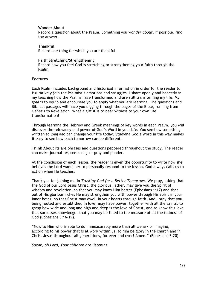### **Wonder About**

Record a question about the Psalm. Something you *wonder about*. If possible, find the answer.

### **Thankful**

Record one thing for which you are thankful.

### **Faith Stretching/Strengthening**

Record how you feel God is stretching or strengthening your faith through the Psalm.

### **Features**

Each Psalm includes background and historical information in order for the reader to figuratively join the Psalmist's emotions and struggles. I share openly and honestly in my teaching how the Psalms have transformed and are still transforming my life. My goal is to equip and encourage you to apply what you are learning. The questions and Biblical passages will have you digging through the pages of the Bible, running from Genesis to Revelation. What a gift it is to bear witness to your own life transformation!

Through learning the Hebrew and Greek meanings of key words in each Psalm, you will discover the relevancy and power of God's Word in your life. You see how something written so long ago can change your life today. Studying God's Word in this way makes it easy to see how each tomorrow can be different.

**Think About Its** are phrases and questions peppered throughout the study. The reader can make journal responses or just pray and ponder.

At the conclusion of each lesson, the reader is given the opportunity to write how she believes the Lord wants her to personally respond to the lesson. God always calls us to action when He teaches.

Thank you for joining me in *Trusting God for a Better Tomorrow*. We pray, asking that the God of our Lord Jesus Christ, the glorious Father, may give you the Spirit of wisdom and revelation, so that you may know Him better (Ephesians 1:17) and that out of His glorious riches He may strengthen you with power through His Spirit in your inner being, so that Christ may dwell in your hearts through faith. And I pray that you, being rooted and established in love, may have power, together with all the saints, to grasp how wide and long and high and deep is the love of Christ, and to know this love that surpasses knowledge—that you may be filled to the measure of all the fullness of God (Ephesians 3:16-19).

"Now to Him who is able to do immeasurably more than all we ask or imagine, according to his power that is at work within us, to him be glory in the church and in Christ Jesus throughout all generations, for ever and ever! Amen." (Ephesians 3:20)

*Speak, oh Lord, Your children are listening.*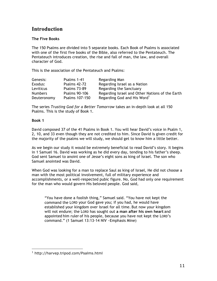# **Introduction**

# **The Five Books**

The 150 Psalms are divided into 5 separate books. Each Book of Psalms is associated with one of the first five books of the Bible, also referred to the Pentateuch. The Pentateuch introduces creation, the rise and fall of man, the law, and overall character of God.

This is the association of the Pentateuch and Psalms:

| Genesis:       | Psalms 1-41          | Regarding Man                                   |
|----------------|----------------------|-------------------------------------------------|
| Exodus:        | <b>Psalms 42-72</b>  | Regarding Israel as a Nation                    |
| Leviticus      | <b>Psalms 73-89</b>  | Regarding the Sanctuary                         |
| <b>Numbers</b> | <b>Psalms 90-106</b> | Regarding Israel and Other Nations of the Earth |
| Deuteronomy    | Psalms 107-150       | Regarding God and His Word <sup>1</sup>         |

The series *Trusting God for a Better Tomorrow* takes an in-depth look at all 150 Psalms. This is the study of Book 1.

### **Book 1**

 $\overline{a}$ 

David composed 37 of the 41 Psalms in Book 1. You will hear David's voice in Psalm 1, 2, 10, and 33 even though they are not credited to him. Since David is given credit for the majority of the psalms we will study, we should get to know him a little better.

As we begin our study it would be extremely beneficial to read David's story. It begins in 1 Samuel 16. David was working as he did every day, tending to his father's sheep. God sent Samuel to anoint one of Jesse's eight sons as king of Israel. The son who Samuel anointed was David.

When God was looking for a man to replace Saul as king of Israel, He did not choose a man with the most political involvement, full of military experience and accomplishments, or a well-respected pubic figure. No, God had only one requirement for the man who would govern His beloved people. God said,

"You have done a foolish thing," Samuel said. "You have not kept the command the LORD your God gave you; if you had, he would have established your kingdom over Israel for all time. But now your kingdom will not endure; the LORD has sought out **a man after his own heart** and appointed him ruler of his people, because you have not kept the LORD's command." (1 Samuel 13:13-14 NIV ~Emphasis Mine)

<sup>1</sup> http://harvep.tripod.com/Psalms.html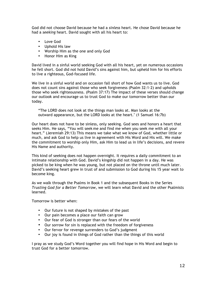God did not choose David because he had a *sinless* heart. He chose David because he had a *seeking* heart. David sought with all his heart to:

- Love God
- Uphold His law
- Worship Him as the one and only God
- Honor Him as King

David lived in a sinful world seeking God with all his heart, yet on numerous occasions he fell short. God did not hold David's sins against him, but upheld him for his efforts to live a righteous, God-focused life.

We live in a sinful world and on occasion fall short of how God wants us to live. God does not count sins against those who seek forgiveness (Psalm 32:1-2) and upholds those who seek righteousness. (Psalm 37:17) The impact of these verses should change our outlook and encourage us to trust God to make our tomorrow better than our today.

"The LORD does not look at the things man looks at. Man looks at the outward appearance, but the LORD looks at the heart." (1 Samuel 16:7b)

Our heart does not have to be sinless, only seeking. God sees and honors a heart that seeks Him. He says, "You will seek me and find me when you seek me with all your heart." (Jeremiah 29:13) This means we take what we know of God, whether little or much, and ask God to help us live in agreement with His Word and His will. We make the commitment to worship only Him, ask Him to lead us in life's decisions, and revere His Name and authority.

This kind of seeking does not happen overnight. It requires a daily commitment to an intimate relationship with God. David's kingship did not happen in a day. He was picked to be king when he was young, but not placed on the throne until much later. David's seeking heart grew in trust of and submission to God during his 15 year wait to become king.

As we walk through the Psalms in Book 1 and the subsequent Books in the Series *Trusting God for a Better Tomorrow,* we will learn what David and the other Psalmists learned.

Tomorrow is better when:

- Our future is not shaped by mistakes of the past
- Our pain becomes a place our faith can grow
- Our fear of God is stronger than our fears of the world
- Our sorrow for sin is replaced with the freedom of forgiveness
- Our fervor for revenge surrenders to God's judgment
- Our joy is found in things of God rather than the things of this world

I pray as we study God's Word together you will find hope in His Word and begin to trust God for a better tomorrow.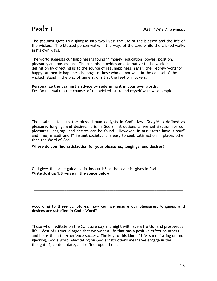The psalmist gives us a glimpse into two lives: the life of the blessed and the life of the wicked. The blessed person walks in the ways of the Lord while the wicked walks in his own ways.

The world suggests our happiness is found in money, education, power, position, pleasure, and possessions. The psalmist provides an alternative to the world's definition by directing us to the source of real happiness, *esher*, the Hebrew word for happy. Authentic happiness belongs to those who do not walk in the counsel of the wicked, stand in the way of sinners, or sit at the feet of mockers.

### **Personalize the psalmist's advice by redefining it in your own words.**

Ex: Do not walk in the counsel of the wicked- surround myself with wise people.

\_\_\_\_\_\_\_\_\_\_\_\_\_\_\_\_\_\_\_\_\_\_\_\_\_\_\_\_\_\_\_\_\_\_\_\_\_\_\_\_\_\_\_\_\_\_\_\_\_\_\_\_\_\_\_\_\_\_\_\_\_\_\_\_\_\_\_\_\_\_\_\_\_

\_\_\_\_\_\_\_\_\_\_\_\_\_\_\_\_\_\_\_\_\_\_\_\_\_\_\_\_\_\_\_\_\_\_\_\_\_\_\_\_\_\_\_\_\_\_\_\_\_\_\_\_\_\_\_\_\_\_\_\_\_\_\_\_\_\_\_\_\_\_\_\_\_

\_\_\_\_\_\_\_\_\_\_\_\_\_\_\_\_\_\_\_\_\_\_\_\_\_\_\_\_\_\_\_\_\_\_\_\_\_\_\_\_\_\_\_\_\_\_\_\_\_\_\_\_\_\_\_\_\_\_\_\_\_\_\_\_\_\_\_\_\_\_\_\_\_

The psalmist tells us the blessed man delights in God's law. *Delight* is defined as pleasure, longing, and desires. It is in God's instructions where satisfaction for our pleasures, longings, and desires can be found. However, in our "gotta-have-it-now" and "me, myself and I" instant society, it is easy to seek satisfaction in places other than the Word of God.

\_\_\_\_\_\_\_\_\_\_\_\_\_\_\_\_\_\_\_\_\_\_\_\_\_\_\_\_\_\_\_\_\_\_\_\_\_\_\_\_\_\_\_\_\_\_\_\_\_\_\_\_\_\_\_\_\_\_\_\_\_\_\_\_\_\_\_\_\_\_\_\_\_

\_\_\_\_\_\_\_\_\_\_\_\_\_\_\_\_\_\_\_\_\_\_\_\_\_\_\_\_\_\_\_\_\_\_\_\_\_\_\_\_\_\_\_\_\_\_\_\_\_\_\_\_\_\_\_\_\_\_\_\_\_\_\_\_\_\_\_\_\_\_\_\_\_

\_\_\_\_\_\_\_\_\_\_\_\_\_\_\_\_\_\_\_\_\_\_\_\_\_\_\_\_\_\_\_\_\_\_\_\_\_\_\_\_\_\_\_\_\_\_\_\_\_\_\_\_\_\_\_\_\_\_\_\_\_\_\_\_\_\_\_\_\_\_\_\_\_

\_\_\_\_\_\_\_\_\_\_\_\_\_\_\_\_\_\_\_\_\_\_\_\_\_\_\_\_\_\_\_\_\_\_\_\_\_\_\_\_\_\_\_\_\_\_\_\_\_\_\_\_\_\_\_\_\_\_\_\_\_\_\_\_\_\_\_\_\_\_\_\_\_

\_\_\_\_\_\_\_\_\_\_\_\_\_\_\_\_\_\_\_\_\_\_\_\_\_\_\_\_\_\_\_\_\_\_\_\_\_\_\_\_\_\_\_\_\_\_\_\_\_\_\_\_\_\_\_\_\_\_\_\_\_\_\_\_\_\_\_\_\_\_\_\_\_

**Where do you find satisfaction for your pleasures, longings, and desires?**

God gives the same guidance in Joshua 1:8 as the psalmist gives in Psalm 1. **Write Joshua 1:8 verse in the space below.**

**According to these Scriptures, how can we ensure our pleasures, longings, and desires are satisfied in God's Word?**

\_\_\_\_\_\_\_\_\_\_\_\_\_\_\_\_\_\_\_\_\_\_\_\_\_\_\_\_\_\_\_\_\_\_\_\_\_\_\_\_\_\_\_\_\_\_\_\_\_\_\_\_\_\_\_\_\_\_\_\_\_\_\_\_\_\_\_\_\_\_\_\_\_

Those who meditate on the Scripture day and night will have a fruitful and prosperous life. Most of us would agree that we want a life that has a positive effect on others and helps them to experience success. The key to this kind of life is meditating on, not ignoring, God's Word. Meditating on God's instructions means we engage in the thought of, contemplate, and reflect upon them.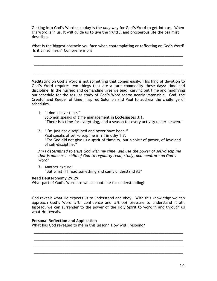Getting into God's Word each day is the *only* way for God's Word to get into us. When His Word is in us, it will guide us to live the fruitful and prosperous life the psalmist describes.

What is the biggest obstacle you face when contemplating or reflecting on God's Word? Is it time? Fear? Comprehension? \_\_\_\_\_\_\_\_\_\_\_\_\_\_\_\_\_\_\_\_\_\_\_\_\_\_\_\_\_\_\_\_\_\_\_\_\_\_\_\_\_\_\_\_\_\_\_\_\_\_\_\_\_\_\_\_\_\_\_\_\_\_\_\_\_\_\_\_\_\_\_\_\_

\_\_\_\_\_\_\_\_\_\_\_\_\_\_\_\_\_\_\_\_\_\_\_\_\_\_\_\_\_\_\_\_\_\_\_\_\_\_\_\_\_\_\_\_\_\_\_\_\_\_\_\_\_\_\_\_\_\_\_\_\_\_\_\_\_\_\_\_\_\_\_\_\_

\_\_\_\_\_\_\_\_\_\_\_\_\_\_\_\_\_\_\_\_\_\_\_\_\_\_\_\_\_\_\_\_\_\_\_\_\_\_\_\_\_\_\_\_\_\_\_\_\_\_\_\_\_\_\_\_\_\_\_\_\_\_\_\_\_\_\_\_\_\_\_\_\_

Meditating on God's Word is not something that comes easily. This kind of devotion to God's Word requires two things that are a rare commodity these days: time and discipline. In the hurried and demanding lives we lead, carving out time and modifying our schedule for the regular study of God's Word seems nearly impossible. God, the Creator and Keeper of time, inspired Solomon and Paul to address the challenge of schedules.

- 1. "I don't have time." Solomon speaks of time management in Ecclesiastes 3:1. "There is a time for everything, and a season for every activity under heaven."
- 2. "I'm just not disciplined and never have been." Paul speaks of self-discipline in 2 Timothy 1:7. "For God did not give us a spirit of timidity, but a spirit of power, of love and of self-discipline."

*Am I determined to trust God with my time, and use the power of self-discipline that is mine as a child of God to regularly read, study, and meditate on God's Word?*

3. Another excuse: "But what if I read something and can't understand it?"

### **Read Deuteronomy 29:29.**

What part of God's Word are we accountable for understanding?

God reveals what He expects us to understand and obey. With this knowledge we can approach God's Word *with* confidence and *without* pressure to understand it all. Instead, we can surrender to the power of the Holy Spirit to work in and through us what He reveals.

\_\_\_\_\_\_\_\_\_\_\_\_\_\_\_\_\_\_\_\_\_\_\_\_\_\_\_\_\_\_\_\_\_\_\_\_\_\_\_\_\_\_\_\_\_\_\_\_\_\_\_\_\_\_\_\_\_\_\_\_\_\_\_\_\_\_\_\_\_\_\_\_\_ \_\_\_\_\_\_\_\_\_\_\_\_\_\_\_\_\_\_\_\_\_\_\_\_\_\_\_\_\_\_\_\_\_\_\_\_\_\_\_\_\_\_\_\_\_\_\_\_\_\_\_\_\_\_\_\_\_\_\_\_\_\_\_\_\_\_\_\_\_\_\_\_\_ \_\_\_\_\_\_\_\_\_\_\_\_\_\_\_\_\_\_\_\_\_\_\_\_\_\_\_\_\_\_\_\_\_\_\_\_\_\_\_\_\_\_\_\_\_\_\_\_\_\_\_\_\_\_\_\_\_\_\_\_\_\_\_\_\_\_\_\_\_\_\_\_\_ \_\_\_\_\_\_\_\_\_\_\_\_\_\_\_\_\_\_\_\_\_\_\_\_\_\_\_\_\_\_\_\_\_\_\_\_\_\_\_\_\_\_\_\_\_\_\_\_\_\_\_\_\_\_\_\_\_\_\_\_\_\_\_\_\_\_\_\_\_\_\_\_\_

\_\_\_\_\_\_\_\_\_\_\_\_\_\_\_\_\_\_\_\_\_\_\_\_\_\_\_\_\_\_\_\_\_\_\_\_\_\_\_\_\_\_\_\_\_\_\_\_\_\_\_\_\_\_\_\_\_\_\_\_\_\_\_\_\_\_\_\_\_\_\_\_\_

### **Personal Reflection and Application**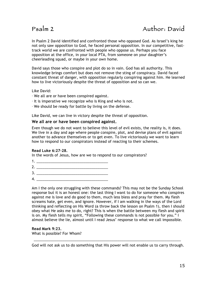In Psalm 2 David identified and confronted those who opposed God. As Israel's king he not only saw opposition to God, he faced personal opposition. In our competitive, fasttrack world we are confronted with people who oppose us. Perhaps you face opposition at the office, in your local PTA, from someone on your daughter's cheerleading squad, or maybe in your own home.

David says those who conspire and plot do so in vain. God has all authority. This knowledge brings comfort but does not remove the sting of conspiracy. David faced constant threat of danger, with opposition regularly conspiring against him. He learned how to live victoriously despite the threat of opposition and so can we.

Like David:

- · We all are or have been conspired against.
- · It is imperative we recognize who is King and who is not.
- · We should be ready for battle by living on the defense.

Like David, we can live in victory despite the threat of opposition.

### **We all are or have been conspired against.**

Even though we do not want to believe this level of evil exists, the reality is, it does. We live in a day and age where people conspire, plot, and devise plans of evil against another to advance themselves or to get even. To live victoriously we want to learn how to respond to our conspirators instead of reacting to their schemes.

### **Read Luke 6:27-28.**

In the words of Jesus, how are we to respond to our conspirators?

- 1. \_\_\_\_\_\_\_\_\_\_\_\_\_\_\_\_\_\_\_\_\_\_\_\_\_\_\_\_\_\_\_\_\_\_\_ 2. \_\_\_\_\_\_\_\_\_\_\_\_\_\_\_\_\_\_\_\_\_\_\_\_\_\_\_\_\_\_\_\_\_\_\_
- 3. \_\_\_\_\_\_\_\_\_\_\_\_\_\_\_\_\_\_\_\_\_\_\_\_\_\_\_\_\_\_\_\_\_\_\_
- 4. \_\_\_\_\_\_\_\_\_\_\_\_\_\_\_\_\_\_\_\_\_\_\_\_\_\_\_\_\_\_\_\_\_\_\_

Am I the only one struggling with these commands? This may not be the Sunday School response but it is an honest one: the last thing I want to do for someone who conspires against me is love and do good to them, much less bless and pray for them. My flesh screams hate, get even, and ignore. However, if I am walking in the ways of the Lord thinking and reflecting on His Word (a throw back the lesson on Psalm 1), then I should obey what He asks me to do, right? This is when the battle between my flesh and spirit is on. My flesh tells my spirit, "Following these commands is not possible for you." I almost believe the lie, almost until I read Jesus' response to what we call impossible.

### **Read Mark 9:23.**

What is possible? For Whom?

\_\_\_\_\_\_\_\_\_\_\_\_\_\_\_\_\_\_\_\_\_\_\_\_\_\_\_\_\_\_\_\_\_\_\_\_\_\_\_\_\_\_\_\_\_\_\_\_\_\_\_\_\_\_\_\_\_\_\_\_\_\_\_\_\_\_\_\_\_\_\_\_ God will not ask us to do something that His power will not enable us to carry through.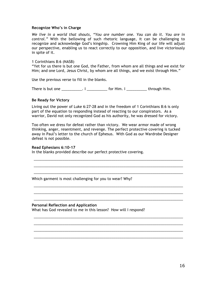### **Recognize Who's in Charge**

*We live in a world that shouts, "You are number one. You can do it. You are in control."* With the bellowing of such rhetoric language, it can be challenging to recognize and acknowledge God's kingship. Crowning Him King of our life will adjust our perspective, enabling us to react correctly to our opposition, and live victoriously in spite of it.

### 1 Corinthians 8:6 (NASB)

"Yet for us there is but one God, the Father, from whom are all things and we exist for Him; and one Lord, Jesus Christ, by whom are all things, and we exist through Him."

Use the previous verse to fill in the blanks.

There is but one \_\_\_\_\_\_\_\_\_\_. I \_\_\_\_\_\_\_\_\_\_ for Him. I \_\_\_\_\_\_\_\_\_\_ through Him.

### **Be Ready for Victory**

Living out the power of Luke 6:27-28 and in the freedom of 1 Corinthians 8:6 is only part of the equation to responding instead of reacting to our conspirators. As a warrior, David not only recognized God as his authority, he was dressed for victory.

Too often we dress for defeat rather than victory. We wear armor made of wrong thinking, anger, resentment, and revenge. The perfect protective covering is tucked away in Paul's letter to the church of Ephesus. With God as our Wardrobe Designer defeat is not possible.

\_\_\_\_\_\_\_\_\_\_\_\_\_\_\_\_\_\_\_\_\_\_\_\_\_\_\_\_\_\_\_\_\_\_\_\_\_\_\_\_\_\_\_\_\_\_\_\_\_\_\_\_\_\_\_\_\_\_\_\_\_\_\_\_\_\_\_\_\_\_\_\_\_ \_\_\_\_\_\_\_\_\_\_\_\_\_\_\_\_\_\_\_\_\_\_\_\_\_\_\_\_\_\_\_\_\_\_\_\_\_\_\_\_\_\_\_\_\_\_\_\_\_\_\_\_\_\_\_\_\_\_\_\_\_\_\_\_\_\_\_\_\_\_\_\_\_ \_\_\_\_\_\_\_\_\_\_\_\_\_\_\_\_\_\_\_\_\_\_\_\_\_\_\_\_\_\_\_\_\_\_\_\_\_\_\_\_\_\_\_\_\_\_\_\_\_\_\_\_\_\_\_\_\_\_\_\_\_\_\_\_\_\_\_\_\_\_\_\_\_

\_\_\_\_\_\_\_\_\_\_\_\_\_\_\_\_\_\_\_\_\_\_\_\_\_\_\_\_\_\_\_\_\_\_\_\_\_\_\_\_\_\_\_\_\_\_\_\_\_\_\_\_\_\_\_\_\_\_\_\_\_\_\_\_\_\_\_\_\_\_\_\_\_ \_\_\_\_\_\_\_\_\_\_\_\_\_\_\_\_\_\_\_\_\_\_\_\_\_\_\_\_\_\_\_\_\_\_\_\_\_\_\_\_\_\_\_\_\_\_\_\_\_\_\_\_\_\_\_\_\_\_\_\_\_\_\_\_\_\_\_\_\_\_\_\_\_ \_\_\_\_\_\_\_\_\_\_\_\_\_\_\_\_\_\_\_\_\_\_\_\_\_\_\_\_\_\_\_\_\_\_\_\_\_\_\_\_\_\_\_\_\_\_\_\_\_\_\_\_\_\_\_\_\_\_\_\_\_\_\_\_\_\_\_\_\_\_\_\_\_

\_\_\_\_\_\_\_\_\_\_\_\_\_\_\_\_\_\_\_\_\_\_\_\_\_\_\_\_\_\_\_\_\_\_\_\_\_\_\_\_\_\_\_\_\_\_\_\_\_\_\_\_\_\_\_\_\_\_\_\_\_\_\_\_\_\_\_\_\_\_\_\_\_ \_\_\_\_\_\_\_\_\_\_\_\_\_\_\_\_\_\_\_\_\_\_\_\_\_\_\_\_\_\_\_\_\_\_\_\_\_\_\_\_\_\_\_\_\_\_\_\_\_\_\_\_\_\_\_\_\_\_\_\_\_\_\_\_\_\_\_\_\_\_\_\_\_ \_\_\_\_\_\_\_\_\_\_\_\_\_\_\_\_\_\_\_\_\_\_\_\_\_\_\_\_\_\_\_\_\_\_\_\_\_\_\_\_\_\_\_\_\_\_\_\_\_\_\_\_\_\_\_\_\_\_\_\_\_\_\_\_\_\_\_\_\_\_\_\_\_ \_\_\_\_\_\_\_\_\_\_\_\_\_\_\_\_\_\_\_\_\_\_\_\_\_\_\_\_\_\_\_\_\_\_\_\_\_\_\_\_\_\_\_\_\_\_\_\_\_\_\_\_\_\_\_\_\_\_\_\_\_\_\_\_\_\_\_\_\_\_\_\_\_

### **Read Ephesians 6:10-17**

In the blanks provided describe our perfect protective covering.

Which garment is most challenging for you to wear? Why?

**Personal Reflection and Application** What has God revealed to me in this lesson? How will I respond?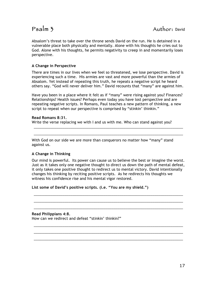Absalom's threat to take over the throne sends David on the run. He is detained in a vulnerable place both physically and mentally. Alone with his thoughts he cries out to God. Alone with his thoughts, he permits negativity to creep in and momentarily loses perspective.

# **A Change in Perspective**

There are times in our lives when we feel so threatened, we lose perspective. David is experiencing such a time. His armies are vast and more powerful than the armies of Absalom. Yet instead of repeating this truth, he repeats a negative script he heard others say. "God will never deliver him." David recounts that "many" are against him.

Have you been in a place where it felt as if "many" were rising against you? Finances? Relationships? Health issues? Perhaps even today you have lost perspective and are repeating negative scripts. In Romans, Paul teaches a new pattern of thinking, a new script to repeat when our perspective is comprised by "stinkin' thinkin."

\_\_\_\_\_\_\_\_\_\_\_\_\_\_\_\_\_\_\_\_\_\_\_\_\_\_\_\_\_\_\_\_\_\_\_\_\_\_\_\_\_\_\_\_\_\_\_\_\_\_\_\_\_\_\_\_\_\_\_\_\_\_\_\_\_\_\_\_\_\_\_\_\_ \_\_\_\_\_\_\_\_\_\_\_\_\_\_\_\_\_\_\_\_\_\_\_\_\_\_\_\_\_\_\_\_\_\_\_\_\_\_\_\_\_\_\_\_\_\_\_\_\_\_\_\_\_\_\_\_\_\_\_\_\_\_\_\_\_\_\_\_\_\_\_\_\_

### **Read Romans 8:31.**

Write the verse replacing we with I and us with me. Who can stand against you?

With God on our side we are more than conquerors no matter how "many" stand against us.

# **A Change in Thinking**

Our mind is powerful. Its power can cause us to believe the best or imagine the worst. Just as it takes only one negative thought to direct us down the path of mental defeat, it only takes one positive thought to redirect us to mental victory. David intentionally changes his thinking by reciting positive scripts. As he redirects his thoughts we witness his confidence rise and his mental vigor restored.

\_\_\_\_\_\_\_\_\_\_\_\_\_\_\_\_\_\_\_\_\_\_\_\_\_\_\_\_\_\_\_\_\_\_\_\_\_\_\_\_\_\_\_\_\_\_\_\_\_\_\_\_\_\_\_\_\_\_\_\_\_\_\_\_\_\_\_\_\_\_\_\_\_ \_\_\_\_\_\_\_\_\_\_\_\_\_\_\_\_\_\_\_\_\_\_\_\_\_\_\_\_\_\_\_\_\_\_\_\_\_\_\_\_\_\_\_\_\_\_\_\_\_\_\_\_\_\_\_\_\_\_\_\_\_\_\_\_\_\_\_\_\_\_\_\_\_ \_\_\_\_\_\_\_\_\_\_\_\_\_\_\_\_\_\_\_\_\_\_\_\_\_\_\_\_\_\_\_\_\_\_\_\_\_\_\_\_\_\_\_\_\_\_\_\_\_\_\_\_\_\_\_\_\_\_\_\_\_\_\_\_\_\_\_\_\_\_\_\_\_

\_\_\_\_\_\_\_\_\_\_\_\_\_\_\_\_\_\_\_\_\_\_\_\_\_\_\_\_\_\_\_\_\_\_\_\_\_\_\_\_\_\_\_\_\_\_\_\_\_\_\_\_\_\_\_\_\_\_\_\_\_\_\_\_\_\_\_\_\_\_\_\_\_ \_\_\_\_\_\_\_\_\_\_\_\_\_\_\_\_\_\_\_\_\_\_\_\_\_\_\_\_\_\_\_\_\_\_\_\_\_\_\_\_\_\_\_\_\_\_\_\_\_\_\_\_\_\_\_\_\_\_\_\_\_\_\_\_\_\_\_\_\_\_\_\_\_ \_\_\_\_\_\_\_\_\_\_\_\_\_\_\_\_\_\_\_\_\_\_\_\_\_\_\_\_\_\_\_\_\_\_\_\_\_\_\_\_\_\_\_\_\_\_\_\_\_\_\_\_\_\_\_\_\_\_\_\_\_\_\_\_\_\_\_\_\_\_\_\_\_

# **List some of David's positive scripts. (i.e. "You are my shield.")**

**Read Philippians 4:8.** How can we redirect and defeat "stinkin' thinkin?"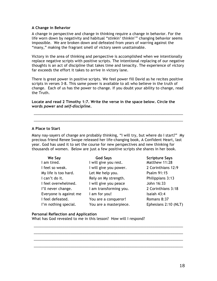### **A Change in Behavior**

A change in perspective and change in thinking require a change in behavior. For the life worn down by negativity and habitual "stinkin' thinkin'" changing behavior seems impossible. We are broken down and defeated from years of warring against the "many," making the fragrant smell of victory seem unattainable.

Victory in the area of thinking and perspective is accomplished when we intentionally replace negative scripts with positive scripts. The intentional replacing of our negative thoughts is an act of discipline that takes time and tenacity. The experience of victory far exceeds the effort it takes to arrive in victory lane.

There is great power in positive scripts. We feel power fill David as he recites positive scripts in verses 3-8. This same power is available to all who believe in the truth of change. Each of us has the power to change. If you doubt your ability to change, read the Truth.

\_\_\_\_\_\_\_\_\_\_\_\_\_\_\_\_\_\_\_\_\_\_\_\_\_\_\_\_\_\_\_\_\_\_\_\_\_\_\_\_\_\_\_\_\_\_\_\_\_\_\_\_\_\_\_\_\_\_\_\_\_\_\_\_\_\_\_\_\_\_\_\_\_ \_\_\_\_\_\_\_\_\_\_\_\_\_\_\_\_\_\_\_\_\_\_\_\_\_\_\_\_\_\_\_\_\_\_\_\_\_\_\_\_\_\_\_\_\_\_\_\_\_\_\_\_\_\_\_\_\_\_\_\_\_\_\_\_\_\_\_\_\_\_\_\_\_

**Locate and read 2 Timothy 1:7. Write the verse in the space below. Circle the words** *power* **and** *self-discipline***.**

### **A Place to Start**

Many nay-sayers of change are probably thinking, "I will try, but where do I start?" My precious friend Renee Swope released her life-changing book, A Confident Heart, last year. God has used it to set the course for new perspectives and new thinking for thousands of women. Below are just a few positive scripts she shares in her book.

| We Say                 | <b>God Says</b>        | <b>Scripture Says</b> |
|------------------------|------------------------|-----------------------|
| I am tired.            | I will give you rest.  | Matthew 11:28         |
| I feel so weak.        | I will give you power. | 2 Corinthians 12:9    |
| My life is too hard.   | Let Me help you.       | Psalm 91:15           |
| I can't do it.         | Rely on My strength.   | Philippians 3:13      |
| I feel overwhelmed.    | I will give you peace  | John 16:33            |
| I'll never change.     | I am transforming you. | 2 Corinthians 3:18    |
| Everyone is against me | I am for you!          | Isaiah 43:4           |
| I feel defeated.       | You are a conqueror!   | Romans 8:37           |
| I'm nothing special.   | You are a masterpiece. | Ephesians 2:10 (NLT)  |

\_\_\_\_\_\_\_\_\_\_\_\_\_\_\_\_\_\_\_\_\_\_\_\_\_\_\_\_\_\_\_\_\_\_\_\_\_\_\_\_\_\_\_\_\_\_\_\_\_\_\_\_\_\_\_\_\_\_\_\_\_\_\_\_\_\_\_\_\_\_\_\_\_ \_\_\_\_\_\_\_\_\_\_\_\_\_\_\_\_\_\_\_\_\_\_\_\_\_\_\_\_\_\_\_\_\_\_\_\_\_\_\_\_\_\_\_\_\_\_\_\_\_\_\_\_\_\_\_\_\_\_\_\_\_\_\_\_\_\_\_\_\_\_\_\_\_ \_\_\_\_\_\_\_\_\_\_\_\_\_\_\_\_\_\_\_\_\_\_\_\_\_\_\_\_\_\_\_\_\_\_\_\_\_\_\_\_\_\_\_\_\_\_\_\_\_\_\_\_\_\_\_\_\_\_\_\_\_\_\_\_\_\_\_\_\_\_\_\_\_ \_\_\_\_\_\_\_\_\_\_\_\_\_\_\_\_\_\_\_\_\_\_\_\_\_\_\_\_\_\_\_\_\_\_\_\_\_\_\_\_\_\_\_\_\_\_\_\_\_\_\_\_\_\_\_\_\_\_\_\_\_\_\_\_\_\_\_\_\_\_\_\_\_

### **Personal Reflection and Application**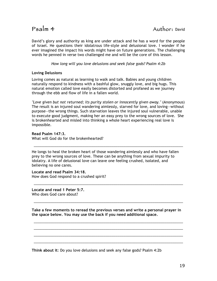David's glory and authority as king are under attack and he has a word for the people of Israel. He questions their idolatrous life-style and delusional love. I wonder if he ever imagined the impact his words might have on future generations. The challenging words he penned in verse two challenged me and will be the core of this lesson.

*How long will you love delusions and seek false gods? Psalm 4:2b* 

# **Loving Delusions**

Loving comes as natural as learning to walk and talk. Babies and young children naturally respond to kindness with a bashful glow, snuggly love, and big hugs. This natural emotion called love easily becomes distorted and profaned as we journey through the ebb and flow of life in a fallen world.

*"Love given but not returned; its purity stolen or innocently given away."* (Anonymous) The result is an injured soul wandering aimlessly, starved for love, and loving—without purpose—the wrong things. Such starvation leaves the injured soul vulnerable, unable to execute good judgment, making her an easy prey to the wrong sources of love. She is brokenhearted and misled into thinking a whole heart experiencing real love is impossible.

**Read Psalm 147:3.**

What will God do for the brokenhearted?

He longs to heal the broken heart of those wandering aimlessly and who have fallen prey to the wrong sources of love. These can be anything from sexual impurity to idolatry. A life of delusional love can leave one feeling crushed, isolated, and believing no one cares.

\_\_\_\_\_\_\_\_\_\_\_\_\_\_\_\_\_\_\_\_\_\_\_\_\_\_\_\_\_\_\_\_\_\_\_\_\_\_\_\_\_\_\_\_\_\_\_\_\_\_\_\_\_\_\_\_\_\_\_\_\_\_\_\_\_\_\_\_\_\_\_\_\_

### **Locate and read Psalm 34:18.**

How does God respond to a crushed spirit?

**Locate and read 1 Peter 5:7.** Who does God care about?

**Take a few moments to reread the previous verses and write a personal prayer in the space below. You may use the back if you need additional space.**

\_\_\_\_\_\_\_\_\_\_\_\_\_\_\_\_\_\_\_\_\_\_\_\_\_\_\_\_\_\_\_\_\_\_\_\_\_\_\_\_\_\_\_\_\_\_\_\_\_\_\_\_\_\_\_\_\_\_\_\_\_\_\_\_\_\_\_\_\_\_\_\_\_ \_\_\_\_\_\_\_\_\_\_\_\_\_\_\_\_\_\_\_\_\_\_\_\_\_\_\_\_\_\_\_\_\_\_\_\_\_\_\_\_\_\_\_\_\_\_\_\_\_\_\_\_\_\_\_\_\_\_\_\_\_\_\_\_\_\_\_\_\_\_\_\_\_ \_\_\_\_\_\_\_\_\_\_\_\_\_\_\_\_\_\_\_\_\_\_\_\_\_\_\_\_\_\_\_\_\_\_\_\_\_\_\_\_\_\_\_\_\_\_\_\_\_\_\_\_\_\_\_\_\_\_\_\_\_\_\_\_\_\_\_\_\_\_\_\_\_ \_\_\_\_\_\_\_\_\_\_\_\_\_\_\_\_\_\_\_\_\_\_\_\_\_\_\_\_\_\_\_\_\_\_\_\_\_\_\_\_\_\_\_\_\_\_\_\_\_\_\_\_\_\_\_\_\_\_\_\_\_\_\_\_\_\_\_\_\_\_\_\_\_

\_\_\_\_\_\_\_\_\_\_\_\_\_\_\_\_\_\_\_\_\_\_\_\_\_\_\_\_\_\_\_\_\_\_\_\_\_\_\_\_\_\_\_\_\_\_\_\_\_\_\_\_\_\_\_\_\_\_\_\_\_\_\_\_\_\_\_\_\_\_\_\_\_

\_\_\_\_\_\_\_\_\_\_\_\_\_\_\_\_\_\_\_\_\_\_\_\_\_\_\_\_\_\_\_\_\_\_\_\_\_\_\_\_\_\_\_\_\_\_\_\_\_\_\_\_\_\_\_\_\_\_\_\_\_\_\_\_\_\_\_\_\_\_\_\_\_

**Think about it**: Do you love delusions and seek any false gods? Psalm 4:2b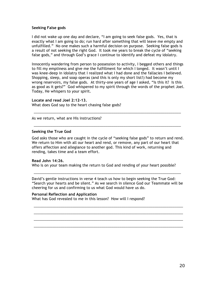### **Seeking False gods**

I did not wake up one day and declare, "I am going to seek false gods. Yes, that is exactly what I am going to do; run hard after something that will leave me empty and unfulfilled." No one makes such a harmful decision on purpose. Seeking false gods is a result of not seeking the right God. It took me years to break the cycle of "seeking false gods," and through God's grace I continue to identify and defeat my idolatry.

Innocently wandering from person to possession to activity, I begged others and things to fill my emptiness and give me the fulfillment for which I longed. It wasn't until I was knee-deep in idolatry that I realized what I had done and the fallacies I believed. Shopping, sleep, and soap operas (and this is only my short list!) had become my wrong reservoirs, my false gods. At thirty-one years of age I asked, "Is this it? Is this as good as it gets?" God whispered to my spirit through the words of the prophet Joel. Today, He whispers to your spirit.

### **Locate and read Joel 2:12-13.**

What does God say to the heart chasing false gods?

As we return, what are His instructions?

### **Seeking the True God**

God asks those who are caught in the cycle of "seeking false gods" to return and rend. We return to Him with all our heart and rend, or remove, any part of our heart that offers affection and allegiance to another god. This kind of work, returning and rending, takes time and a team effort.

\_\_\_\_\_\_\_\_\_\_\_\_\_\_\_\_\_\_\_\_\_\_\_\_\_\_\_\_\_\_\_\_\_\_\_\_\_\_\_\_\_\_\_\_\_\_\_\_\_\_\_\_\_\_\_\_\_\_\_\_\_\_\_\_\_\_\_\_\_\_\_\_

\_\_\_\_\_\_\_\_\_\_\_\_\_\_\_\_\_\_\_\_\_\_\_\_\_\_\_\_\_\_\_\_\_\_\_\_\_\_\_\_\_\_\_\_\_\_\_\_\_\_\_\_\_\_\_\_\_\_\_\_\_\_\_\_\_\_\_\_\_\_\_\_

### **Read John 14:26.**

Who is on your team making the return to God and rending of your heart possible?

David's gentle instructions in verse 4 teach us how to begin seeking the True God: "Search your hearts and be silent." As we search in silence God our Teammate will be cheering for us and confirming to us what God would have us do.

\_\_\_\_\_\_\_\_\_\_\_\_\_\_\_\_\_\_\_\_\_\_\_\_\_\_\_\_\_\_\_\_\_\_\_\_\_\_\_\_\_\_\_\_\_\_\_\_\_\_\_\_\_\_\_\_\_\_\_\_\_\_\_\_\_\_\_\_\_\_\_\_\_ \_\_\_\_\_\_\_\_\_\_\_\_\_\_\_\_\_\_\_\_\_\_\_\_\_\_\_\_\_\_\_\_\_\_\_\_\_\_\_\_\_\_\_\_\_\_\_\_\_\_\_\_\_\_\_\_\_\_\_\_\_\_\_\_\_\_\_\_\_\_\_\_\_ \_\_\_\_\_\_\_\_\_\_\_\_\_\_\_\_\_\_\_\_\_\_\_\_\_\_\_\_\_\_\_\_\_\_\_\_\_\_\_\_\_\_\_\_\_\_\_\_\_\_\_\_\_\_\_\_\_\_\_\_\_\_\_\_\_\_\_\_\_\_\_\_\_ \_\_\_\_\_\_\_\_\_\_\_\_\_\_\_\_\_\_\_\_\_\_\_\_\_\_\_\_\_\_\_\_\_\_\_\_\_\_\_\_\_\_\_\_\_\_\_\_\_\_\_\_\_\_\_\_\_\_\_\_\_\_\_\_\_\_\_\_\_\_\_\_\_

\_\_\_\_\_\_\_\_\_\_\_\_\_\_\_\_\_\_\_\_\_\_\_\_\_\_\_\_\_\_\_\_\_\_\_\_\_\_\_\_\_\_\_\_\_\_\_\_\_\_\_\_\_\_\_\_\_\_\_\_\_\_\_\_\_\_\_\_\_\_\_\_

### **Personal Reflection and Application**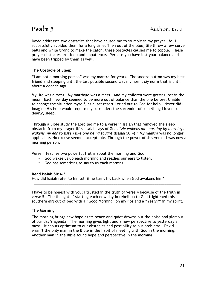David addresses two obstacles that have caused me to stumble in my prayer life. I successfully avoided them for a long time. Then out of the blue, life threw a few curve balls and while trying to make the catch, these obstacles caused me to topple. These prayer obstacles are sleep and impatience. Perhaps you have lost your balance and have been tripped by them as well.

# **The Obstacle of Sleep**

"I am not a morning person" was my mantra for years. The snooze button was my best friend and sleeping until the last possible second was my norm. My norm that is until about a decade ago.

My life was a mess. My marriage was a mess. And my children were getting lost in the mess. Each new day seemed to be more out of balance than the one before. Unable to change the situation myself, as a last resort I cried out to God for help. Never did I imagine His help would require my surrender: the surrender of something I loved so dearly, sleep.

Through a Bible study the Lord led me to a verse in Isaiah that removed the sleep obstacle from my prayer life. Isaiah says of God, "*He wakens me morning by morning, wakens my ear to listen like one being taught* (Isaiah 50:4)." My mantra was no longer applicable. No excuse seemed acceptable. Through the power of this verse, I was now a morning person.

Verse 4 teaches two powerful truths about the morning and God:

- God wakes us up each morning and readies our ears to listen.
- God has something to say to us each morning.

### **Read Isaiah 50:4-5.**

How did Isaiah refer to himself if he turns his back when God awakens him?

I have to be honest with you; I trusted in the truth of verse 4 because of the truth in verse 5. The thought of starting each new day in rebellion to God frightened this southern girl out of bed with a "Good Morning" on my lips and a "Yes Sir" in my spirit.

\_\_\_\_\_\_\_\_\_\_\_\_\_\_\_\_\_\_\_\_\_\_\_\_\_\_\_\_\_\_\_\_\_\_\_\_\_\_\_\_\_\_\_\_\_\_\_\_\_\_\_\_\_\_\_\_\_\_\_\_\_\_\_\_\_\_\_\_\_\_\_\_

# **The Morning**

The morning brings new hope as its peace and quiet drowns out the noise and glamour of our day's agenda. The morning gives light and a new perspective to yesterday's mess. It shouts optimism to our obstacles and possibility to our problems. David wasn't the only man in the Bible in the habit of meeting with God in the morning. Another man in the Bible found hope and perspective in the morning.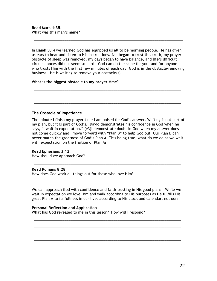In Isaiah 50:4 we learned God has equipped us all to be morning people. He has given us ears to hear and listen to His instructions. As I began to trust this truth, my prayer obstacle of sleep was removed, my days began to have balance, and life's difficult circumstances did not seem so hard. God can do the same for you, and for anyone who trusts Him with the first few minutes of each day. God is in the obstacle-removing business. He is waiting to remove your obstacle(s).

\_\_\_\_\_\_\_\_\_\_\_\_\_\_\_\_\_\_\_\_\_\_\_\_\_\_\_\_\_\_\_\_\_\_\_\_\_\_\_\_\_\_\_\_\_\_\_\_\_\_\_\_\_\_\_\_\_\_\_\_\_\_\_\_\_\_\_\_\_\_\_\_\_

### **What is the biggest obstacle to my prayer time?**

\_\_\_\_\_\_\_\_\_\_\_\_\_\_\_\_\_\_\_\_\_\_\_\_\_\_\_\_\_\_\_\_\_\_\_\_\_\_\_\_\_\_\_\_\_\_\_\_\_\_\_\_\_\_\_\_\_\_\_\_\_\_\_\_\_\_\_\_\_\_\_\_ \_\_\_\_\_\_\_\_\_\_\_\_\_\_\_\_\_\_\_\_\_\_\_\_\_\_\_\_\_\_\_\_\_\_\_\_\_\_\_\_\_\_\_\_\_\_\_\_\_\_\_\_\_\_\_\_\_\_\_\_\_\_\_\_\_\_\_\_\_\_\_\_ \_\_\_\_\_\_\_\_\_\_\_\_\_\_\_\_\_\_\_\_\_\_\_\_\_\_\_\_\_\_\_\_\_\_\_\_\_\_\_\_\_\_\_\_\_\_\_\_\_\_\_\_\_\_\_\_\_\_\_\_\_\_\_\_\_\_\_\_\_\_\_\_

### **The Obstacle of Impatience**

The minute I finish my prayer time I am poised for God's answer. Waiting is not part of my plan, but it is part of God's. David demonstrates his confidence in God when he says, "I wait in expectation." (v3)I demonstrate doubt in God when my answer does not come quickly and I move forward with "Plan B" to help God out. Our Plan B can never match the greatness of God's Plan A. This being true, what do we do as we wait with expectation on the fruition of Plan A?

**Read Ephesians 3:12.** How should we approach God?

### **Read Romans 8:28.**

How does God work all things out for those who love Him?

We can approach God with confidence and faith trusting in His good plans. While we wait in expectation we love Him and walk according to His purposes as He fulfills His great Plan A to its fullness in our lives according to His clock and calendar, not ours.

\_\_\_\_\_\_\_\_\_\_\_\_\_\_\_\_\_\_\_\_\_\_\_\_\_\_\_\_\_\_\_\_\_\_\_\_\_\_\_\_\_\_\_\_\_\_\_\_\_\_\_\_\_\_\_\_\_\_\_\_\_\_\_\_\_\_\_\_\_\_\_\_ \_\_\_\_\_\_\_\_\_\_\_\_\_\_\_\_\_\_\_\_\_\_\_\_\_\_\_\_\_\_\_\_\_\_\_\_\_\_\_\_\_\_\_\_\_\_\_\_\_\_\_\_\_\_\_\_\_\_\_\_\_\_\_\_\_\_\_\_\_\_\_\_ \_\_\_\_\_\_\_\_\_\_\_\_\_\_\_\_\_\_\_\_\_\_\_\_\_\_\_\_\_\_\_\_\_\_\_\_\_\_\_\_\_\_\_\_\_\_\_\_\_\_\_\_\_\_\_\_\_\_\_\_\_\_\_\_\_\_\_\_\_\_\_\_ \_\_\_\_\_\_\_\_\_\_\_\_\_\_\_\_\_\_\_\_\_\_\_\_\_\_\_\_\_\_\_\_\_\_\_\_\_\_\_\_\_\_\_\_\_\_\_\_\_\_\_\_\_\_\_\_\_\_\_\_\_\_\_\_\_\_\_\_\_\_\_\_

\_\_\_\_\_\_\_\_\_\_\_\_\_\_\_\_\_\_\_\_\_\_\_\_\_\_\_\_\_\_\_\_\_\_\_\_\_\_\_\_\_\_\_\_\_\_\_\_\_\_\_\_\_\_\_\_\_\_\_\_\_\_\_\_\_\_\_\_\_\_\_\_

\_\_\_\_\_\_\_\_\_\_\_\_\_\_\_\_\_\_\_\_\_\_\_\_\_\_\_\_\_\_\_\_\_\_\_\_\_\_\_\_\_\_\_\_\_\_\_\_\_\_\_\_\_\_\_\_\_\_\_\_\_\_\_\_\_\_\_\_\_\_\_\_

### **Personal Reflection and Application**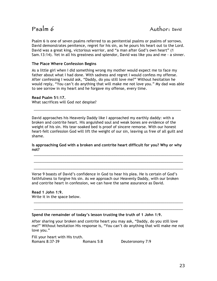Psalm 6 is one of seven psalms referred to as penitential psalms or psalms of sorrows. David demonstrates penitence, regret for his sin, as he pours his heart out to the Lord. David was a great king, victorious warrior, and "a man after God's own heart" (1 Sam.13:14). Yet in all his greatness and splendor, David was like you and me - a sinner.

### **The Place Where Confession Begins**

As a little girl when I did something wrong my mother would expect me to face my father about what I had done. With sadness and regret I would confess my offense. After confessing I would ask, "Daddy, do you still love me?" Without hesitation he would reply, "You can't do anything that will make me not love you." My dad was able to see sorrow in my heart and he forgave my offense, every time.

### **Read Psalm 51:17.**

What sacrifices will God *not* despise?

David approaches his Heavenly Daddy like I approached my earthly daddy: with a broken and contrite heart. His anguished soul and weak bones are evidence of the weight of his sin. His tear-soaked bed is proof of sincere remorse. With our honest heart-felt confession God will lift the weight of our sin, leaving us free of all guilt and shame.

\_\_\_\_\_\_\_\_\_\_\_\_\_\_\_\_\_\_\_\_\_\_\_\_\_\_\_\_\_\_\_\_\_\_\_\_\_\_\_\_\_\_\_\_\_\_\_\_\_\_\_\_\_\_\_\_\_\_\_\_\_\_\_\_\_\_\_\_\_\_\_\_

**Is approaching God with a broken and contrite heart difficult for you? Why or why not?**

\_\_\_\_\_\_\_\_\_\_\_\_\_\_\_\_\_\_\_\_\_\_\_\_\_\_\_\_\_\_\_\_\_\_\_\_\_\_\_\_\_\_\_\_\_\_\_\_\_\_\_\_\_\_\_\_\_\_\_\_\_\_\_\_\_\_\_\_\_\_\_\_\_ \_\_\_\_\_\_\_\_\_\_\_\_\_\_\_\_\_\_\_\_\_\_\_\_\_\_\_\_\_\_\_\_\_\_\_\_\_\_\_\_\_\_\_\_\_\_\_\_\_\_\_\_\_\_\_\_\_\_\_\_\_\_\_\_\_\_\_\_\_\_\_\_\_ \_\_\_\_\_\_\_\_\_\_\_\_\_\_\_\_\_\_\_\_\_\_\_\_\_\_\_\_\_\_\_\_\_\_\_\_\_\_\_\_\_\_\_\_\_\_\_\_\_\_\_\_\_\_\_\_\_\_\_\_\_\_\_\_\_\_\_\_\_\_\_\_\_

Verse 9 boasts of David's confidence in God to hear his plea. He is certain of God's faithfulness to forgive his sin. As we approach our Heavenly Daddy, with our broken and contrite heart in confession, we can have the same assurance as David.

**Read 1 John 1:9.**  Write it in the space below.

### **Spend the remainder of today's lesson trusting the truth of 1 John 1:9.**

After sharing your broken and contrite heart you may ask, "Daddy, do you still love me?" Without hesitation His response is, "You can't do anything that will make me not love you."

\_\_\_\_\_\_\_\_\_\_\_\_\_\_\_\_\_\_\_\_\_\_\_\_\_\_\_\_\_\_\_\_\_\_\_\_\_\_\_\_\_\_\_\_\_\_\_\_\_\_\_\_\_\_\_\_\_\_\_\_\_\_\_\_\_\_\_\_\_\_\_\_\_ \_\_\_\_\_\_\_\_\_\_\_\_\_\_\_\_\_\_\_\_\_\_\_\_\_\_\_\_\_\_\_\_\_\_\_\_\_\_\_\_\_\_\_\_\_\_\_\_\_\_\_\_\_\_\_\_\_\_\_\_\_\_\_\_\_\_\_\_\_\_\_\_\_

Fill your heart with His truth. Romans 8:37-39 Romans 5:8 Deuteronomy 7:9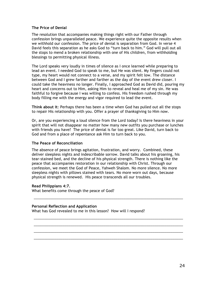### **The Price of Denial**

The resolution that accompanies making things right with our Father through confession brings unparalleled peace. We experience quite the opposite results when we withhold our confession. The price of denial is separation from God. In verse 4 David feels this separation as he asks God to "turn back to him." God will pull out all the stops to mend a broken relationship with one of His children, from withholding blessings to permitting physical illness.

The Lord speaks very loudly in times of silence as I once learned while preparing to lead an event. I needed God to speak to me, but He was silent. My fingers could not type, my heart would not connect to a verse, and my spirit felt low. The distance between God and I grew farther and farther as the day of the event drew closer. I could take the heaviness no longer. Finally, I approached God as David did, pouring my heart and concerns out to Him, asking Him to reveal and heal me of my sin. He was faithful to forgive because I was willing to confess. His freedom rushed through my body filling me with the energy and vigor required to lead the event.

**Think about it**: Perhaps there has been a time when God has pulled out all the stops to repair His relationship with you. Offer a prayer of thanksgiving to Him now.

Or, are you experiencing a loud silence from the Lord today? Is there heaviness in your spirit that will not disappear no matter how many new outfits you purchase or lunches with friends you have? The price of denial is far too great. Like David, turn back to God and from a place of repentance ask Him to turn back to you.

### **The Peace of Reconciliation**

The absence of peace brings agitation, frustration, and worry. Combined, these deliver sleepless nights and indescribable sorrow. David talks about his groaning, his tear-stained bed, and the decline of his physical strength. There is nothing like the peace that accompanies restoration in our relationship with Christ. Through our confession, we meet the God of Peace, Yahweh Shalom. No more silence. No more sleepless nights with pillows stained with tears. No more worn out days, because physical strength is renewed. His peace transcends all our troubles.

\_\_\_\_\_\_\_\_\_\_\_\_\_\_\_\_\_\_\_\_\_\_\_\_\_\_\_\_\_\_\_\_\_\_\_\_\_\_\_\_\_\_\_\_\_\_\_\_\_\_\_\_\_\_\_\_\_\_\_\_\_\_\_\_\_\_\_\_\_\_\_\_\_

\_\_\_\_\_\_\_\_\_\_\_\_\_\_\_\_\_\_\_\_\_\_\_\_\_\_\_\_\_\_\_\_\_\_\_\_\_\_\_\_\_\_\_\_\_\_\_\_\_\_\_\_\_\_\_\_\_\_\_\_\_\_\_\_\_\_\_\_\_\_\_\_\_ \_\_\_\_\_\_\_\_\_\_\_\_\_\_\_\_\_\_\_\_\_\_\_\_\_\_\_\_\_\_\_\_\_\_\_\_\_\_\_\_\_\_\_\_\_\_\_\_\_\_\_\_\_\_\_\_\_\_\_\_\_\_\_\_\_\_\_\_\_\_\_\_\_ \_\_\_\_\_\_\_\_\_\_\_\_\_\_\_\_\_\_\_\_\_\_\_\_\_\_\_\_\_\_\_\_\_\_\_\_\_\_\_\_\_\_\_\_\_\_\_\_\_\_\_\_\_\_\_\_\_\_\_\_\_\_\_\_\_\_\_\_\_\_\_\_\_ \_\_\_\_\_\_\_\_\_\_\_\_\_\_\_\_\_\_\_\_\_\_\_\_\_\_\_\_\_\_\_\_\_\_\_\_\_\_\_\_\_\_\_\_\_\_\_\_\_\_\_\_\_\_\_\_\_\_\_\_\_\_\_\_\_\_\_\_\_\_\_\_\_

### **Read Philippians 4:7.**

What benefits come through the peace of God?

### **Personal Reflection and Application**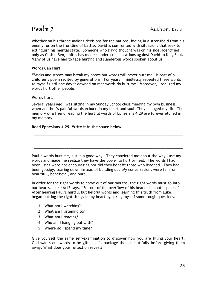Whether on his throne making decisions for the nations, hiding in a stronghold from his enemy, or on the frontline of battle, David is confronted with situations that seek to extinguish his mental state. Someone who David thought was on his side, identified only as Cush a Benjamite, has made slanderous accusations against David to King Saul. Many of us have had to face hurting and slanderous words spoken about us.

### **Words Can Hurt**

"Sticks and stones may break my bones but words will never hurt me" is part of a children's poem recited by generations. For years I mindlessly repeated these words to myself until one day it dawned on me: words do hurt me. Moreover, I realized my words hurt other people.

### **Words hurt.**

Several years ago I was sitting in my Sunday School class minding my own business when another's painful words echoed in my heart and soul. They changed my life. The memory of a friend reading the hurtful words of Ephesians 4:29 are forever etched in my memory.

\_\_\_\_\_\_\_\_\_\_\_\_\_\_\_\_\_\_\_\_\_\_\_\_\_\_\_\_\_\_\_\_\_\_\_\_\_\_\_\_\_\_\_\_\_\_\_\_\_\_\_\_\_\_\_\_\_\_\_\_\_\_\_\_\_\_\_\_\_\_\_\_\_ \_\_\_\_\_\_\_\_\_\_\_\_\_\_\_\_\_\_\_\_\_\_\_\_\_\_\_\_\_\_\_\_\_\_\_\_\_\_\_\_\_\_\_\_\_\_\_\_\_\_\_\_\_\_\_\_\_\_\_\_\_\_\_\_\_\_\_\_\_\_\_\_\_ \_\_\_\_\_\_\_\_\_\_\_\_\_\_\_\_\_\_\_\_\_\_\_\_\_\_\_\_\_\_\_\_\_\_\_\_\_\_\_\_\_\_\_\_\_\_\_\_\_\_\_\_\_\_\_\_\_\_\_\_\_\_\_\_\_\_\_\_\_\_\_\_\_

### **Read Ephesians 4:29. Write it in the space below.**

Paul's words hurt me, but in a good way. They convicted me about the way I use my words and made me realize they have the power to hurt or heal. The words I had been using were not encouraging nor did they benefit those who listened. They had been gossipy, tearing down instead of building up. My conversations were far from beautiful, beneficial, and pure.

In order for the right words to come out of our mouths, the right words must go into our hearts. Luke 6:45 says, "For out of the overflow of his heart his mouth speaks." After hearing Paul's hurtful but helpful words and learning this truth from Luke, I began putting the right things in my heart by asking myself some tough questions.

- 1. What am I watching?
- 2. What am I listening to?
- 3. What am I reading?
- 4. Who am I hanging out with?
- 5. Where do I spend my time?

Give yourself the same self-examination to discover how you are filling your heart. God wants our words to be gifts. Let's package them beautifully before giving them away. What does your reflection reveal?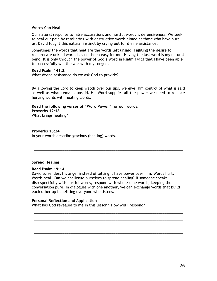### **Words Can Heal**

Our natural response to false accusations and hurtful words is defensiveness. We seek to heal our pain by retaliating with destructive words aimed at those who have hurt us. David fought this natural instinct by crying out for divine assistance.

Sometimes the words that heal are the words left unsaid. Fighting the desire to reciprocate unkind words has not been easy for me. Having the last word is my natural bend. It is only through the power of God's Word in Psalm 141:3 that I have been able to successfully win the war with my tongue.

**Read Psalm 141:3.** What divine assistance do we ask God to provide?

By allowing the Lord to keep watch over our lips, we give Him control of what is said as well as what remains unsaid. His Word supplies all the power we need to replace hurting words with healing words.

\_\_\_\_\_\_\_\_\_\_\_\_\_\_\_\_\_\_\_\_\_\_\_\_\_\_\_\_\_\_\_\_\_\_\_\_\_\_\_\_\_\_\_\_\_\_\_\_\_\_\_\_\_\_\_\_\_\_\_\_\_\_\_\_\_\_\_\_\_\_\_\_\_

\_\_\_\_\_\_\_\_\_\_\_\_\_\_\_\_\_\_\_\_\_\_\_\_\_\_\_\_\_\_\_\_\_\_\_\_\_\_\_\_\_\_\_\_\_\_\_\_\_\_\_\_\_\_\_\_\_\_\_\_\_\_\_\_\_\_\_\_\_\_\_\_\_ \_\_\_\_\_\_\_\_\_\_\_\_\_\_\_\_\_\_\_\_\_\_\_\_\_\_\_\_\_\_\_\_\_\_\_\_\_\_\_\_\_\_\_\_\_\_\_\_\_\_\_\_\_\_\_\_\_\_\_\_\_\_\_\_\_\_\_\_\_\_\_\_\_

\_\_\_\_\_\_\_\_\_\_\_\_\_\_\_\_\_\_\_\_\_\_\_\_\_\_\_\_\_\_\_\_\_\_\_\_\_\_\_\_\_\_\_\_\_\_\_\_\_\_\_\_\_\_\_\_\_\_\_\_\_\_\_\_\_\_\_\_\_\_\_\_\_

**Read the following verses of "Word Power" for our words. Proverbs 12:18** What brings healing?

### **Proverbs 16:24**

In your words describe gracious (healing) words.

### **Spread Healing**

### **Read Psalm 19:14.**

David surrenders his anger instead of letting it have power over him. Words hurt. Words heal. Can we challenge ourselves to spread healing? If someone speaks disrespectfully with hurtful words, respond with wholesome words, keeping the conversation pure. In dialogues with one another, we can exchange words that build each other up benefiting everyone who listens.

\_\_\_\_\_\_\_\_\_\_\_\_\_\_\_\_\_\_\_\_\_\_\_\_\_\_\_\_\_\_\_\_\_\_\_\_\_\_\_\_\_\_\_\_\_\_\_\_\_\_\_\_\_\_\_\_\_\_\_\_\_\_\_\_\_\_\_\_\_\_\_\_\_ \_\_\_\_\_\_\_\_\_\_\_\_\_\_\_\_\_\_\_\_\_\_\_\_\_\_\_\_\_\_\_\_\_\_\_\_\_\_\_\_\_\_\_\_\_\_\_\_\_\_\_\_\_\_\_\_\_\_\_\_\_\_\_\_\_\_\_\_\_\_\_\_\_ \_\_\_\_\_\_\_\_\_\_\_\_\_\_\_\_\_\_\_\_\_\_\_\_\_\_\_\_\_\_\_\_\_\_\_\_\_\_\_\_\_\_\_\_\_\_\_\_\_\_\_\_\_\_\_\_\_\_\_\_\_\_\_\_\_\_\_\_\_\_\_\_\_ \_\_\_\_\_\_\_\_\_\_\_\_\_\_\_\_\_\_\_\_\_\_\_\_\_\_\_\_\_\_\_\_\_\_\_\_\_\_\_\_\_\_\_\_\_\_\_\_\_\_\_\_\_\_\_\_\_\_\_\_\_\_\_\_\_\_\_\_\_\_\_\_\_

### **Personal Reflection and Application**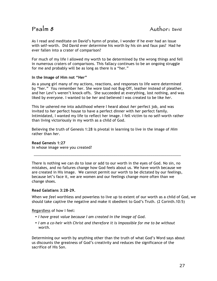As I read and meditate on David's hymn of praise, I wonder if he ever had an issue with self-worth. Did David ever determine his worth by his sin and faux pas? Had he ever fallen into a crater of comparison?

For much of my life I allowed my worth to be determined by the wrong things and fell in numerous craters of comparisons. This fallacy continues to be an ongoing struggle for me and probably will be as long as there is a "her."

### **In the Image of Him not "Her"**

As a young girl many of my actions, reactions, and responses to life were determined by "her." You remember her. She wore Izod not Bug-Off, leather instead of pleather, and her Levi's weren't knock-offs. She succeeded at everything, lost nothing, and was liked by everyone. I wanted to be *her* and believed I was created to be like *her*.

This lie ushered me into adulthood where I heard about *her* perfect job, and was invited to *her* perfect house to have a perfect dinner with *her* perfect family. Intimidated, I wanted my life to reflect her image. I fell victim to no self-worth rather than living victoriously in my worth as a child of God.

Believing the truth of Genesis 1:28 is pivotal in learning to live in the image of *Him*  rather than *her*.

### **Read Genesis 1:27**

In whose image were you created?

There is nothing we can do to lose or add to our worth in the eyes of God. No sin, no mistakes, and no failures change how God feels about us. We have worth because we are created in His image. We cannot permit our worth to be dictated by our feelings, because let's face it, we are women and our feelings change more often than we change shoes.

\_\_\_\_\_\_\_\_\_\_\_\_\_\_\_\_\_\_\_\_\_\_\_\_\_\_\_\_\_\_\_\_\_\_\_\_\_\_\_\_\_\_\_\_\_\_\_\_\_\_\_\_\_\_\_\_\_\_\_\_\_\_\_\_\_\_\_\_\_\_\_\_

### **Read Galatians 3:28-29.**

When we *feel* worthless and powerless to live up to extent of our worth as a child of God, we should take captive the negative and make it obedient to God's Truth. (2 Corinth.10:5)

Regardless of how I feel:

- *I have great value because I am created in the image of God.*
- *I am a co-heir with Christ and therefore it is impossible for me to be without worth.*

Determining our worth by anything other than the truth of what God's Word says about us discounts the greatness of God's creativity and reduces the significance of the sacrifice of His Son.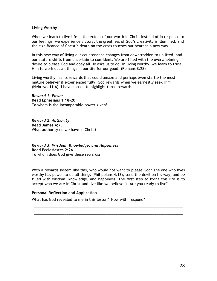### **Living Worthy**

When we learn to live life in the extent of our worth in Christ instead of in response to our feelings, we experience victory, the greatness of God's creativity is illumined, and the significance of Christ's death on the cross touches our heart in a new way.

In this new way of living our countenance changes from downtrodden to uplifted, and our stature shifts from uncertain to confident. We are filled with the overwhelming desire to please God and obey all He asks us to do. In living worthy, we learn to trust Him to work out all things in our life for our good. (Romans 8:28)

Living worthy has its rewards that could amaze and perhaps even startle the most mature believer if experienced fully. God rewards when we earnestly seek Him (Hebrews 11:6). I have chosen to highlight three rewards.

\_\_\_\_\_\_\_\_\_\_\_\_\_\_\_\_\_\_\_\_\_\_\_\_\_\_\_\_\_\_\_\_\_\_\_\_\_\_\_\_\_\_\_\_\_\_\_\_\_\_\_\_\_\_\_\_\_\_\_\_\_\_\_\_\_\_\_\_\_\_\_\_

\_\_\_\_\_\_\_\_\_\_\_\_\_\_\_\_\_\_\_\_\_\_\_\_\_\_\_\_\_\_\_\_\_\_\_\_\_\_\_\_\_\_\_\_\_\_\_\_\_\_\_\_\_\_\_\_\_\_\_\_\_\_\_\_\_\_\_\_\_\_\_\_

*Reward 1: Power*  **Read Ephesians 1:18-20.** To whom is the incomparable power given?

*Reward 2: Authority* **Read James 4:7.** What authority do we have in Christ?

*Reward 3: Wisdom, Knowledge, and Happiness* **Read Ecclesiastes 2:26.** To whom does God give these rewards?

With a rewards system like this, who would not want to please God? The one who lives worthy has power to do all things (Philippians 4:13), send the devil on his way, and be filled with wisdom, knowledge, and happiness. The first step to living this life is to accept who we are in Christ and live like we believe it. Are you ready to live?

\_\_\_\_\_\_\_\_\_\_\_\_\_\_\_\_\_\_\_\_\_\_\_\_\_\_\_\_\_\_\_\_\_\_\_\_\_\_\_\_\_\_\_\_\_\_\_\_\_\_\_\_\_\_\_\_\_\_\_\_\_\_\_\_\_\_\_\_\_\_\_\_\_ \_\_\_\_\_\_\_\_\_\_\_\_\_\_\_\_\_\_\_\_\_\_\_\_\_\_\_\_\_\_\_\_\_\_\_\_\_\_\_\_\_\_\_\_\_\_\_\_\_\_\_\_\_\_\_\_\_\_\_\_\_\_\_\_\_\_\_\_\_\_\_\_\_ \_\_\_\_\_\_\_\_\_\_\_\_\_\_\_\_\_\_\_\_\_\_\_\_\_\_\_\_\_\_\_\_\_\_\_\_\_\_\_\_\_\_\_\_\_\_\_\_\_\_\_\_\_\_\_\_\_\_\_\_\_\_\_\_\_\_\_\_\_\_\_\_\_ \_\_\_\_\_\_\_\_\_\_\_\_\_\_\_\_\_\_\_\_\_\_\_\_\_\_\_\_\_\_\_\_\_\_\_\_\_\_\_\_\_\_\_\_\_\_\_\_\_\_\_\_\_\_\_\_\_\_\_\_\_\_\_\_\_\_\_\_\_\_\_\_\_

\_\_\_\_\_\_\_\_\_\_\_\_\_\_\_\_\_\_\_\_\_\_\_\_\_\_\_\_\_\_\_\_\_\_\_\_\_\_\_\_\_\_\_\_\_\_\_\_\_\_\_\_\_\_\_\_\_\_\_\_\_\_\_\_\_\_\_\_\_\_\_\_

### **Personal Reflection and Application**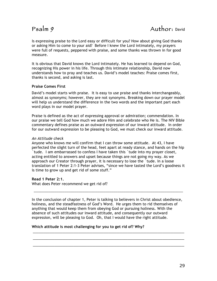Is expressing praise to the Lord easy or difficult for you? How about giving God thanks or asking Him to come to your aid? Before I knew the Lord intimately, my prayers were full of requests, peppered with praise, and some thanks was thrown in for good measure.

It is obvious that David knows the Lord intimately. He has learned to depend on God, recognizing His power in his life. Through this intimate relationship, David now understands how to pray and teaches us. David's model teaches: Praise comes first, thanks is second, and asking is last.

### **Praise Comes First**

David's model starts with praise. It is easy to use praise and thanks interchangeably, almost as synonyms; however, they are not synonyms. Breaking down our prayer model will help us understand the difference in the two words and the important part each word plays in our model prayer.

Praise is defined as the act of expressing approval or admiration; commendation. In our praise we tell God how much we adore Him and celebrate who He is. The NIV Bible commentary defines praise as an outward expression of our inward attitude. In order for our outward expression to be pleasing to God, we must check our inward attitude.

### *An Attitude check*

Anyone who knows me will confirm that I can throw some attitude. At 43, I have perfected the slight turn of the head, feet apart at ready stance, and hands on the hip tude. I am embarrassed to confess I have taken this `tude into my prayer closet, acting entitled to answers and upset because things are not going my way. As we approach our Creator through prayer, it is necessary to lose the `tude. In a loose translation of 1 Peter 2:1-3 Peter advises, "since we have tasted the Lord's goodness it is time to grow up and get rid of some stuff."

# **Read 1 Peter 2:1.**

What does Peter recommend we get rid of?

In the conclusion of chapter 1, Peter is talking to believers in Christ about obedience, holiness, and the steadfastness of God's Word. He urges them to rid themselves of anything that would keep them from obeying God or pursuing holiness. With the absence of such attitudes our inward attitude, and consequently our outward expression, will be pleasing to God. Oh, that I would have the right attitude.

\_\_\_\_\_\_\_\_\_\_\_\_\_\_\_\_\_\_\_\_\_\_\_\_\_\_\_\_\_\_\_\_\_\_\_\_\_\_\_\_\_\_\_\_\_\_\_\_\_\_\_\_\_\_\_\_ \_\_\_\_\_\_\_\_\_\_\_\_\_\_\_\_\_\_\_\_\_\_\_\_\_\_\_\_\_\_\_\_\_\_\_\_\_\_\_\_\_\_\_\_\_\_\_\_\_\_\_\_\_\_\_\_

\_\_\_\_\_\_\_\_\_\_\_\_\_\_\_\_\_\_\_\_\_\_\_\_\_\_\_\_\_\_\_\_\_\_\_\_\_\_\_\_\_\_\_\_\_\_\_\_\_\_\_\_\_\_\_\_\_\_\_\_\_\_\_\_\_\_\_\_\_\_\_\_\_

### **Which attitude is most challenging for you to get rid of? Why?** \_\_\_\_\_\_\_\_\_\_\_\_\_\_\_\_\_\_\_\_\_\_\_\_\_\_\_\_\_\_\_\_\_\_\_\_\_\_\_\_\_\_\_\_\_\_\_\_\_\_\_\_\_\_\_\_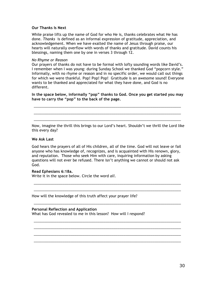### **Our Thanks Is Next**

While praise lifts up the name of God for who He is, thanks celebrates what He has done. *Thanks* is defined as an informal expression of gratitude, appreciation, and acknowledgement. When we have exalted the name of Jesus through praise, our hearts will naturally overflow with words of thanks and gratitude. David counts his blessings, naming them one by one in verses 3 through 12.

### *No Rhyme or Reason*

Our prayers of thanks do not have to be formal with lofty sounding words like David's. I remember when I was young: during Sunday School we thanked God "popcorn style." Informally, with no rhyme or reason and in no specific order, we would call out things for which we were thankful. Pop! Pop! Pop! Gratitude is an awesome sound! Everyone wants to be thanked and appreciated for what they have done, and God is no different.

**In the space below, informally "pop" thanks to God. Once you get started you may have to carry the "pop" to the back of the page.**

\_\_\_\_\_\_\_\_\_\_\_\_\_\_\_\_\_\_\_\_\_\_\_\_\_\_\_\_\_\_\_\_\_\_\_\_\_\_\_\_\_\_\_\_\_\_\_\_\_\_\_\_\_\_\_\_\_\_\_\_\_\_\_\_\_\_\_\_\_\_\_\_ \_\_\_\_\_\_\_\_\_\_\_\_\_\_\_\_\_\_\_\_\_\_\_\_\_\_\_\_\_\_\_\_\_\_\_\_\_\_\_\_\_\_\_\_\_\_\_\_\_\_\_\_\_\_\_\_\_\_\_\_\_\_\_\_\_\_\_\_\_\_\_\_ \_\_\_\_\_\_\_\_\_\_\_\_\_\_\_\_\_\_\_\_\_\_\_\_\_\_\_\_\_\_\_\_\_\_\_\_\_\_\_\_\_\_\_\_\_\_\_\_\_\_\_\_\_\_\_\_\_\_\_\_\_\_\_\_\_\_\_\_\_\_\_\_

Now, imagine the thrill this brings to our Lord's heart. Shouldn't we thrill the Lord like this every day?

### **We Ask Last**

God hears the prayers of all of His children, all of the time. God will not leave or fail anyone who has knowledge of, recognizes, and is acquainted with His renown, glory, and reputation. Those who seek Him with care, inquiring information by asking questions will not ever be refused. There isn't anything we cannot or should not ask God.

\_\_\_\_\_\_\_\_\_\_\_\_\_\_\_\_\_\_\_\_\_\_\_\_\_\_\_\_\_\_\_\_\_\_\_\_\_\_\_\_\_\_\_\_\_\_\_\_\_\_\_\_\_\_\_\_\_\_\_\_\_\_\_\_\_\_\_\_\_\_\_\_ \_\_\_\_\_\_\_\_\_\_\_\_\_\_\_\_\_\_\_\_\_\_\_\_\_\_\_\_\_\_\_\_\_\_\_\_\_\_\_\_\_\_\_\_\_\_\_\_\_\_\_\_\_\_\_\_\_\_\_\_\_\_\_\_\_\_\_\_\_\_\_\_

\_\_\_\_\_\_\_\_\_\_\_\_\_\_\_\_\_\_\_\_\_\_\_\_\_\_\_\_\_\_\_\_\_\_\_\_\_\_\_\_\_\_\_\_\_\_\_\_\_\_\_\_\_\_\_\_\_\_\_\_\_\_\_\_\_\_\_\_\_\_\_\_

\_\_\_\_\_\_\_\_\_\_\_\_\_\_\_\_\_\_\_\_\_\_\_\_\_\_\_\_\_\_\_\_\_\_\_\_\_\_\_\_\_\_\_\_\_\_\_\_\_\_\_\_\_\_\_\_\_\_\_\_\_\_\_\_\_\_\_\_\_\_\_\_ \_\_\_\_\_\_\_\_\_\_\_\_\_\_\_\_\_\_\_\_\_\_\_\_\_\_\_\_\_\_\_\_\_\_\_\_\_\_\_\_\_\_\_\_\_\_\_\_\_\_\_\_\_\_\_\_\_\_\_\_\_\_\_\_\_\_\_\_\_\_\_\_ \_\_\_\_\_\_\_\_\_\_\_\_\_\_\_\_\_\_\_\_\_\_\_\_\_\_\_\_\_\_\_\_\_\_\_\_\_\_\_\_\_\_\_\_\_\_\_\_\_\_\_\_\_\_\_\_\_\_\_\_\_\_\_\_\_\_\_\_\_\_\_\_ \_\_\_\_\_\_\_\_\_\_\_\_\_\_\_\_\_\_\_\_\_\_\_\_\_\_\_\_\_\_\_\_\_\_\_\_\_\_\_\_\_\_\_\_\_\_\_\_\_\_\_\_\_\_\_\_\_\_\_\_\_\_\_\_\_\_\_\_\_\_\_\_

### **Read Ephesians 6:18a.**

Write it in the space below. Circle the word *all*.

How will the knowledge of this truth affect your prayer life?

### **Personal Reflection and Application**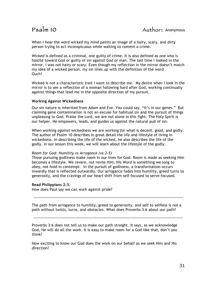When I hear the word *wicked* my mind paints an image of a hairy, scary, and dirty person trying to act inconspicuous while waiting to commit a crime.

*Wicked* is defined as a criminal, one guilty of crime. It is also defined as one who is hostile toward God or guilty of sin against God or man. The last time I looked in the mirror, I was not hairy or scary. Even though my reflection in the mirror doesn't match my idea of a wicked person, my sin lines up with the definition of the word Ouch!

Wicked is not a characteristic trait I want to describe me. My desire when I look in the mirror is to see a reflection of a woman following hard after God, working continually against things that lead me in the opposite direction of my pursuit.

### **Working Against Wickedness**

Our sin nature is inherited from Adam and Eve. You could say, "It's in our genes." But claiming gene contamination is not an excuse for habitual sin and the pursuit of things unpleasing to God. Praise the Lord, we are not alone in this fight. The Holy Spirit is our helper. He empowers, leads, and guides us against the natural pull of sin.

When working *against* wickedness we are working *for* what is decent, good, and godly. The author of Psalm 10 describes in great detail the life and lifestyle of living in wickedness. In describing the life of the wicked, he also describes the life of the godly. In our lesson this week, we will learn about the lifestyle of the godly.

### *Room for God: Humility vs Arrogance (vs.2-5)*

Those pursuing godliness make room in our lives for God. Room is made as seeking Him becomes a lifestyle. We revere, not revile Him. His Word is something we long to obey, not hold in contempt. In the pursuit of godliness, a transformation occurs inwardly that is reflected outwardly. Our arrogance fades into humility, greed turns to generosity, and the cravings of our heart shift from self-focused to serve-focused.

### **Read Philippians 2:3.**

How does Paul say we can work against pride?

The path from arrogance to humility, greed to generosity, and self to selfless is not a path without twists, turns, and obstacles. What does Proverbs 3:6 about our path?

\_\_\_\_\_\_\_\_\_\_\_\_\_\_\_\_\_\_\_\_\_\_\_\_\_\_\_\_\_\_\_\_\_\_\_\_\_\_\_\_\_\_\_\_\_\_\_\_\_\_\_\_\_\_\_\_\_\_\_\_\_\_\_\_\_\_\_\_\_\_\_\_\_

\_\_\_\_\_\_\_\_\_\_\_\_\_\_\_\_\_\_\_\_\_\_\_\_\_\_\_\_\_\_\_\_\_\_\_\_\_\_\_\_\_\_\_\_\_\_\_\_\_\_\_\_\_\_\_\_\_\_\_\_\_\_\_\_\_\_\_\_\_\_\_\_\_

Proverbs 3:6 does not tell us to make our path straight. It says, as we acknowledge God, He will do all the work. It is easy to make room for a God like that, don't you think?

How exciting to know our God does the work on our behalf as we seek Him and His direction!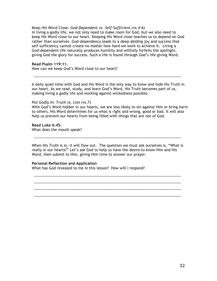### *Keep His Word Close: God-Dependent vs. Self-Sufficient (vs.4-6)*

In living a godly life, we not only need to make room for God, but we also need to keep His Word close to our heart. Keeping His Word close teaches us to depend on God rather than ourselves. God-dependency leads to a deep abiding joy and success that self-sufficiency cannot create no matter how hard we work to achieve it. Living a God-dependent life naturally produces humility and willfully forfeits the spotlight, giving God the glory for success. Such a life is found through God's life-giving Word.

### **Read Psalm 119:11.**

How can we keep God's Word close to our heart?

A daily quiet time with God and His Word is the only way to know and hide His Truth in our heart. As we read, study, and learn God's Word, His Truth becomes part of us, making living a godly life and working against wickedness possible.

\_\_\_\_\_\_\_\_\_\_\_\_\_\_\_\_\_\_\_\_\_\_\_\_\_\_\_\_\_\_\_\_\_\_\_\_\_\_\_\_\_\_\_\_\_\_\_\_\_\_\_\_\_\_\_\_\_\_\_\_\_\_\_\_\_\_\_\_\_\_\_\_

### *Put Godly In: Truth vs. Lies (vs.7)*

With God's Word hidden in our hearts, we are less likely to sin against Him or bring harm to others. His Word determines for us what is right and wrong, good or bad. It will also help us prevent our hearts from being filled with things that are not of God.

### **Read Luke 6:45.**

What does the mouth speak?

When His Truth is in, it will flow out. The question we must ask ourselves is, "What is really in our hearts?" Let's ask God to help us have the desire to know Him and His Word, then submit to Him, giving Him time to answer our prayer.

\_\_\_\_\_\_\_\_\_\_\_\_\_\_\_\_\_\_\_\_\_\_\_\_\_\_\_\_\_\_\_\_\_\_\_\_\_\_\_\_\_\_\_\_\_\_\_\_\_\_\_\_\_\_\_\_\_\_\_\_\_\_\_\_\_\_\_\_\_\_\_\_ \_\_\_\_\_\_\_\_\_\_\_\_\_\_\_\_\_\_\_\_\_\_\_\_\_\_\_\_\_\_\_\_\_\_\_\_\_\_\_\_\_\_\_\_\_\_\_\_\_\_\_\_\_\_\_\_\_\_\_\_\_\_\_\_\_\_\_\_\_\_\_\_ \_\_\_\_\_\_\_\_\_\_\_\_\_\_\_\_\_\_\_\_\_\_\_\_\_\_\_\_\_\_\_\_\_\_\_\_\_\_\_\_\_\_\_\_\_\_\_\_\_\_\_\_\_\_\_\_\_\_\_\_\_\_\_\_\_\_\_\_\_\_\_\_ \_\_\_\_\_\_\_\_\_\_\_\_\_\_\_\_\_\_\_\_\_\_\_\_\_\_\_\_\_\_\_\_\_\_\_\_\_\_\_\_\_\_\_\_\_\_\_\_\_\_\_\_\_\_\_\_\_\_\_\_\_\_\_\_\_\_\_\_\_\_\_\_

\_\_\_\_\_\_\_\_\_\_\_\_\_\_\_\_\_\_\_\_\_\_\_\_\_\_\_\_\_\_\_\_\_\_\_\_\_\_\_\_\_\_\_\_\_\_\_\_\_\_\_\_\_\_\_\_\_\_\_\_\_\_\_\_\_\_\_\_\_\_\_\_

### **Personal Reflection and Application**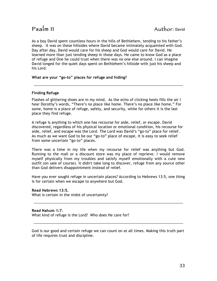As a boy David spent countless hours in the hills of Bethlehem, tending to his father's sheep. It was on these hillsides where David became intimately acquainted with God. Day after day, David would care for his sheep and God would care for David. He learned more than just tending sheep in those days. He came to know God as a place of refuge and One he could trust when there was no one else around. I can imagine David longed for the quiet days spent on Bethlehem's hillside with just his sheep and his Lord.

### **What are your "go-to" places for refuge and hiding?**

### **Finding Refuge**

Flashes of glittering shoes are in my mind. As the echo of clicking heels fills the air I hear Dorothy's words, "There's no place like home. There's no place like home." For some, home is a place of refuge, safety, and security, while for others it is the last place they find refuge.

\_\_\_\_\_\_\_\_\_\_\_\_\_\_\_\_\_\_\_\_\_\_\_\_\_\_\_\_\_\_\_\_\_\_\_\_\_\_\_\_\_\_\_\_\_\_\_\_\_\_\_\_\_\_\_\_\_\_\_\_\_\_\_\_\_\_\_\_\_\_\_\_\_

A refuge is anything to which one has recourse for aide, relief, or escape. David discovered, regardless of his physical location or emotional condition, his recourse for aide, relief, and escape was the Lord. The Lord was David's "go-to" place for relief. As much as we want God to be our "go-to" place of escape, it is easy to seek relief from some uncertain "go-to" places.

There was a time in my life when my recourse for relief was anything but God. Running to the mall or a discount store was my place of reprieve. I would remove myself physically from my troubles and satisfy myself emotionally with a cute new outfit (on sale of course). It didn't take long to discover, refuge from any source other than God delivers disappointment instead of relief.

Have you ever sought refuge in uncertain places? According to Hebrews 13:5, one thing is for certain when we escape to anywhere but God.

\_\_\_\_\_\_\_\_\_\_\_\_\_\_\_\_\_\_\_\_\_\_\_\_\_\_\_\_\_\_\_\_\_\_\_\_\_\_\_\_\_\_\_\_\_\_\_\_\_\_\_\_\_\_\_\_\_\_\_\_\_\_\_\_\_\_\_\_\_\_\_\_\_

### **Read Hebrews 13:5.**

What is certain in the midst of uncertainty?

**Read Nahum 1:7.** What kind of refuge is the Lord? Who does He care for?

God is our good and certain refuge we can count on at all times. Making this truth part of life requires trust and discipline.

\_\_\_\_\_\_\_\_\_\_\_\_\_\_\_\_\_\_\_\_\_\_\_\_\_\_\_\_\_\_\_\_\_\_\_\_\_\_\_\_\_\_\_\_\_\_\_\_\_\_\_\_\_\_\_\_\_\_\_\_\_\_\_\_\_\_\_\_\_\_\_\_\_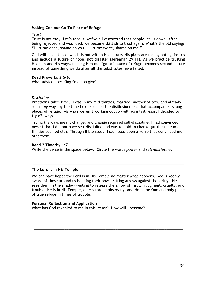### **Making God our Go-To Place of Refuge**

### *Trust*

Trust is not easy. Let's face it; we've all discovered that people let us down. After being rejected and wounded, we become skittish to trust again. What's the old saying? "Hurt me once, shame on you. Hurt me twice, shame on me."

God will not let us down. It is not within His nature. His plans are for us, not against us and include a future of hope, not disaster (Jeremiah 29:11). As we practice trusting His plan and His ways, making Him our "go-to" place of refuge becomes second nature instead of something we do after all the substitutes have failed.

### **Read Proverbs 3:5-6.**

What advice does King Solomon give?

### *Discipline*

Practicing takes time. I was in my mid-thirties, married, mother of two, and already set in *my* ways by the time I experienced the disillusionment that accompanies wrong places of refuge. *My* ways weren't working out so well. As a last resort I decided to try *His* ways.

\_\_\_\_\_\_\_\_\_\_\_\_\_\_\_\_\_\_\_\_\_\_\_\_\_\_\_\_\_\_\_\_\_\_\_\_\_\_\_\_\_\_\_\_\_\_\_\_\_\_\_\_\_\_\_\_\_\_\_\_\_\_\_\_\_\_\_\_\_\_\_\_\_

Trying *His* ways meant change, and change required self-discipline. I had convinced myself that I did not have self-discipline and was too old to change (at the time midthirties seemed old). Through Bible study, I stumbled upon a verse that convinced me otherwise.

### **Read 2 Timothy 1:7.**

Write the verse in the space below. Circle the words *power* and *self-discipline*.

### **The Lord is in His Temple**

We can have hope: the Lord is in His Temple no matter what happens. God is keenly aware of those around us bending their bows, sitting arrows against the string. He sees them in the shadow waiting to release the arrow of insult, judgment, cruelty, and trouble. He is in His Temple, on His throne observing, and He is the One and only place of true refuge in times of trouble.

\_\_\_\_\_\_\_\_\_\_\_\_\_\_\_\_\_\_\_\_\_\_\_\_\_\_\_\_\_\_\_\_\_\_\_\_\_\_\_\_\_\_\_\_\_\_\_\_\_\_\_\_\_\_\_\_\_\_\_\_\_\_\_\_\_\_\_\_\_\_\_\_\_ \_\_\_\_\_\_\_\_\_\_\_\_\_\_\_\_\_\_\_\_\_\_\_\_\_\_\_\_\_\_\_\_\_\_\_\_\_\_\_\_\_\_\_\_\_\_\_\_\_\_\_\_\_\_\_\_\_\_\_\_\_\_\_\_\_\_\_\_\_\_\_\_\_ \_\_\_\_\_\_\_\_\_\_\_\_\_\_\_\_\_\_\_\_\_\_\_\_\_\_\_\_\_\_\_\_\_\_\_\_\_\_\_\_\_\_\_\_\_\_\_\_\_\_\_\_\_\_\_\_\_\_\_\_\_\_\_\_\_\_\_\_\_\_\_\_\_ \_\_\_\_\_\_\_\_\_\_\_\_\_\_\_\_\_\_\_\_\_\_\_\_\_\_\_\_\_\_\_\_\_\_\_\_\_\_\_\_\_\_\_\_\_\_\_\_\_\_\_\_\_\_\_\_\_\_\_\_\_\_\_\_\_\_\_\_\_\_\_\_\_

\_\_\_\_\_\_\_\_\_\_\_\_\_\_\_\_\_\_\_\_\_\_\_\_\_\_\_\_\_\_\_\_\_\_\_\_\_\_\_\_\_\_\_\_\_\_\_\_\_\_\_\_\_\_\_\_\_\_\_\_\_\_\_\_\_\_\_\_\_\_\_\_\_ \_\_\_\_\_\_\_\_\_\_\_\_\_\_\_\_\_\_\_\_\_\_\_\_\_\_\_\_\_\_\_\_\_\_\_\_\_\_\_\_\_\_\_\_\_\_\_\_\_\_\_\_\_\_\_\_

### **Personal Reflection and Application**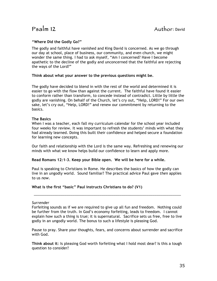### **"Where Did the Godly Go?"**

The godly and faithful have vanished and King David is concerned. As we go through our day at school, place of business, our community, and even church, we might wonder the same thing. I had to ask myself, "Am I concerned? Have I become apathetic to the decline of the godly and unconcerned that the faithful are rejecting the ways of the Lord?"

### **Think about what your answer to the previous questions might be.**

The godly have decided to blend in with the rest of the world and determined it is easier to go with the flow than against the current. The faithful have found it easier to conform rather than transform, to concede instead of contradict. Little by little the godly are vanishing. On behalf of the Church, let's cry out, "Help, LORD!" For our own sake, let's cry out, "Help, LORD!" and renew our commitment by returning to the basics.

### **The Basics**

When I was a teacher, each fall my curriculum calendar for the school year included four weeks for review. It was important to refresh the students' minds with what they had already learned. Doing this built their confidence and helped secure a foundation for learning new concepts.

Our faith and relationship with the Lord is the same way. Refreshing and renewing our minds with what we know helps build our confidence to learn and apply more.

### **Read Romans 12:1-3. Keep your Bible open. We will be here for a while.**

Paul is speaking to Christians in Rome. He describes the basics of how the godly can live in an ungodly world. Sound familiar? The practical advice Paul gave *then* applies to us *now*.

### **What is the first "basic" Paul instructs Christians to do? (V1)**

### *Surrender*

Forfeiting sounds as if we are required to give up all fun and freedom. Nothing could be further from the truth. In God's economy forfeiting, leads to freedom. I cannot explain how such a thing is true; it is supernatural. Sacrifice sets us free, free to live godly in an ungodly world. The bonus to such a lifestyle is pleasing God.

\_\_\_\_\_\_\_\_\_\_\_\_\_\_\_\_\_\_\_\_\_\_\_\_\_\_\_\_\_\_\_\_\_\_\_\_\_\_\_\_\_\_\_\_\_\_\_\_\_\_\_\_\_\_\_\_\_\_\_\_\_\_\_\_\_\_\_\_\_\_\_\_

Pause to pray. Share your thoughts, fears, and concerns about surrender and sacrifice with God.

**Think about it**: Is pleasing God worth forfeiting what I hold most dear? Is this a tough question to consider?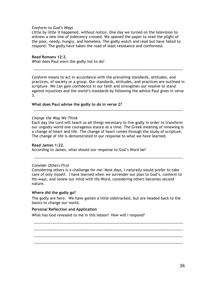### *Conform to God's Ways*

Little by little it happened, without notice. One day we turned on the television to witness a new line of indecency crossed. We opened the paper to read the plight of the poor, needy, hungry, and homeless. The godly watch and read but have failed to respond. The godly have taken the road of least resistance and conformed.

### **Read Romans 12:2.**

What does Paul warn the godly not to do?

*Conform* means to act in accordance with the prevailing standards, attitudes, and practices, of society or a group. Our standards, attitudes, and practices are outlined in scripture. We can gain confidence in our faith and strengthen our resolve to stand against injustices and the world's standards by following the advice Paul gives in verse 3.

\_\_\_\_\_\_\_\_\_\_\_\_\_\_\_\_\_\_\_\_\_\_\_\_\_\_\_\_\_\_\_\_\_\_\_\_\_\_\_\_\_\_\_\_\_\_\_\_\_\_\_\_\_\_\_\_\_\_\_\_\_\_\_\_\_\_\_\_\_\_\_\_\_

### **What does Paul advise the godly to do in verse 2?**

### *Change the Way We Think*

Each day the Lord will teach us all things necessary to live godly in order to transform our ungodly world one courageous stance at a time. The Greek meaning of renewing is a change of heart and life. The change of heart comes through the study of scripture. The change of life is demonstrated in our response to what we have learned.

\_\_\_\_\_\_\_\_\_\_\_\_\_\_\_\_\_\_\_\_\_\_\_\_\_\_\_\_\_\_\_\_\_\_\_\_\_\_\_\_\_\_\_\_\_\_\_\_\_\_\_\_\_\_\_\_\_\_\_\_\_\_\_\_\_\_\_\_\_\_\_\_\_

### **Read James 1:22.**

According to James, what should our response to God's Word be?

### *Consider Others First*

Considering others is a challenge for me. Most days, I naturally would prefer to take care of only myself. I have learned when we surrender our plan to God's, conform to His ways, and renew our mind with His Word, considering others becomes second nature.

\_\_\_\_\_\_\_\_\_\_\_\_\_\_\_\_\_\_\_\_\_\_\_\_\_\_\_\_\_\_\_\_\_\_\_\_\_\_\_\_\_\_\_\_\_\_\_\_\_\_\_\_\_\_\_\_\_\_\_\_\_\_\_\_\_\_\_\_\_\_\_\_\_

### **Where did the godly go?**

The godly are here. We have gotten a little sidetracked, but are headed back to the basics to change our world.

\_\_\_\_\_\_\_\_\_\_\_\_\_\_\_\_\_\_\_\_\_\_\_\_\_\_\_\_\_\_\_\_\_\_\_\_\_\_\_\_\_\_\_\_\_\_\_\_\_\_\_\_\_\_\_\_\_\_\_\_\_\_\_\_\_\_\_\_\_\_\_\_\_ \_\_\_\_\_\_\_\_\_\_\_\_\_\_\_\_\_\_\_\_\_\_\_\_\_\_\_\_\_\_\_\_\_\_\_\_\_\_\_\_\_\_\_\_\_\_\_\_\_\_\_\_\_\_\_\_\_\_\_\_\_\_\_\_\_\_\_\_\_\_\_\_\_ \_\_\_\_\_\_\_\_\_\_\_\_\_\_\_\_\_\_\_\_\_\_\_\_\_\_\_\_\_\_\_\_\_\_\_\_\_\_\_\_\_\_\_\_\_\_\_\_\_\_\_\_\_\_\_\_\_\_\_\_\_\_\_\_\_\_\_\_\_\_\_\_\_ \_\_\_\_\_\_\_\_\_\_\_\_\_\_\_\_\_\_\_\_\_\_\_\_\_\_\_\_\_\_\_\_\_\_\_\_\_\_\_\_\_\_\_\_\_\_\_\_\_\_\_\_\_\_\_\_\_\_\_\_\_\_\_\_\_\_\_\_\_\_\_\_\_

### **Personal Reflection and Application**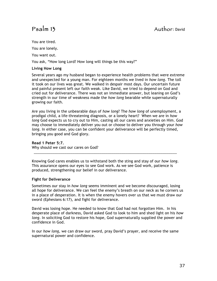You are tired.

You are lonely.

You want out.

You ask, "How long Lord? How long will things be this way?"

## **Living How Long**

Several years ago my husband began to experience health problems that were extreme and unexpected for a young man. For eighteen months we lived in *how long*. The toll it took on our lives was great. We walked in despair most days. Our uncertain future and painful present left our faith weak. Like David, we tried to depend on God and cried out for deliverance. There was not an immediate answer, but leaning on God's strength in our time of weakness made the *how long* bearable while supernaturally growing our faith.

Are you living in the unbearable days of *how long*? The *how long* of unemployment, a prodigal child, a life-threatening diagnosis, or a lonely heart? When we are in *how long* God expects us to cry out to Him, casting all our cares and anxieties on Him. God may choose to immediately deliver you out or choose to deliver you through your *how long*. In either case, you can be confident your deliverance will be perfectly timed, bringing you good and God glory.

## **Read 1 Peter 5:7.**

Why should we cast our cares on God?

Knowing God cares enables us to withstand both the sting and stay of our *how long*. This assurance opens our eyes to see God work. As we see God work, patience is produced, strengthening our belief in our deliverance.

\_\_\_\_\_\_\_\_\_\_\_\_\_\_\_\_\_\_\_\_\_\_\_\_\_\_\_\_\_\_\_\_\_\_\_\_\_\_\_\_\_\_\_\_\_\_\_\_\_\_\_\_\_\_\_\_\_\_\_\_\_\_\_\_\_\_\_\_\_\_

## **Fight for Deliverance**

Sometimes our stay in *how long* seems imminent and we become discouraged, losing all hope for deliverance. We can feel the enemy's breath on our neck as he corners us in a place of desperation. It is when the enemy hovers over us that we must draw our sword (Ephesians 6:17), and fight for deliverance.

David was losing hope. He needed to know that God had not forgotten Him. In his desperate place of darkness, David asked God to look to him and shed light on his *how long*. In soliciting God to restore his hope, God supernaturally supplied the power and confidence in God.

In our *how long,* we can draw our sword, pray David's prayer, and receive the same supernatural power and confidence.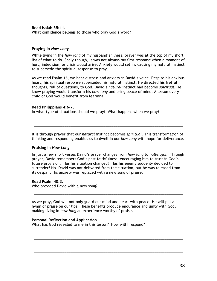#### **Read Isaiah 55:11.** What confidence belongs to those who pray God's Word?

## **Praying in** *How Long*

While living in the *how long* of my husband's illness, prayer was at the top of my short list of what to do. Sadly though, it was not always my first response when a moment of hurt, indecision, or crisis would arise. Anxiety would set in, causing my natural instinct to supersede the spiritual response to pray.

\_\_\_\_\_\_\_\_\_\_\_\_\_\_\_\_\_\_\_\_\_\_\_\_\_\_\_\_\_\_\_\_\_\_\_\_\_\_\_\_\_\_\_\_\_\_\_\_\_\_\_\_\_\_\_\_\_\_\_\_\_\_\_\_\_\_\_\_\_\_

As we read Psalm 16, we hear distress and anxiety in David's voice. Despite his anxious heart, his spiritual response superseded his natural instinct. He directed his fretful thoughts, full of questions, to God. David's *natural* instinct had become *spiritual*. He knew praying would transform his *how long* and bring peace of mind. A lesson every child of God would benefit from learning.

## **Read Philippians 4:6-7.**

In what type of situations should we pray? What happens when we pray?

It is through prayer that our *natural* instinct becomes *spiritual*. This transformation of thinking and responding enables us to dwell in our *how long* with hope for deliverance.

\_\_\_\_\_\_\_\_\_\_\_\_\_\_\_\_\_\_\_\_\_\_\_\_\_\_\_\_\_\_\_\_\_\_\_\_\_\_\_\_\_\_\_\_\_\_\_\_\_\_\_\_\_\_\_\_\_\_\_\_\_\_\_\_\_\_\_\_\_\_\_\_\_ \_\_\_\_\_\_\_\_\_\_\_\_\_\_\_\_\_\_\_\_\_\_\_\_\_\_\_\_\_\_\_\_\_\_\_\_\_\_\_\_\_\_\_\_\_\_\_\_\_\_\_\_\_\_\_\_\_\_\_\_\_\_\_\_\_\_\_\_\_\_\_\_\_

## **Praising in** *How Long*

In just a few short verses David's prayer changes from *how long* to *hallelujah*. Through prayer, David remembers God's past faithfulness, encouraging him to trust in God's future provision. Has his situation changed? Has his enemy suddenly decided to surrender? No. David was not delivered from the situation, but he was released from its despair. His anxiety was replaced with a new song of praise.

\_\_\_\_\_\_\_\_\_\_\_\_\_\_\_\_\_\_\_\_\_\_\_\_\_\_\_\_\_\_\_\_\_\_\_\_\_\_\_\_\_\_\_\_\_\_\_\_\_\_\_\_\_\_\_\_\_\_\_\_\_\_\_\_\_\_\_\_\_\_\_\_\_

\_\_\_\_\_\_\_\_\_\_\_\_\_\_\_\_\_\_\_\_\_\_\_\_\_\_\_\_\_\_\_\_\_\_\_\_\_\_\_\_\_\_\_\_\_\_\_\_\_\_\_\_\_\_\_\_\_\_\_\_\_\_\_\_\_\_\_\_\_\_\_\_\_ \_\_\_\_\_\_\_\_\_\_\_\_\_\_\_\_\_\_\_\_\_\_\_\_\_\_\_\_\_\_\_\_\_\_\_\_\_\_\_\_\_\_\_\_\_\_\_\_\_\_\_\_\_\_\_\_\_\_\_\_\_\_\_\_\_\_\_\_\_\_\_\_\_ \_\_\_\_\_\_\_\_\_\_\_\_\_\_\_\_\_\_\_\_\_\_\_\_\_\_\_\_\_\_\_\_\_\_\_\_\_\_\_\_\_\_\_\_\_\_\_\_\_\_\_\_\_\_\_\_\_\_\_\_\_\_\_\_\_\_\_\_\_\_\_\_\_ \_\_\_\_\_\_\_\_\_\_\_\_\_\_\_\_\_\_\_\_\_\_\_\_\_\_\_\_\_\_\_\_\_\_\_\_\_\_\_\_\_\_\_\_\_\_\_\_\_\_\_\_\_\_\_\_\_\_\_\_\_\_\_\_\_\_\_\_\_\_\_\_\_

## **Read Psalm 40:3.**

Who provided David with a new song?

As we pray, God will not only guard our mind and heart with peace; He will put a hymn of praise on our lips! These benefits produce endurance and unity with God, making living in *how long* an experience worthy of praise.

## **Personal Reflection and Application**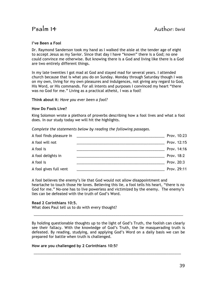## **I've Been a Fool**

Dr. Raymond Sanderson took my hand as I walked the aisle at the tender age of eight to accept Jesus as my Savior. Since that day I have "known" there is a God; no one could convince me otherwise. But knowing there is a God and living like there is a God are two entirely different things.

In my late twenties I got mad at God and stayed mad for several years. I attended church because that is what you do on Sunday. Monday through Saturday though I was on my own, living for my own pleasures and indulgences, not giving any regard to God, His Word, or His commands. For all intents and purposes I convinced my heart "there was no God for me." Living as a practical atheist, I was a fool!

## **Think about it***: Have you ever been a fool?*

#### **How Do Fools Live?**

King Solomon wrote a plethora of proverbs describing how a fool lives and what a fool does. In our study today we will hit the highlights.

#### *Complete the statements below by reading the following passages.*



A fool believes the enemy's lie that God would not allow disappointment and heartache to touch those He loves. Believing this lie, a fool tells his heart, "there is no God for me." No-one has to live powerless and victimized by the enemy. The enemy's lies can be defeated with the truth of God's Word.

## **Read 2 Corinthians 10:5.**

What does Paul tell us to do with every thought?

By holding questionable thoughts up to the light of God's Truth, the foolish can clearly see their fallacy. With the knowledge of God's Truth, the lie masquerading truth is defeated. By reading, studying, and applying God's Word on a daily basis we can be prepared for battle when truth is challenged.

\_\_\_\_\_\_\_\_\_\_\_\_\_\_\_\_\_\_\_\_\_\_\_\_\_\_\_\_\_\_\_\_\_\_\_\_\_\_\_\_\_\_\_\_\_\_\_\_\_\_\_\_\_\_\_\_\_\_\_\_\_\_\_\_\_\_\_\_\_\_\_\_

\_\_\_\_\_\_\_\_\_\_\_\_\_\_\_\_\_\_\_\_\_\_\_\_\_\_\_\_\_\_\_\_\_\_\_\_\_\_\_\_\_\_\_\_\_\_\_\_\_\_\_\_\_\_\_\_\_\_\_\_\_\_\_\_\_\_\_\_\_\_\_\_\_

#### **How are you challenged by 2 Corinthians 10:5?**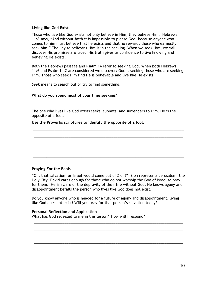## **Living like God Exists**

Those who live like God exists not only believe in Him, they believe Him. Hebrews 11:6 says, "And without faith it is impossible to please God, because anyone who comes to him must believe that he exists and that he rewards those who earnestly seek him." The key to believing Him is in the seeking. When we seek Him, we will discover His promises are true. His truth gives us confidence to live knowing and believing He exists.

Both the Hebrews passage and Psalm 14 refer to seeking God. When both Hebrews 11:6 and Psalm 14:2 are considered we discover: God is seeking those who are seeking Him. Those who seek Him find He is believable and live like He exists.

*Seek* means to search out or try to find something.

## **What do you spend most of your time seeking?**

The one who lives like God exists seeks, submits, and surrenders to Him. He is the opposite of a fool.

\_\_\_\_\_\_\_\_\_\_\_\_\_\_\_\_\_\_\_\_\_\_\_\_\_\_\_\_\_\_\_\_\_\_\_\_\_\_\_\_\_\_\_\_\_\_\_\_\_\_\_\_\_\_\_\_\_\_\_\_\_\_\_\_\_\_\_\_\_\_\_\_\_

\_\_\_\_\_\_\_\_\_\_\_\_\_\_\_\_\_\_\_\_\_\_\_\_\_\_\_\_\_\_\_\_\_\_\_\_\_\_\_\_\_\_\_\_\_\_\_\_\_\_\_\_\_\_\_\_ \_\_\_\_\_\_\_\_\_\_\_\_\_\_\_\_\_\_\_\_\_\_\_\_\_\_\_\_\_\_\_\_\_\_\_\_\_\_\_\_\_\_\_\_\_\_\_\_\_\_\_\_\_\_\_\_\_\_\_\_\_\_\_\_\_\_\_\_\_\_\_\_\_ \_\_\_\_\_\_\_\_\_\_\_\_\_\_\_\_\_\_\_\_\_\_\_\_\_\_\_\_\_\_\_\_\_\_\_\_\_\_\_\_\_\_\_\_\_\_\_\_\_\_\_\_\_\_\_\_ \_\_\_\_\_\_\_\_\_\_\_\_\_\_\_\_\_\_\_\_\_\_\_\_\_\_\_\_\_\_\_\_\_\_\_\_\_\_\_\_\_\_\_\_\_\_\_\_\_\_\_\_\_\_\_\_ \_\_\_\_\_\_\_\_\_\_\_\_\_\_\_\_\_\_\_\_\_\_\_\_\_\_\_\_\_\_\_\_\_\_\_\_\_\_\_\_\_\_\_\_\_\_\_\_\_\_\_\_\_\_\_\_ \_\_\_\_\_\_\_\_\_\_\_\_\_\_\_\_\_\_\_\_\_\_\_\_\_\_\_\_\_\_\_\_\_\_\_\_\_\_\_\_\_\_\_\_\_\_\_\_\_\_\_\_\_\_\_\_\_\_\_\_\_\_\_\_\_\_\_\_\_\_\_\_\_

## **Use the Proverbs scriptures to identify the opposite of a fool.**

## **Praying For the Fools**

"Oh, that salvation for Israel would come out of Zion!" Zion represents Jerusalem, the Holy City. David cares enough for those who do not worship the God of Israel to pray for them. He is aware of the depravity of their life without God. He knows agony and disappointment befalls the person who lives like God does not exist.

Do you know anyone who is headed for a future of agony and disappointment, living like God does not exist? Will you pray for that person's salvation today?

\_\_\_\_\_\_\_\_\_\_\_\_\_\_\_\_\_\_\_\_\_\_\_\_\_\_\_\_\_\_\_\_\_\_\_\_\_\_\_\_\_\_\_\_\_\_\_\_\_\_\_\_\_\_\_\_\_\_\_\_\_\_\_\_\_\_\_\_\_\_\_\_\_ \_\_\_\_\_\_\_\_\_\_\_\_\_\_\_\_\_\_\_\_\_\_\_\_\_\_\_\_\_\_\_\_\_\_\_\_\_\_\_\_\_\_\_\_\_\_\_\_\_\_\_\_\_\_\_\_\_\_\_\_\_\_\_\_\_\_\_\_\_\_\_\_\_ \_\_\_\_\_\_\_\_\_\_\_\_\_\_\_\_\_\_\_\_\_\_\_\_\_\_\_\_\_\_\_\_\_\_\_\_\_\_\_\_\_\_\_\_\_\_\_\_\_\_\_\_\_\_\_\_\_\_\_\_\_\_\_\_\_\_\_\_\_\_\_\_\_ \_\_\_\_\_\_\_\_\_\_\_\_\_\_\_\_\_\_\_\_\_\_\_\_\_\_\_\_\_\_\_\_\_\_\_\_\_\_\_\_\_\_\_\_\_\_\_\_\_\_\_\_\_\_\_\_\_\_\_\_\_\_\_\_\_\_\_\_\_\_\_\_\_

## **Personal Reflection and Application**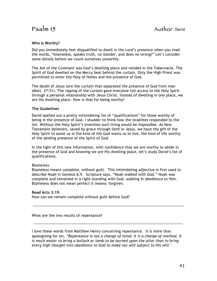## **Who Is Worthy?**

Did you immediately feel disqualified to dwell in the Lord's presence when you read the words, "blameless, speaks truth, no slander, and does no wrong?" Let's consider some details before we count ourselves unworthy.

The Ark of the Covenant was God's dwelling place and resided in the Tabernacle. The Spirit of God dwelled on the Mercy Seat behind the curtain. Only the High Priest was permitted to enter the Holy of Holies and the presence of God.

The death of Jesus tore the curtain that separated the presence of God from man (Matt. 27:51). The ripping of the curtain gave everyone full access to the Holy Spirit through a personal relationship with Jesus Christ. Instead of dwelling in one place, we are His dwelling place. How is that for being worthy!

## **The Guidelines**

David spelled out a pretty intimidating list of "qualifications" for those worthy of being in the presence of God. I shudder to think how the Israelites responded to the list. Without the Holy Spirit's invention such living would be impossible. As New Testament believers, saved by grace through faith in Jesus, we have the gift of the Holy Spirit to assist us in the kind of life God wants us to live, the kind of life worthy of the abiding presence of the Spirit of God.

In the light of this new information, with confidence that we are worthy to abide in the presence of God and knowing we are His dwelling place, let's study David's list of qualifications.

## *Blameless*

Blameless means complete, without guilt. This intimidating adjective is first used to describe Noah in Genesis 6:9. Scripture says, "Noah walked with God." Noah was complete and remained in a right-standing with God, walking in obedience to Him. Blameless does not mean perfect it means; forgiven.

\_\_\_\_\_\_\_\_\_\_\_\_\_\_\_\_\_\_\_\_\_\_\_\_\_\_\_\_\_\_\_\_\_\_\_\_\_\_\_\_\_\_\_\_\_\_\_\_\_\_\_\_\_\_\_\_

\_\_\_\_\_\_\_\_\_\_\_\_\_\_\_\_\_\_\_\_\_\_\_\_\_\_\_\_\_\_\_\_\_\_\_\_\_\_\_\_\_\_\_\_\_\_\_\_\_\_\_\_\_\_\_\_\_\_\_\_\_\_\_\_\_\_\_\_\_\_\_\_\_

## **Read Acts 3:19.**

How can we remain complete without guilt before God?

What are the two results of repentance?

I love these words from Matthew Henry concerning repentance. It is more than apologizing for sin. "*Repentance is not a change of mind; it is a change of method. It is much easier to bring a bullock or lamb to be burned upon the altar than to bring every high thought into obedience to God to make our will subject to His will*."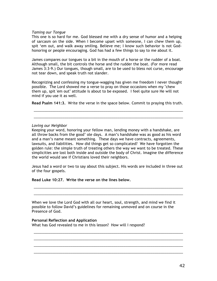## *Taming our Tongue*

This one is so hard for me. God blessed me with a dry sense of humor and a helping of sarcasm on the side. When I become upset with someone, I can chew them up, spit 'em out, and walk away smiling. Believe me; I know such behavior is not Godhonoring or people encouraging. God has had a few things to say to me about it.

James compares our tongues to a bit in the mouth of a horse or the rudder of a boat. Although small, the bit controls the horse and the rudder the boat. (For more read James 3:3-9.) Our tongues, though small, are to be used to bless not curse, encourage not tear down, and speak truth not slander.

Recognizing and confessing my tongue-wagging has given me freedom I never thought possible. The Lord showed me a verse to pray on those occasions when my "chew them up, spit 'em out" attitude is about to be exposed. I feel quite sure He will not mind if you use it as well.

**Read Psalm 141:3.** Write the verse in the space below. Commit to praying this truth.

\_\_\_\_\_\_\_\_\_\_\_\_\_\_\_\_\_\_\_\_\_\_\_\_\_\_\_\_\_\_\_\_\_\_\_\_\_\_\_\_\_\_\_\_\_\_\_\_\_\_\_\_\_\_\_\_\_\_\_\_\_\_\_\_\_\_\_\_\_\_\_\_\_ \_\_\_\_\_\_\_\_\_\_\_\_\_\_\_\_\_\_\_\_\_\_\_\_\_\_\_\_\_\_\_\_\_\_\_\_\_\_\_\_\_\_\_\_\_\_\_\_\_\_\_\_\_\_\_\_\_\_\_\_\_\_\_\_\_\_\_\_\_\_\_\_\_

## *Loving our Neighbor*

Keeping your word, honoring your fellow man, lending money with a handshake, are all throw backs from the good' ole days. A man's handshake was as good as his word and a man's name meant something. These days we have contracts, agreements, lawsuits, and liabilities. How did things get so complicated? We have forgotten the golden rule: the simple truth of treating others the way we want to be treated. These simplicities are lost both inside and outside the body of Christ. Imagine the difference the world would see if Christians loved their neighbors.

Jesus had a word or two to say about this subject. His words are included in three out of the four gospels.

\_\_\_\_\_\_\_\_\_\_\_\_\_\_\_\_\_\_\_\_\_\_\_\_\_\_\_\_\_\_\_\_\_\_\_\_\_\_\_\_\_\_\_\_\_\_\_\_\_\_\_\_\_\_\_\_\_\_\_\_\_\_\_\_\_\_\_\_\_\_\_\_\_ \_\_\_\_\_\_\_\_\_\_\_\_\_\_\_\_\_\_\_\_\_\_\_\_\_\_\_\_\_\_\_\_\_\_\_\_\_\_\_\_\_\_\_\_\_\_\_\_\_\_\_\_\_\_\_\_\_\_\_\_\_\_\_\_\_\_\_\_\_\_\_\_\_

\_\_\_\_\_\_\_\_\_\_\_\_\_\_\_\_\_\_\_\_\_\_\_\_\_\_\_\_\_\_\_\_\_\_\_\_\_\_\_\_\_\_\_\_\_\_\_\_\_\_\_\_\_\_\_\_\_\_\_\_\_\_\_\_\_\_\_\_\_\_\_\_\_ \_\_\_\_\_\_\_\_\_\_\_\_\_\_\_\_\_\_\_\_\_\_\_\_\_\_\_\_\_\_\_\_\_\_\_\_\_\_\_\_\_\_\_\_\_\_\_\_\_\_\_\_\_\_\_\_\_\_\_\_\_\_\_\_\_\_\_\_\_\_\_\_\_ \_\_\_\_\_\_\_\_\_\_\_\_\_\_\_\_\_\_\_\_\_\_\_\_\_\_\_\_\_\_\_\_\_\_\_\_\_\_\_\_\_\_\_\_\_\_\_\_\_\_\_\_\_\_\_\_\_\_\_\_\_\_\_\_\_\_\_\_\_\_\_\_\_ \_\_\_\_\_\_\_\_\_\_\_\_\_\_\_\_\_\_\_\_\_\_\_\_\_\_\_\_\_\_\_\_\_\_\_\_\_\_\_\_\_\_\_\_\_\_\_\_\_\_\_\_\_\_\_\_\_\_\_\_\_\_\_\_\_\_\_\_\_\_\_\_\_

**Read Luke 10:27. Write the verse on the lines below.**

When we love the Lord God with all our heart, soul, strength, and mind we find it possible to follow David's guidelines for remaining unmoved and on course in the Presence of God.

## **Personal Reflection and Application**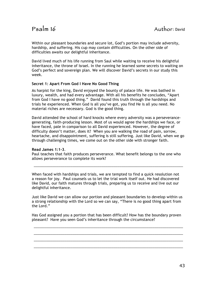Within our pleasant boundaries and secure lot, God's portion may include adversity, hardship, and suffering. His cup may contain difficulties. On the other side of difficulties awaits our delightful inheritance.

David lived much of his life running from Saul while waiting to receive his delightful inheritance, the throne of Israel. In the running he learned some secrets to waiting on God's perfect and sovereign plan. We will discover David's secrets in our study this week.

## **Secret 1: Apart From God I Have No Good Thing**

As harpist for the king, David enjoyed the bounty of palace life. He was bathed in luxury, wealth, and had every advantage. With all his benefits he concludes, "Apart from God I have no good thing." David found this truth through the hardships and trials he experienced. When God is all you've got, you find He is all you need. No material riches are necessary. God is the good thing.

David attended the school of hard knocks where every adversity was a perseverancegenerating, faith-producing lesson. Most of us would agree the hardships we face, or have faced, pale in comparison to all David experienced. However, the degree of difficulty doesn't matter, does it? When you are walking the road of pain, sorrow, heartache, and disappointment, suffering is still suffering. Just like David, when we go through challenging times, we come out on the other side with stronger faith.

## **Read James 1:1-3**.

Paul teaches that faith produces perseverance. What benefit belongs to the one who allows perseverance to complete its work?

\_\_\_\_\_\_\_\_\_\_\_\_\_\_\_\_\_\_\_\_\_\_\_\_\_\_\_\_\_\_\_\_\_\_\_\_\_\_\_\_\_\_\_\_\_\_\_\_\_\_\_\_\_\_\_\_\_\_\_\_\_\_\_\_\_\_\_\_\_\_\_\_\_

When faced with hardships and trials, we are tempted to find a quick resolution not a reason for joy. Paul counsels us to let the trial work itself out. He had discovered like David, our faith matures through trials, preparing us to receive and live out our delightful inheritance.

Just like David we can allow our portion and pleasant boundaries to develop within us a strong relationship with the Lord so we can say, "There is no good thing apart from the Lord."

Has God assigned you a portion that has been difficult? How has the boundary proven pleasant? Have you seen God's inheritance through the circumstance?

\_\_\_\_\_\_\_\_\_\_\_\_\_\_\_\_\_\_\_\_\_\_\_\_\_\_\_\_\_\_\_\_\_\_\_\_\_\_\_\_\_\_\_\_\_\_\_\_\_\_\_\_\_\_\_\_\_\_\_\_\_\_\_\_\_\_\_\_\_\_\_\_\_ \_\_\_\_\_\_\_\_\_\_\_\_\_\_\_\_\_\_\_\_\_\_\_\_\_\_\_\_\_\_\_\_\_\_\_\_\_\_\_\_\_\_\_\_\_\_\_\_\_\_\_\_\_\_\_\_\_\_\_\_\_\_\_\_\_\_\_\_\_\_\_\_\_ \_\_\_\_\_\_\_\_\_\_\_\_\_\_\_\_\_\_\_\_\_\_\_\_\_\_\_\_\_\_\_\_\_\_\_\_\_\_\_\_\_\_\_\_\_\_\_\_\_\_\_\_\_\_\_\_\_\_\_\_\_\_\_\_\_\_\_\_\_\_\_\_\_ \_\_\_\_\_\_\_\_\_\_\_\_\_\_\_\_\_\_\_\_\_\_\_\_\_\_\_\_\_\_\_\_\_\_\_\_\_\_\_\_\_\_\_\_\_\_\_\_\_\_\_\_\_\_\_\_\_\_\_\_\_\_\_\_\_\_\_\_\_\_\_\_\_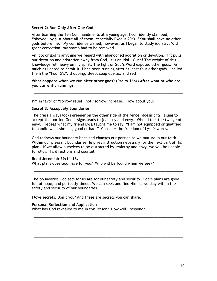## **Secret 2: Run Only After One God**

After learning the Ten Commandments at a young age, I confidently stamped, "obeyed" by just about all of them, especially Exodus 20:3, "You shall have no other gods before me." My confidence waned, however, as I began to study idolatry. With great conviction, my stamp had to be removed.

An idol or god is anything we regard with abandoned adoration or devotion. If it pulls our devotion and adoration away from God, it is an idol. Ouch! The weight of this knowledge fell heavy on my spirit. The light of God's Word exposed other gods. As much as I hated to admit it, I had been running after at least four other gods. I called them the "Four S's": shopping, sleep, soap operas, and self.

## **What happens when we run after other gods? (Psalm 16:4) After what or who are you currently running?**

\_\_\_\_\_\_\_\_\_\_\_\_\_\_\_\_\_\_\_\_\_\_\_\_\_\_\_\_\_\_\_\_\_\_\_\_\_\_\_\_\_\_\_\_\_\_\_\_\_\_\_\_\_\_\_\_\_\_\_\_\_\_\_\_\_\_\_\_\_\_\_\_\_

I'm in favor of "sorrow relief" not "sorrow increase." How about you?

## **Secret 3: Accept My Boundaries**

The grass always looks greener on the other side of the fence, doesn't it? Failing to accept the portion God assigns leads to jealousy and envy. When I feel the twinge of envy, I repeat what my friend Lysa taught me to say, "I am not equipped or qualified to handle what she has, good or bad." Consider the freedom of Lysa's words.

God redraws our boundary lines and changes our portion as we mature in our faith. Within our pleasant boundaries He gives instruction necessary for the next part of His plan. If we allow ourselves to be distracted by jealousy and envy, we will be unable to follow His directions and counsel.

#### **Read Jeremiah 29:11-13.**

What plans does God have for you? Who will be found when we seek?

The boundaries God sets for us are for our safety and security. God's plans are good, full of hope, and perfectly timed. We can seek and find Him as we stay within the safety and security of our boundaries.

\_\_\_\_\_\_\_\_\_\_\_\_\_\_\_\_\_\_\_\_\_\_\_\_\_\_\_\_\_\_\_\_\_\_\_\_\_\_\_\_\_\_\_\_\_\_\_\_\_\_\_\_\_\_\_\_\_\_\_\_\_\_\_\_\_\_\_\_\_\_\_\_\_ \_\_\_\_\_\_\_\_\_\_\_\_\_\_\_\_\_\_\_\_\_\_\_\_\_\_\_\_\_\_\_\_\_\_\_\_\_\_\_\_\_\_\_\_\_\_\_\_\_\_\_\_\_\_\_\_\_\_\_\_\_\_\_\_\_\_\_\_\_\_\_\_\_ \_\_\_\_\_\_\_\_\_\_\_\_\_\_\_\_\_\_\_\_\_\_\_\_\_\_\_\_\_\_\_\_\_\_\_\_\_\_\_\_\_\_\_\_\_\_\_\_\_\_\_\_\_\_\_\_\_\_\_\_\_\_\_\_\_\_\_\_\_\_\_\_\_ \_\_\_\_\_\_\_\_\_\_\_\_\_\_\_\_\_\_\_\_\_\_\_\_\_\_\_\_\_\_\_\_\_\_\_\_\_\_\_\_\_\_\_\_\_\_\_\_\_\_\_\_\_\_\_\_\_\_\_\_\_\_\_\_\_\_\_\_\_\_\_\_\_

\_\_\_\_\_\_\_\_\_\_\_\_\_\_\_\_\_\_\_\_\_\_\_\_\_\_\_\_\_\_\_\_\_\_\_\_\_\_\_\_\_\_\_\_\_\_\_\_\_\_\_\_\_\_\_\_\_\_\_\_\_\_\_\_\_\_\_\_\_\_\_\_\_

I love secrets. Don't you? And these are secrets you can share.

#### **Personal Reflection and Application**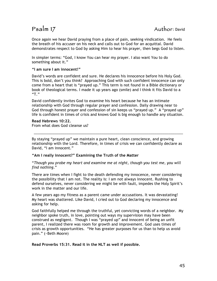Once again we hear David praying from a place of pain, seeking vindication. He feels the breath of his accuser on his neck and calls out to God for an acquittal. David demonstrates respect to God by asking Him to hear his prayer, then begs God to listen.

In simpler terms: "God, I know You can hear my prayer. I also want You to do something about it."

## **"I am sure I am innocent!"**

David's words are confident and sure. He declares his innocence before his Holy God. This is bold, don't you think? Approaching God with such confident innocence can only come from a heart that is "prayed up." This term is not found in a Bible dictionary or book of theological terms. I made it up years ago (smile) and I think it fits David to a "T."

David confidently invites God to examine his heart because he has an intimate relationship with God through regular prayer and confession. Daily drawing near to God through honest prayer and confession of sin keeps us "prayed up." A "prayed up" life is confident in times of crisis and knows God is big enough to handle any situation.

# **Read Hebrews 10:22.**

From what does God cleanse us?

By staying "prayed up" we maintain a pure heart, clean conscience, and growing relationship with the Lord. Therefore, in times of crisis we can confidently declare as David, "I am innocent."

\_\_\_\_\_\_\_\_\_\_\_\_\_\_\_\_\_\_\_\_\_\_\_\_\_\_\_\_\_\_\_\_\_\_\_\_\_\_\_\_\_\_\_\_\_\_\_\_\_\_\_\_\_\_\_\_\_\_\_\_\_\_\_\_\_\_\_\_\_\_\_\_\_

## **"Am I really innocent?" Examining the Truth of the Matter**

"*Though you probe my heart and examine me at night, though you test me, you will find nothing*."

There are times when I fight to the death defending my innocence, never considering the possibility that I am not. The reality is: I am not always innocent. Rushing to defend ourselves, never considering we might be with fault, impedes the Holy Spirit's work in the matter and our life.

A few years ago my fitness as a parent came under accusations. It was devastating! My heart was shattered. Like David, I cried out to God declaring my innocence and asking for help.

God faithfully helped me through the truthful, yet convicting words of a neighbor. My neighbor spoke truth, in love, pointing out ways my supervision may have been construed as negligent. Though I was "prayed up" and innocent of being an unfit parent, I realized there was room for growth and improvement. God uses times of crisis as growth opportunities. "He has greater purposes for us than to help us avoid pain." (~Beth Moore)

**Read Proverbs 15:31. Read it in the NLT as well if possible.**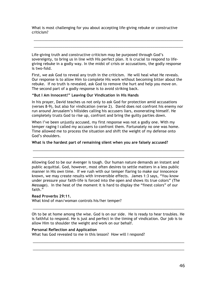What is most challenging for you about accepting life-giving rebuke or constructive criticism?

\_\_\_\_\_\_\_\_\_\_\_\_\_\_\_\_\_\_\_\_\_\_\_\_\_\_\_\_\_\_\_\_\_\_\_\_\_\_\_\_\_\_\_\_\_\_\_\_\_\_\_\_\_\_\_\_\_\_\_\_\_\_\_\_\_\_\_\_\_\_\_\_\_ \_\_\_\_\_\_\_\_\_\_\_\_\_\_\_\_\_\_\_\_\_\_\_\_\_\_\_\_\_\_\_\_\_\_\_\_\_\_\_\_\_\_\_\_\_\_\_\_\_\_\_\_\_\_\_\_\_\_\_\_\_\_\_\_\_\_\_\_\_\_\_\_\_

Life-giving truth and constructive criticism may be purposed through God's sovereignty, to bring us in line with His perfect plan. It is crucial to respond to lifegiving rebuke in a godly way. In the midst of crisis or accusations, the godly response is two-fold.

First, we ask God to reveal any truth in the criticism. He will heal what He reveals. Our response is to allow Him to complete His work without becoming bitter about the rebuke. If no truth is revealed, ask God to remove the hurt and help you move on. The second part of a godly response is to avoid striking back.

## **"But I Am Innocent!" Leaving Our Vindication in His Hands**

In his prayer, David teaches us not only to ask God for protection amid accusations (verses 8-9), but also for vindication (verse 2). David does not confront his enemy nor run around Jerusalem's hillsides calling his accusers liars, exonerating himself. He completely trusts God to rise up, confront and bring the guilty parties down.

When I've been unjustly accused, my first response was not a godly one. With my temper raging I called my accusers to confront them. Fortunately no one was home. Time allowed me to process the situation and shift the weight of my defense onto God's shoulders.

\_\_\_\_\_\_\_\_\_\_\_\_\_\_\_\_\_\_\_\_\_\_\_\_\_\_\_\_\_\_\_\_\_\_\_\_\_\_\_\_\_\_\_\_\_\_\_\_\_\_\_\_\_\_\_\_ \_\_\_\_\_\_\_\_\_\_\_\_\_\_\_\_\_\_\_\_\_\_\_\_\_\_\_\_\_\_\_\_\_\_\_\_\_\_\_\_\_\_\_\_\_\_\_\_\_\_\_\_\_\_\_\_

## **What is the hardest part of remaining silent when you are falsely accused?**

Allowing God to be our Avenger is tough. Our human nature demands an instant and public acquittal. God, however, most often desires to settle matters in a less public manner in His own time. If we rush with our temper flaring to make our innocence known, we may create results with irreversible effects. James 1:3 says, "You know under pressure your faith-life is forced into the open and shows its true colors" (The Message). In the heat of the moment it is hard to display the "finest colors" of our faith."

## **Read Proverbs 29:11.**

What kind of man/woman controls his/her temper?

Oh to be at home among the wise. God is on our side. He is ready to hear troubles. He is faithful to respond. He is just and perfect in the timing of vindication. Our job is to allow Him to shoulder the weight and work on our behalf.

\_\_\_\_\_\_\_\_\_\_\_\_\_\_\_\_\_\_\_\_\_\_\_\_\_\_\_\_\_\_\_\_\_\_\_\_\_\_\_\_\_\_\_\_\_\_\_\_\_\_\_\_\_\_\_\_

\_\_\_\_\_\_\_\_\_\_\_\_\_\_\_\_\_\_\_\_\_\_\_\_\_\_\_\_\_\_\_\_\_\_\_\_\_\_\_\_\_\_\_\_\_\_\_\_\_\_\_\_\_\_\_\_

\_\_\_\_\_\_\_\_\_\_\_\_\_\_\_\_\_\_\_\_\_\_\_\_\_\_\_\_\_\_\_\_\_\_\_\_\_\_\_\_\_\_\_\_\_\_\_\_\_\_\_\_\_\_\_\_

## **Personal Reflection and Application**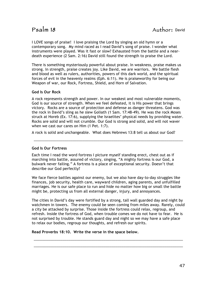I LOVE songs of praise! I love praising the Lord by singing an old hymn or a contemporary song. My mind raced as I read David's song of praise. I wonder what instruments were played. Was it fast or slow? Exhausted from the battle and a neardeath experience (2 Sam. 2:16) David still found the strength to praise the Lord.

There is something mysteriously powerful about praise. In weakness, praise makes us strong. In strength, praise creates joy. Like David, we are warriors. We battle flesh and blood as well as rulers, authorities, powers of this dark world, and the spiritual forces of evil in the heavenly realms (Eph. 6:11). He is praiseworthy for being our Weapon of war, our Rock, Fortress, Shield, and Horn of Salvation.

## **God Is Our Rock**

A rock represents strength and power. In our weakest and most vulnerable moments, God is our source of strength. When we feel defeated, it is His power that brings victory. Rocks are a source of protection and defense as danger threatens. God was the rock in David's sling as he slew Goliath (1 Sam. 17:48-49). He was the rock Moses struck at Horeb (Ex. 17:6), supplying the Israelites' physical needs by providing water. Rocks are solid and will not crumble. Our God is strong and solid, and will not waver when we cast our cares on Him (1 Pet. 1:7).

\_\_\_\_\_\_\_\_\_\_\_\_\_\_\_\_\_\_\_\_\_\_\_\_\_\_\_\_\_\_\_\_\_\_\_\_\_\_\_\_\_\_\_\_\_\_\_\_\_\_\_\_\_\_\_\_\_\_\_\_\_\_\_\_\_\_\_\_\_\_\_\_\_

A rock is solid and unchangeable. What does Hebrews 13:8 tell us about our God?

## **God Is Our Fortress**

Each time I read the word fortress I picture myself standing erect, chest out as if marching into battle, assured of victory, singing, "A mighty fortress is our God, a bulwark never failing." A fortress is a place of exceptional security. Doesn't that describe our God perfectly?

We face fierce battles against our enemy, but we also have day-to-day struggles like finances, job security, health care, wayward children, aging parents, and unfulfilled marriages. He is our safe place to run and hide no matter how big or small the battle might be, protecting us from all external danger, injury, and annoyances.

The cities in David's day were fortified by a strong, tall wall guarded day and night by watchmen in towers. The enemy could be seen coming from miles away. Rarely, could a city be attacked by surprise. Those inside the fortress could relax, regroup, and refresh. Inside the fortress of God, when trouble comes we do not have to fear. He is not surprised by trouble. He stands guard day and night so we may have a safe place to relax our bodies, regroup our thoughts, and refresh our spirits.

\_\_\_\_\_\_\_\_\_\_\_\_\_\_\_\_\_\_\_\_\_\_\_\_\_\_\_\_\_\_\_\_\_\_\_\_\_\_\_\_\_\_\_\_\_\_\_\_\_\_\_\_\_\_\_\_\_\_\_\_\_\_\_\_\_\_\_\_\_\_\_\_\_ \_\_\_\_\_\_\_\_\_\_\_\_\_\_\_\_\_\_\_\_\_\_\_\_\_\_\_\_\_\_\_\_\_\_\_\_\_\_\_\_\_\_\_\_\_\_\_\_\_\_\_\_\_\_\_\_\_\_\_\_\_\_\_\_\_\_\_\_\_\_\_\_\_

## **Read Proverbs 18:10. Write the verse in the space below.**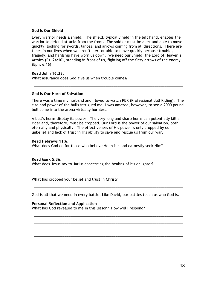## **God Is Our Shield**

Every warrior needs a shield. The shield, typically held in the left hand, enables the warrior to defend attacks from the front. The soldier must be alert and able to move quickly, looking for swords, lances, and arrows coming from all directions. There are times in our lives when we aren't alert or able to move quickly because trouble, tragedy, and hardship have worn us down. We need our Shield, the Lord of Heaven's Armies (Ps. 24:10), standing in front of us, fighting off the fiery arrows of the enemy (Eph. 6:16).

## **Read John 16:33.**

What assurance does God give us when trouble comes?

## **God Is Our Horn of Salvation**

There was a time my husband and I loved to watch PBR (Professional Bull Riding). The size and power of the bulls intrigued me. I was amazed, however, to see a 2000 pound bull come into the arena virtually hornless.

\_\_\_\_\_\_\_\_\_\_\_\_\_\_\_\_\_\_\_\_\_\_\_\_\_\_\_\_\_\_\_\_\_\_\_\_\_\_\_\_\_\_\_\_\_\_\_\_\_\_\_\_\_\_\_\_\_\_\_\_\_\_\_\_\_\_\_\_\_\_\_\_\_

A bull's horns display its power. The very long and sharp horns can potentially kill a rider and, therefore, must be cropped. Our Lord is the power of our salvation, both eternally and physically. The effectiveness of His power is only cropped by our unbelief and lack of trust in His ability to save and rescue us from our war.

\_\_\_\_\_\_\_\_\_\_\_\_\_\_\_\_\_\_\_\_\_\_\_\_\_\_\_\_\_\_\_\_\_\_\_\_\_\_\_\_\_\_\_\_\_\_\_\_\_\_\_\_\_\_\_\_\_\_\_\_\_\_\_\_\_\_\_\_\_\_\_\_\_

\_\_\_\_\_\_\_\_\_\_\_\_\_\_\_\_\_\_\_\_\_\_\_\_\_\_\_\_\_\_\_\_\_\_\_\_\_\_\_\_\_\_\_\_\_\_\_\_\_\_\_\_\_\_\_\_\_\_\_\_\_\_\_\_\_\_\_\_\_\_\_\_\_

\_\_\_\_\_\_\_\_\_\_\_\_\_\_\_\_\_\_\_\_\_\_\_\_\_\_\_\_\_\_\_\_\_\_\_\_\_\_\_\_\_\_\_\_\_\_\_\_\_\_\_\_\_\_\_\_\_\_\_\_\_\_\_\_\_\_\_\_\_\_\_\_\_

\_\_\_\_\_\_\_\_\_\_\_\_\_\_\_\_\_\_\_\_\_\_\_\_\_\_\_\_\_\_\_\_\_\_\_\_\_\_\_\_\_\_\_\_\_\_\_\_\_\_\_\_\_\_\_\_\_\_\_\_\_\_\_\_\_\_\_\_\_\_\_\_\_ \_\_\_\_\_\_\_\_\_\_\_\_\_\_\_\_\_\_\_\_\_\_\_\_\_\_\_\_\_\_\_\_\_\_\_\_\_\_\_\_\_\_\_\_\_\_\_\_\_\_\_\_\_\_\_\_\_\_\_\_\_\_\_\_\_\_\_\_\_\_\_\_\_ \_\_\_\_\_\_\_\_\_\_\_\_\_\_\_\_\_\_\_\_\_\_\_\_\_\_\_\_\_\_\_\_\_\_\_\_\_\_\_\_\_\_\_\_\_\_\_\_\_\_\_\_\_\_\_\_\_\_\_\_\_\_\_\_\_\_\_\_\_\_\_\_\_ \_\_\_\_\_\_\_\_\_\_\_\_\_\_\_\_\_\_\_\_\_\_\_\_\_\_\_\_\_\_\_\_\_\_\_\_\_\_\_\_\_\_\_\_\_\_\_\_\_\_\_\_\_\_\_\_\_\_\_\_\_\_\_\_\_\_\_\_\_\_\_\_\_

## **Read Hebrews 11:6.**

What does God do for those who believe He exists and earnestly seek Him?

## **Read Mark 5:36.**

What does Jesus say to Jarius concerning the healing of his daughter?

What has cropped your belief and trust in Christ?

God is all that we need in every battle. Like David, our battles teach us who God is.

## **Personal Reflection and Application**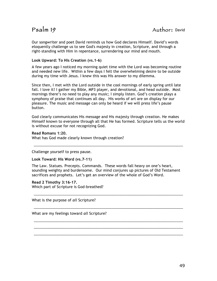Our songwriter and poet David reminds us how God declares Himself. David's words eloquently challenge us to see God's majesty in creation, Scripture, and through a right-standing with Him in repentance, surrendering our mind and mouth.

## **Look Upward: To His Creation (vs.1-6)**

A few years ago I noticed my morning quiet time with the Lord was becoming routine and needed new life. Within a few days I felt the overwhelming desire to be outside during my time with Jesus. I knew this was His answer to my dilemma.

Since then, I met with the Lord outside in the cool mornings of early spring until late fall. I love it! I gather my Bible, MP3 player, and devotional, and head outside. Most mornings there's no need to play any music; I simply listen. God's creation plays a symphony of praise that continues all day. His works of art are on display for our pleasure. The music and message can only be heard if we will press life's pause button.

God clearly communicates His message and His majesty through creation. He makes Himself known to everyone through all that He has formed. Scripture tells us the world is without excuse for not recognizing God.

\_\_\_\_\_\_\_\_\_\_\_\_\_\_\_\_\_\_\_\_\_\_\_\_\_\_\_\_\_\_\_\_\_\_\_\_\_\_\_\_\_\_\_\_\_\_\_\_\_\_\_\_\_\_\_\_\_\_\_\_\_\_\_\_\_\_\_\_\_\_\_\_\_

**Read Romans 1:20.** What has God made clearly known through creation?

Challenge yourself to press pause.

**Look Toward: His Word (vs.7-11)**

The Law. Statues. Precepts. Commands. These words fall heavy on one's heart, sounding weighty and burdensome. Our mind conjures up pictures of Old Testament sacrifices and prophets. Let's get an overview of the whole of God's Word.

\_\_\_\_\_\_\_\_\_\_\_\_\_\_\_\_\_\_\_\_\_\_\_\_\_\_\_\_\_\_\_\_\_\_\_\_\_\_\_\_\_\_\_\_\_\_\_\_\_\_\_\_\_\_\_\_\_\_\_\_\_\_\_\_\_\_\_\_\_\_\_\_\_

\_\_\_\_\_\_\_\_\_\_\_\_\_\_\_\_\_\_\_\_\_\_\_\_\_\_\_\_\_\_\_\_\_\_\_\_\_\_\_\_\_\_\_\_\_\_\_\_\_\_\_\_\_\_\_\_\_\_\_\_\_\_\_\_\_\_\_\_\_\_\_\_\_

\_\_\_\_\_\_\_\_\_\_\_\_\_\_\_\_\_\_\_\_\_\_\_\_\_\_\_\_\_\_\_\_\_\_\_\_\_\_\_\_\_\_\_\_\_\_\_\_\_\_\_\_\_\_\_\_\_\_\_\_\_\_\_\_\_\_\_\_\_\_\_\_\_ \_\_\_\_\_\_\_\_\_\_\_\_\_\_\_\_\_\_\_\_\_\_\_\_\_\_\_\_\_\_\_\_\_\_\_\_\_\_\_\_\_\_\_\_\_\_\_\_\_\_\_\_\_\_\_\_\_\_\_\_\_\_\_\_\_\_\_\_\_\_\_\_\_ \_\_\_\_\_\_\_\_\_\_\_\_\_\_\_\_\_\_\_\_\_\_\_\_\_\_\_\_\_\_\_\_\_\_\_\_\_\_\_\_\_\_\_\_\_\_\_\_\_\_\_\_\_\_\_\_\_\_\_\_\_\_\_\_\_\_\_\_\_\_\_\_\_

## **Read 2 Timothy 3:16-17.**

Which part of Scripture is God-breathed?

What is the purpose of *all* Scripture?

What are my feelings toward *all* Scripture?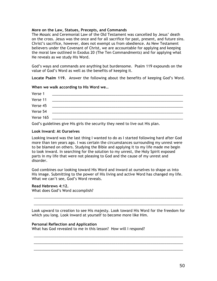## **More on the Law, Statues, Precepts, and Commands**

The Mosaic and Ceremonial Law of the Old Testament was cancelled by Jesus' death on the cross. Jesus was the once and for all sacrifice for past, present, and future sins. Christ's sacrifice, however, does not exempt us from obedience. As New Testament believers under the Covenant of Christ, we are accountable for applying and keeping the moral law outlined in Exodus 20 (The Ten Commandments) and for applying what He reveals as we study His Word.

God's ways and commands are anything but burdensome. Psalm 119 expounds on the value of God's Word as well as the benefits of keeping it.

**Locate Psalm 119.** Answer the following about the benefits of keeping God's Word.

## **When we walk according to His Word we…**



God's guidelines give His girls the security they need to live out His plan.

## **Look Inward: At Ourselves**

Looking inward was the last thing I wanted to do as I started following hard after God more than ten years ago. I was certain the circumstances surrounding my unrest were to be blamed on others. Studying the Bible and applying it to my life made me begin to look inward. In searching for the solution to my unrest, the Holy Spirit exposed parts in my life that were not pleasing to God and the cause of my unrest and disorder.

God combines our looking toward His Word and inward at ourselves to shape us into His image. Submitting to the power of His living and active Word has changed my life. What we can't see, God's Word reveals.

## **Read Hebrews 4:12.**

What does God's Word accomplish?

Look upward to creation to see His majesty. Look toward His Word for the freedom for which you long. Look inward at yourself to become more like Him.

\_\_\_\_\_\_\_\_\_\_\_\_\_\_\_\_\_\_\_\_\_\_\_\_\_\_\_\_\_\_\_\_\_\_\_\_\_\_\_\_\_\_\_\_\_\_\_\_\_\_\_\_\_\_\_\_\_\_\_\_\_\_\_\_\_\_\_\_\_\_\_\_\_ \_\_\_\_\_\_\_\_\_\_\_\_\_\_\_\_\_\_\_\_\_\_\_\_\_\_\_\_\_\_\_\_\_\_\_\_\_\_\_\_\_\_\_\_\_\_\_\_\_\_\_\_\_\_\_\_\_\_\_\_\_\_\_\_\_\_\_\_\_\_\_\_\_ \_\_\_\_\_\_\_\_\_\_\_\_\_\_\_\_\_\_\_\_\_\_\_\_\_\_\_\_\_\_\_\_\_\_\_\_\_\_\_\_\_\_\_\_\_\_\_\_\_\_\_\_\_\_\_\_\_\_\_\_\_\_\_\_\_\_\_\_\_\_\_\_\_

\_\_\_\_\_\_\_\_\_\_\_\_\_\_\_\_\_\_\_\_\_\_\_\_\_\_\_\_\_\_\_\_\_\_\_\_\_\_\_\_\_\_\_\_\_\_\_\_\_\_\_\_\_\_\_\_\_\_\_\_\_\_\_\_\_\_\_\_\_\_\_\_\_ \_\_\_\_\_\_\_\_\_\_\_\_\_\_\_\_\_\_\_\_\_\_\_\_\_\_\_\_\_\_\_\_\_\_\_\_\_\_\_\_\_\_\_\_\_\_\_\_\_\_\_\_\_\_\_\_\_\_\_\_\_\_\_\_\_\_\_\_\_\_\_\_\_

## **Personal Reflection and Application**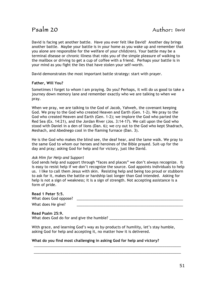David is facing yet another battle. Have you ever felt like David? Another day brings another battle. Maybe your battle is in your home as you wake up and remember that you alone are responsible for the welfare of your child(ren). Your battle may be a terminal disease or chronic illness that robs you of the simple pleasure of walking to the mailbox or driving to get a cup of coffee with a friend. Perhaps your battle is in your mind as you fight the lies that have stolen your self-worth.

David demonstrates the most important battle strategy: start with prayer.

## **Father, Will You?**

Sometimes I forget to whom I am praying. Do you? Perhaps, it will do us good to take a journey down memory lane and remember exactly who we are talking to when we pray.

When we pray, we are talking to the God of Jacob, Yahweh, the covenant keeping God. We pray to the God who created Heaven and Earth (Gen. 1-2). We pray to the God who created Heaven and Earth (Gen. 1-2); we implore the God who parted the Red Sea (Ex. 14:21), and the Jordan River (Jos. 3:14-17). We call upon the God who stood with Daniel in a den of lions (Dan. 6); we cry out to the God who kept Shadrach, Meshach, and Abednego cool in the flaming furnace (Dan. 3).

He is the God who makes the blind see, the deaf hear, and the lame walk. We pray to the same God to whom our heroes and heroines of the Bible prayed. Suit-up for the day and pray; asking God for help and for victory, just like David.

## *Ask Him for Help and Support*

God sends help and support through "faces and places" we don't always recognize. It is easy to resist help if we don't recognize the source. God appoints individuals to help us. I like to call them Jesus with skin. Resisting help and being too proud or stubborn to ask for it, makes the battle or hardship last longer than God intended. Asking for help is not a sign of weakness; it is a sign of strength. Not accepting assistance is a form of pride.

## **Read 1 Peter 5:5.**

What does God oppose? \_\_\_\_\_\_\_\_\_\_\_\_\_\_\_\_\_\_\_\_\_\_\_\_\_\_\_\_\_\_\_\_\_\_\_\_\_\_\_\_\_\_\_\_\_\_\_\_\_\_\_\_

What does He give?

## **Read Psalm 25:9.**

What does God do for and give the humble?

With grace, and learning God's way as by-products of humility, let's stay humble, asking God for help and accepting it, no matter how it is delivered.

\_\_\_\_\_\_\_\_\_\_\_\_\_\_\_\_\_\_\_\_\_\_\_\_\_\_\_\_\_\_\_\_\_\_\_\_\_\_\_\_\_\_\_\_\_\_\_\_\_\_\_\_\_\_\_\_\_\_\_\_\_\_\_\_\_\_\_\_\_\_\_\_ \_\_\_\_\_\_\_\_\_\_\_\_\_\_\_\_\_\_\_\_\_\_\_\_\_\_\_\_\_\_\_\_\_\_\_\_\_\_\_\_\_\_\_\_\_\_\_\_\_\_\_\_\_\_\_\_\_\_\_\_\_\_\_\_\_\_\_\_\_\_\_\_

## **What do you find most challenging in asking God for help and victory?**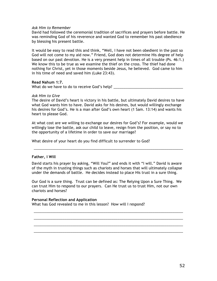#### *Ask Him to Remember*

David had followed the ceremonial tradition of sacrifices and prayers before battle. He was reminding God of his reverence and wanted God to remember his past obedience by blessing his present battle.

It would be easy to read this and think, "Well, I have not been obedient in the past so God will not come to my aid now." Friend, God does not determine His degree of help based on our past devotion. He is a very present help in times of all trouble (Ps. 46:1.) We know this to be true as we examine the thief on the cross. The thief had done nothing for Christ, yet in those moments beside Jesus, he believed. God came to him in his time of need and saved him (Luke 23:43).

## **Read Nahum 1:7.**

What do we have to do to receive God's help? what do we have to do to receive God's help?

#### *Ask Him to Give*

The desire of David's heart is victory in his battle, but ultimately David desires to have what God wants him to have. David asks for his desires, but would willingly exchange his desires for God's. He is a man after God's own heart (1 Sam. 13:14) and wants his heart to please God.

At what cost are we willing to exchange our desires for God's? For example, would we willingly lose the battle, ask our child to leave, resign from the position, or say no to the opportunity of a lifetime in order to save our marriage?

\_\_\_\_\_\_\_\_\_\_\_\_\_\_\_\_\_\_\_\_\_\_\_\_\_\_\_\_\_\_\_\_\_\_\_\_\_\_\_\_\_\_\_\_\_\_\_\_\_\_\_\_\_\_\_\_\_\_\_\_\_\_\_\_\_\_\_\_\_\_\_\_\_

What desire of your heart do you find difficult to surrender to God?

## **Father, I Will**

David starts his prayer by asking, "Will You?" and ends it with "I will." David is aware of the myth in trusting things such as chariots and horses that will ultimately collapse under the demands of battle. He decides instead to place His trust in a sure thing.

Our God is a sure thing. Trust can be defined as: The Relying Upon a Sure Thing. We can trust Him to respond to our prayers. Can He trust us to trust Him, not our own chariots and horses?

\_\_\_\_\_\_\_\_\_\_\_\_\_\_\_\_\_\_\_\_\_\_\_\_\_\_\_\_\_\_\_\_\_\_\_\_\_\_\_\_\_\_\_\_\_\_\_\_\_\_\_\_\_\_\_\_\_\_\_\_\_\_\_\_\_\_\_\_\_\_\_\_\_ \_\_\_\_\_\_\_\_\_\_\_\_\_\_\_\_\_\_\_\_\_\_\_\_\_\_\_\_\_\_\_\_\_\_\_\_\_\_\_\_\_\_\_\_\_\_\_\_\_\_\_\_\_\_\_\_\_\_\_\_\_\_\_\_\_\_\_\_\_\_\_\_\_ \_\_\_\_\_\_\_\_\_\_\_\_\_\_\_\_\_\_\_\_\_\_\_\_\_\_\_\_\_\_\_\_\_\_\_\_\_\_\_\_\_\_\_\_\_\_\_\_\_\_\_\_\_\_\_\_\_\_\_\_\_\_\_\_\_\_\_\_\_\_\_\_\_ \_\_\_\_\_\_\_\_\_\_\_\_\_\_\_\_\_\_\_\_\_\_\_\_\_\_\_\_\_\_\_\_\_\_\_\_\_\_\_\_\_\_\_\_\_\_\_\_\_\_\_\_\_\_\_\_\_\_\_\_\_\_\_\_\_\_\_\_\_\_\_\_\_

#### **Personal Reflection and Application**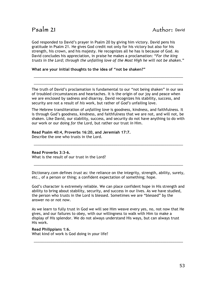God responded to David's prayer in Psalm 20 by giving him victory. David pens his gratitude in Psalm 21. He gives God credit not only for his victory but also for his strength, his crown, and his majesty. He recognizes all he has is because of God. As David concludes his appreciation, in praise he makes a proclamation: "*For the king trusts in the Lord; through the unfailing love of the Most High he will not be shaken*."

**What are your initial thoughts to the idea of "not be shaken?"**

The truth of David's proclamation is fundamental to our "not being shaken" in our sea of troubled circumstances and heartaches. It is the origin of our joy and peace when we are enclosed by sadness and disarray. David recognizes his stability, success, and security are not a result of *his* work, but rather of *God's* unfailing love.

\_\_\_\_\_\_\_\_\_\_\_\_\_\_\_\_\_\_\_\_\_\_\_\_\_\_\_\_\_\_\_\_\_\_\_\_\_\_\_\_\_\_\_\_\_\_\_\_\_\_\_\_\_\_\_\_\_\_\_\_\_\_\_\_\_\_\_\_\_\_\_\_\_ \_\_\_\_\_\_\_\_\_\_\_\_\_\_\_\_\_\_\_\_\_\_\_\_\_\_\_\_\_\_\_\_\_\_\_\_\_\_\_\_\_\_\_\_\_\_\_\_\_\_\_\_\_\_\_\_\_\_\_\_\_\_\_\_\_\_\_\_\_\_\_\_\_

The Hebrew transliteration of *unfailing love* is goodness, kindness, and faithfulness. It is through God's goodness, kindness, and faithfulness that we are not, and will not, be shaken. Like David, our stability, success, and security do not have anything to do with our work or our doing *for* the Lord, but rather our trust *in* Him.

\_\_\_\_\_\_\_\_\_\_\_\_\_\_\_\_\_\_\_\_\_\_\_\_\_\_\_\_\_\_\_\_\_\_\_\_\_\_\_\_\_\_\_\_\_\_\_\_\_\_\_\_\_\_\_\_\_\_\_\_\_\_\_\_\_\_\_\_\_\_\_\_\_

## **Read Psalm 40:4, Proverbs 16:20, and Jeremiah 17:7.**

Describe the one who trusts in the Lord.

**Read Proverbs 3:3-6.** What is the result of our trust in the Lord?

Dictionary.com defines *trust* as: the reliance on the integrity, strength, ability, surety, etc., of a person or thing; a confident expectation of something; hope.

\_\_\_\_\_\_\_\_\_\_\_\_\_\_\_\_\_\_\_\_\_\_\_\_\_\_\_\_\_\_\_\_\_\_\_\_\_\_\_\_\_\_\_\_\_\_\_\_\_\_\_\_\_\_\_\_\_\_\_\_\_\_\_\_\_\_\_\_\_\_\_\_\_

God's character is extremely reliable. We can place confident hope in His strength and ability to bring about stability, security, and success in our lives. As we have studied, the person who trusts in the Lord is blessed. Sometimes we are "blessed" by the answer no or not now.

As we learn to fully trust in God we will see Him weave every yes, no, not now that He gives, and our failures to obey, with our willingness to walk with Him to make a display of His splendor. We do not always understand His ways, but can always trust His work.

\_\_\_\_\_\_\_\_\_\_\_\_\_\_\_\_\_\_\_\_\_\_\_\_\_\_\_\_\_\_\_\_\_\_\_\_\_\_\_\_\_\_\_\_\_\_\_\_\_\_\_\_\_\_\_\_\_\_\_\_\_\_\_\_\_\_\_\_\_\_\_\_\_

## **Read Philippians 1:6.**

What kind of work is God doing in your life?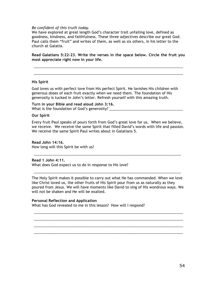#### *Be confident of this truth today.*

We have explored at great length God's character trait unfailing love, defined as goodness, kindness, and faithfulness. These three adjectives describe our great God. Paul calls them "fruit" and writes of them, as well as six others, in his letter to the church at Galatia.

**Read Galatians 5:22-23. Write the verses in the space below. Circle the fruit you most appreciate right now in your life.**

\_\_\_\_\_\_\_\_\_\_\_\_\_\_\_\_\_\_\_\_\_\_\_\_\_\_\_\_\_\_\_\_\_\_\_\_\_\_\_\_\_\_\_\_\_\_\_\_\_\_\_\_\_\_\_\_\_\_\_\_\_\_\_\_\_\_\_\_\_\_\_\_\_ \_\_\_\_\_\_\_\_\_\_\_\_\_\_\_\_\_\_\_\_\_\_\_\_\_\_\_\_\_\_\_\_\_\_\_\_\_\_\_\_\_\_\_\_\_\_\_\_\_\_\_\_\_\_\_\_\_\_\_\_\_\_\_\_\_\_\_\_\_\_\_\_\_

#### **His Spirit**

God loves us with perfect love from His perfect Spirit. He lavishes His children with generous doses of each fruit exactly when we need them. The foundation of His generosity is tucked in John's letter. Refresh yourself with this amazing truth.

**Turn in your Bible and read aloud John 3:16.** What is the foundation of God's generosity? \_\_\_\_\_\_\_\_\_\_\_\_\_\_\_\_\_\_\_\_\_\_\_\_\_\_\_\_\_\_\_\_\_\_\_\_

#### **Our Spirit**

Every fruit Paul speaks of pours forth from God's great love for us. When we believe, we receive. We receive the same Spirit that filled David's words with life and passion. We receive the same Spirit Paul writes about in Galatians 5.

\_\_\_\_\_\_\_\_\_\_\_\_\_\_\_\_\_\_\_\_\_\_\_\_\_\_\_\_\_\_\_\_\_\_\_\_\_\_\_\_\_\_\_\_\_\_\_\_\_\_\_\_\_\_\_\_\_\_\_\_\_\_\_\_\_\_\_\_\_\_\_\_

#### **Read John 14:16.**

How long will this Spirit be with us?

## **Read 1 John 4:11.**

What does God expect us to do in response to His love?

The Holy Spirit makes it possible to carry out what He has commanded. When we love like Christ loved us, the other fruits of His Spirit pour from us as naturally as they poured from Jesus. We will have moments like David to sing of His wondrous ways. We will not be shaken and He will be exalted.

\_\_\_\_\_\_\_\_\_\_\_\_\_\_\_\_\_\_\_\_\_\_\_\_\_\_\_\_\_\_\_\_\_\_\_\_\_\_\_\_\_\_\_\_\_\_\_\_\_\_\_\_\_\_\_\_\_\_\_\_\_\_\_\_\_\_\_\_\_\_\_\_\_ \_\_\_\_\_\_\_\_\_\_\_\_\_\_\_\_\_\_\_\_\_\_\_\_\_\_\_\_\_\_\_\_\_\_\_\_\_\_\_\_\_\_\_\_\_\_\_\_\_\_\_\_\_\_\_\_\_\_\_\_\_\_\_\_\_\_\_\_\_\_\_\_\_ \_\_\_\_\_\_\_\_\_\_\_\_\_\_\_\_\_\_\_\_\_\_\_\_\_\_\_\_\_\_\_\_\_\_\_\_\_\_\_\_\_\_\_\_\_\_\_\_\_\_\_\_\_\_\_\_\_\_\_\_\_\_\_\_\_\_\_\_\_\_\_\_\_ \_\_\_\_\_\_\_\_\_\_\_\_\_\_\_\_\_\_\_\_\_\_\_\_\_\_\_\_\_\_\_\_\_\_\_\_\_\_\_\_\_\_\_\_\_\_\_\_\_\_\_\_\_\_\_\_\_\_\_\_\_\_\_\_\_\_\_\_\_\_\_\_\_

\_\_\_\_\_\_\_\_\_\_\_\_\_\_\_\_\_\_\_\_\_\_\_\_\_\_\_\_\_\_\_\_\_\_\_\_\_\_\_\_\_\_\_\_\_\_\_\_\_\_\_\_\_\_\_\_\_\_\_\_\_\_\_\_\_\_\_\_\_\_\_\_

#### **Personal Reflection and Application**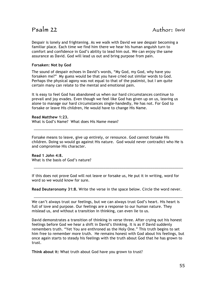Despair is lonely and frightening. As we walk with David we see despair becoming a familiar place. Each time we find him there we hear his human anguish turn to comfort and confidence in God's ability to lead him out. We can enjoy the same assurance as David. God will lead us out and bring purpose from pain.

## **Forsaken: Not by God**

The sound of despair echoes in David's words, "My God, my God, why have you forsaken me?" My guess would be that you have cried out similar words to God. Perhaps the physical agony was not equal to that of the psalmist, but I am quite certain many can relate to the mental and emotional pain.

It is easy to feel God has abandoned us when our hard circumstances continue to prevail and joy evades. Even though we feel like God has given up on us, leaving us alone to manage our hard circumstances single-handedly, He has not. For God to forsake or leave His children, He would have to change His Name.

**Read Matthew 1:23.** What is God's Name? What does His Name mean?

Forsake means to leave, give up entirely, or renounce. God cannot forsake His children. Doing so would go against His nature. God would never contradict who He is and compromise His character.

\_\_\_\_\_\_\_\_\_\_\_\_\_\_\_\_\_\_\_\_\_\_\_\_\_\_\_\_\_\_\_\_\_\_\_\_\_\_\_\_\_\_\_\_\_\_\_\_\_\_\_\_\_\_\_\_\_\_\_\_\_\_\_\_\_\_\_\_\_\_\_\_\_

**Read 1 John 4:8.** What is the basis of God's nature?

If this does not prove God will not leave or forsake us, He put it in writing, word for word so we would know for sure.

\_\_\_\_\_\_\_\_\_\_\_\_\_\_\_\_\_\_\_\_\_\_\_\_\_\_\_\_\_\_\_\_\_\_\_\_\_\_\_\_\_\_\_\_\_\_\_\_\_\_\_\_\_\_\_\_\_\_\_\_\_\_\_\_\_\_\_\_\_\_\_\_\_

**Read Deuteronomy 31:8.** Write the verse in the space below. Circle the word never.

\_\_\_\_\_\_\_\_\_\_\_\_\_\_\_\_\_\_\_\_\_\_\_\_\_\_\_\_\_\_\_\_\_\_\_\_\_\_\_\_\_\_\_\_\_\_\_\_\_\_\_\_\_\_\_\_\_\_\_\_\_\_\_\_\_\_\_\_\_\_\_\_\_

We can't always trust our feelings, but we can always trust God's heart. His heart is full of love and purpose. Our feelings are a response to our human nature. They mislead us, and without a transition in thinking, can even lie to us.

David demonstrates a transition of thinking in verse three. After crying out his honest feelings before God we hear a shift in David's thinking. It is as if David suddenly remembers truth. "Yet You are enthroned as the Holy One." This truth begins to set him free to remember more truth. He remains honest with God about his feelings, but once again starts to steady his feelings with the truth about God that he has grown to trust.

**Think about it:** What truth about God have you grown to trust?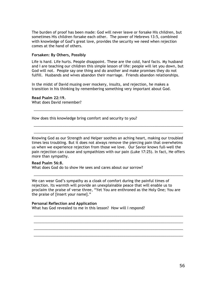The burden of proof has been made: God will never leave or forsake His children, but sometimes His children forsake each other. The power of Hebrews 13:5, combined with knowledge of God's great love, provides the security we need when rejection comes at the hand of others.

## **Forsaken: By Others, Possibly**

Life is hard. Life hurts. People disappoint. These are the cold, hard facts. My husband and I are teaching our children this simple lesson of life: people will let you down, but God will not. People say one thing and do another and make promises they do not fulfill. Husbands and wives abandon their marriage. Friends abandon relationships.

In the midst of David musing over mockery, insults, and rejection, he makes a transition in his thinking by remembering something very important about God.

## **Read Psalm 22:19.**

What does David remember?

How does this knowledge bring comfort and security to you?

Knowing God as our Strength and Helper soothes an aching heart, making our troubled times less troubling. But it does not always remove the piercing pain that overwhelms us when we experience rejection from those we love. Our Savior knows full-well the pain rejection can cause and sympathizes with our pain (Luke 17:25). In fact, He offers more than sympathy.

\_\_\_\_\_\_\_\_\_\_\_\_\_\_\_\_\_\_\_\_\_\_\_\_\_\_\_\_\_\_\_\_\_\_\_\_\_\_\_\_\_\_\_\_\_\_\_\_\_\_\_\_\_\_\_\_\_\_\_\_\_\_\_\_\_\_\_\_\_\_\_\_\_

\_\_\_\_\_\_\_\_\_\_\_\_\_\_\_\_\_\_\_\_\_\_\_\_\_\_\_\_\_\_\_\_\_\_\_\_\_\_\_\_\_\_\_\_\_\_\_\_\_\_\_\_\_\_\_\_\_\_\_\_\_\_\_\_\_\_\_\_\_\_\_\_\_ \_\_\_\_\_\_\_\_\_\_\_\_\_\_\_\_\_\_\_\_\_\_\_\_\_\_\_\_\_\_\_\_\_\_\_\_\_\_\_\_\_\_\_\_\_\_\_\_\_\_\_\_\_\_\_\_\_\_\_\_\_\_\_\_\_\_\_\_\_\_\_\_\_

## **Read Psalm 56:8.**

What does God do to show He sees and cares about our sorrow?

We can wear God's sympathy as a cloak of comfort during the painful times of rejection. Its warmth will provide an unexplainable peace that will enable us to proclaim the praise of verse three, "Yet You are enthroned as the Holy One; You are the praise of [insert your name]."

\_\_\_\_\_\_\_\_\_\_\_\_\_\_\_\_\_\_\_\_\_\_\_\_\_\_\_\_\_\_\_\_\_\_\_\_\_\_\_\_\_\_\_\_\_\_\_\_\_\_\_\_\_\_\_\_\_\_\_\_\_\_\_\_\_\_\_\_\_\_\_\_\_ \_\_\_\_\_\_\_\_\_\_\_\_\_\_\_\_\_\_\_\_\_\_\_\_\_\_\_\_\_\_\_\_\_\_\_\_\_\_\_\_\_\_\_\_\_\_\_\_\_\_\_\_\_\_\_\_\_\_\_\_\_\_\_\_\_\_\_\_\_\_\_\_\_ \_\_\_\_\_\_\_\_\_\_\_\_\_\_\_\_\_\_\_\_\_\_\_\_\_\_\_\_\_\_\_\_\_\_\_\_\_\_\_\_\_\_\_\_\_\_\_\_\_\_\_\_\_\_\_\_\_\_\_\_\_\_\_\_\_\_\_\_\_\_\_\_\_ \_\_\_\_\_\_\_\_\_\_\_\_\_\_\_\_\_\_\_\_\_\_\_\_\_\_\_\_\_\_\_\_\_\_\_\_\_\_\_\_\_\_\_\_\_\_\_\_\_\_\_\_\_\_\_\_\_\_\_\_\_\_\_\_\_\_\_\_\_\_\_\_\_

\_\_\_\_\_\_\_\_\_\_\_\_\_\_\_\_\_\_\_\_\_\_\_\_\_\_\_\_\_\_\_\_\_\_\_\_\_\_\_\_\_\_\_\_\_\_\_\_\_\_\_\_\_\_\_\_\_\_\_\_\_\_\_\_\_\_\_\_\_\_\_\_\_

## **Personal Reflection and Application**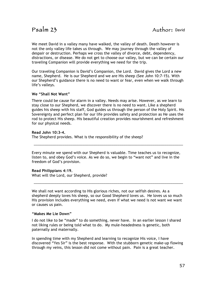We meet David in a valley many have walked, the valley of death. Death however is not the only valley life takes us through. We may journey through the valley of despair or destruction. Perhaps we cross the valley of divorce, debt, dependency, distractions, or disease. We do not get to choose our valley, but we can be certain our traveling Companion will provide everything we need for the trip.

Our traveling Companion is David's Companion, the Lord. David gives the Lord a new name, Shepherd. He is our Shepherd and we are His sheep (See John 10:7-15). With our Shepherd's guidance there is no need to want or fear, even when we walk through life's valleys.

## **We "Shall Not Want"**

There could be cause for alarm in a valley. Needs may arise. However, as we learn to stay close to our Shepherd, we discover there is no need to want. Like a shepherd guides his sheep with his staff, God guides us through the person of the Holy Spirit. His Sovereignty and perfect plan for our life provides safety and protection as He uses the rod to protect His sheep. His beautiful creation provides nourishment and refreshment for our physical needs.

## **Read John 10:3-4.**

The Shepherd provides. What is the responsibility of the sheep?

Every minute we spend with our Shepherd is valuable. Time teaches us to recognize, listen to, and obey God's voice. As we do so, we begin to "want not" and live in the freedom of God's provision.

\_\_\_\_\_\_\_\_\_\_\_\_\_\_\_\_\_\_\_\_\_\_\_\_\_\_\_\_\_\_\_\_\_\_\_\_\_\_\_\_\_\_\_\_\_\_\_\_\_\_\_\_\_\_\_\_\_\_\_\_\_\_\_\_\_\_\_\_\_\_\_\_\_

## **Read Philippians 4:19.**

What will the Lord, our Shepherd, provide?

We shall not want according to His glorious riches, not our selfish desires. As a shepherd deeply loves his sheep, so our Good Shepherd loves us. He loves us so much His provision includes everything we need, even if what we need is not want we want or causes us pain.

\_\_\_\_\_\_\_\_\_\_\_\_\_\_\_\_\_\_\_\_\_\_\_\_\_\_\_\_\_\_\_\_\_\_\_\_\_\_\_\_\_\_\_\_\_\_\_\_\_\_\_\_\_\_\_\_\_\_\_\_\_\_\_\_\_\_\_\_\_\_\_\_\_

## **"Makes Me Lie Down"**

I do not like to be "made" to do something, never have. In an earlier lesson I shared not liking rules or being told what to do. My mule-headedness is genetic, both paternally and maternally.

In spending time with my Shepherd and learning to recognize His voice, I have discovered "Yes Sir" is the best response. With the stubborn genetic make-up flowing through my veins, this lesson did not come without pain. Pain is a great teacher.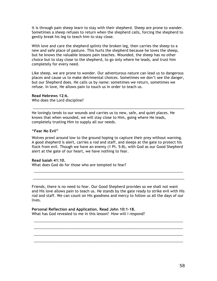It is through pain sheep learn to stay with their shepherd. Sheep are prone to wander. Sometimes a sheep refuses to return when the shepherd calls, forcing the shepherd to gently break his leg to teach him to stay close.

With love and care the shepherd splints the broken leg, then carries the sheep to a new and safe place of pasture. This hurts the shepherd because he loves the sheep, but he knows the valuable lessons pain teaches. Wounded, the sheep has no other choice but to stay close to the shepherd, to go only where he leads, and trust him completely for every need.

Like sheep, we are prone to wonder. Our adventurous nature can lead us to dangerous places and cause us to make detrimental choices. Sometimes we don't see the danger, but our Shepherd does. He calls us by name: sometimes we return, sometimes we refuse. In love, He allows pain to touch us in order to teach us.

\_\_\_\_\_\_\_\_\_\_\_\_\_\_\_\_\_\_\_\_\_\_\_\_\_\_\_\_\_\_\_\_\_\_\_\_\_\_\_\_\_\_\_\_\_\_\_\_\_\_\_\_\_\_\_\_

**Read Hebrews 12:6.**

Who does the Lord discipline?

He lovingly tends to our wounds and carries us to new, safe, and quiet places. He knows that when wounded, we will stay close to Him, going where He leads, completely trusting Him to supply all our needs.

## **"Fear No Evil"**

Wolves prowl around low to the ground hoping to capture their prey without warning. A good shepherd is alert, carries a rod and staff, and sleeps at the gate to protect his flock from evil. Though we have an enemy (1 Pt. 5:8), with God as our Good Shepherd alert at the gate of our heart, we have nothing to fear.

#### **Read Isaiah 41:10.**

What does God do for those who are tempted to fear?

Friends, there is no need to fear. Our Good Shepherd provides so we shall not want and His love allows pain to teach us. He stands by the gate ready to strike evil with His rod and staff. We can count on His goodness and mercy to follow us all the days of our lives.

\_\_\_\_\_\_\_\_\_\_\_\_\_\_\_\_\_\_\_\_\_\_\_\_\_\_\_\_\_\_\_\_\_\_\_\_\_\_\_\_\_\_\_\_\_\_\_\_\_\_\_\_\_\_\_\_\_\_\_\_\_\_\_\_\_\_\_\_\_\_\_\_\_ \_\_\_\_\_\_\_\_\_\_\_\_\_\_\_\_\_\_\_\_\_\_\_\_\_\_\_\_\_\_\_\_\_\_\_\_\_\_\_\_\_\_\_\_\_\_\_\_\_\_\_\_\_\_\_\_\_\_\_\_\_\_\_\_\_\_\_\_\_\_\_\_\_ \_\_\_\_\_\_\_\_\_\_\_\_\_\_\_\_\_\_\_\_\_\_\_\_\_\_\_\_\_\_\_\_\_\_\_\_\_\_\_\_\_\_\_\_\_\_\_\_\_\_\_\_\_\_\_\_\_\_\_\_\_\_\_\_\_\_\_\_\_\_\_\_\_ \_\_\_\_\_\_\_\_\_\_\_\_\_\_\_\_\_\_\_\_\_\_\_\_\_\_\_\_\_\_\_\_\_\_\_\_\_\_\_\_\_\_\_\_\_\_\_\_\_\_\_\_\_\_\_\_\_\_\_\_\_\_\_\_\_\_\_\_\_\_\_\_\_

\_\_\_\_\_\_\_\_\_\_\_\_\_\_\_\_\_\_\_\_\_\_\_\_\_\_\_\_\_\_\_\_\_\_\_\_\_\_\_\_\_\_\_\_\_\_\_\_\_\_\_\_\_\_\_\_\_\_\_\_\_\_\_\_\_\_\_\_\_\_\_\_\_ \_\_\_\_\_\_\_\_\_\_\_\_\_\_\_\_\_\_\_\_\_\_\_\_\_\_\_\_\_\_\_\_\_\_\_\_\_\_\_\_\_\_\_\_\_\_\_\_\_\_\_\_\_\_\_\_

**Personal Reflection and Application. Read John 10:1-18.** What has God revealed to me in this lesson? How will I respond?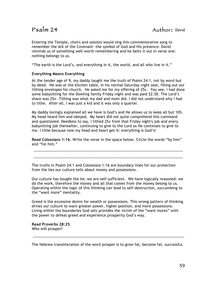Entering the Temple, choirs and soloists would sing this commemorative song to remember the Ark of the Covenant—the symbol of God and His presence. David reminds us of something well worth remembering and he belts it out in verse one: nothing belongs to us.

"The earth is the Lord's, and everything in it, the world, and all who live in it."

## **Everything Means Everything**

At the tender age of 9, my daddy taught me the truth of Psalm 24:1, not by word but by deed. He was at the kitchen table, in his normal Saturday night seat, filling out our tithing envelopes for church. He asked me for my offering of  $25¢$ . You see, I had done some babysitting for the Dowling family Friday night and was paid \$2.50. The Lord's share was  $25¢$ . Tithing was what my dad and mom did. I did not understand why I had to tithe. After all, I was just a kid and it was only a quarter.

My daddy lovingly explained all we have is God's and He allows us to keep all but 10%. My head heard him and obeyed. My heart did not quite comprehend this command and questioned. Needless to say, I tithed  $25¢$  from that Friday night's job and every babysitting job thereafter, continuing to give to the Lord as He continues to give to me. I tithe because now my head and heart get it: everything is God's!

**Read Colossians 1:16.** Write the verse in the space below. Circle the words "by him" and "for him."

\_\_\_\_\_\_\_\_\_\_\_\_\_\_\_\_\_\_\_\_\_\_\_\_\_\_\_\_\_\_\_\_\_\_\_\_\_\_\_\_\_\_\_\_\_\_\_\_\_\_\_\_\_\_\_\_\_\_\_\_\_\_\_\_\_\_\_\_\_\_\_\_\_ \_\_\_\_\_\_\_\_\_\_\_\_\_\_\_\_\_\_\_\_\_\_\_\_\_\_\_\_\_\_\_\_\_\_\_\_\_\_\_\_\_\_\_\_\_\_\_\_\_\_\_\_\_\_\_\_\_\_\_\_\_\_\_\_\_\_\_\_\_\_\_\_\_

The truths in Psalm 24:1 and Colossians 1:16 are boundary lines for our protection from the lies our culture tells about money and possessions.

Our culture has bought the lie: we are self-sufficient. We have logically reasoned: we do the work, therefore the money and all that comes from the money belong to us. Operating within the logic of this thinking can lead to self-destruction, succumbing to the "want more" mentality.

Greed is the excessive desire for wealth or possessions. This wrong pattern of thinking drives our culture to want greater power, higher position, and more possessions. Living within the boundaries God sets provides the victim of the "want mores" with the power to defeat greed and experience prosperity God's way.

**Read Proverbs 28:25.** Who will prosper?

The Hebrew transliteration of the word prosper is to grow fat, become fat, successful.

\_\_\_\_\_\_\_\_\_\_\_\_\_\_\_\_\_\_\_\_\_\_\_\_\_\_\_\_\_\_\_\_\_\_\_\_\_\_\_\_\_\_\_\_\_\_\_\_\_\_\_\_\_\_\_\_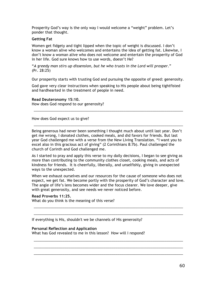Prosperity God's way is the only way I would welcome a "weight" problem. Let's ponder that thought.

## **Getting Fat**

Women get fidgety and tight lipped when the topic of weight is discussed. I don't know a woman alive who welcomes and entertains the idea of getting fat. Likewise, I don't know a woman alive who does not welcome and entertain the prosperity of God in her life. God sure knows how to use words, doesn't He?

"*A greedy man stirs up dissension, but he who trusts in the Lord will prosper*." (Pr. 28:25)

Our prosperity starts with trusting God and pursuing the opposite of greed: generosity.

God gave very clear instructions when speaking to His people about being tightfisted and hardhearted in the treatment of people in need.

\_\_\_\_\_\_\_\_\_\_\_\_\_\_\_\_\_\_\_\_\_\_\_\_\_\_\_\_\_\_\_\_\_\_\_\_\_\_\_\_\_\_\_\_\_\_\_\_\_\_\_\_\_\_\_\_\_\_\_\_\_\_\_\_\_\_\_\_\_\_\_\_\_

\_\_\_\_\_\_\_\_\_\_\_\_\_\_\_\_\_\_\_\_\_\_\_\_\_\_\_\_\_\_\_\_\_\_\_\_\_\_\_\_\_\_\_\_\_\_\_\_\_\_\_\_\_\_\_\_\_\_\_\_\_\_\_\_\_\_\_\_\_\_\_\_\_

#### **Read Deuteronomy 15:10.**

How does God respond to our generosity?

How does God expect us to give?

Being generous had never been something I thought much about until last year. Don't get me wrong, I donated clothes, cooked meals, and did favors for friends. But last year God challenged me with a verse from the New Living Translation. "I want you to excel also in this gracious act of giving" (2 Corinthians 8:7b). Paul challenged the church of Corinth and God challenged me.

As I started to pray and apply this verse to my daily decisions, I began to see giving as more than contributing to the community clothes closet, cooking meals, and acts of kindness for friends. It is cheerfully, liberally, and unselfishly, giving in unexpected ways to the unexpected.

When we exhaust ourselves and our resources for the cause of someone who does not expect, we get fat. We become portly with the prosperity of God's character and love. The angle of life's lens becomes wider and the focus clearer. We love deeper, give with great generosity, and see needs we never noticed before.

\_\_\_\_\_\_\_\_\_\_\_\_\_\_\_\_\_\_\_\_\_\_\_\_\_\_\_\_\_\_\_\_\_\_\_\_\_\_\_\_\_\_\_\_\_\_\_\_\_\_\_\_\_\_\_\_\_\_\_\_\_\_\_\_\_\_\_\_\_\_\_\_\_ \_\_\_\_\_\_\_\_\_\_\_\_\_\_\_\_\_\_\_\_\_\_\_\_\_\_\_\_\_\_\_\_\_\_\_\_\_\_\_\_\_\_\_\_\_\_\_\_\_\_\_\_\_\_\_\_\_\_\_\_\_\_\_\_\_\_\_\_\_\_\_\_\_

\_\_\_\_\_\_\_\_\_\_\_\_\_\_\_\_\_\_\_\_\_\_\_\_\_\_\_\_\_\_\_\_\_\_\_\_\_\_\_\_\_\_\_\_\_\_\_\_\_\_\_\_\_\_\_\_\_\_\_\_\_\_\_\_\_\_\_\_\_\_\_\_\_ \_\_\_\_\_\_\_\_\_\_\_\_\_\_\_\_\_\_\_\_\_\_\_\_\_\_\_\_\_\_\_\_\_\_\_\_\_\_\_\_\_\_\_\_\_\_\_\_\_\_\_\_\_\_\_\_\_\_\_\_\_\_\_\_\_\_\_\_\_\_\_\_\_ \_\_\_\_\_\_\_\_\_\_\_\_\_\_\_\_\_\_\_\_\_\_\_\_\_\_\_\_\_\_\_\_\_\_\_\_\_\_\_\_\_\_\_\_\_\_\_\_\_\_\_\_\_\_\_\_\_\_\_\_\_\_\_\_\_\_\_\_\_\_\_\_\_

#### **Read Proverbs 11:25.**

What do you think is the meaning of this verse?

If everything is His, shouldn't we be channels of His generosity?

## **Personal Reflection and Application**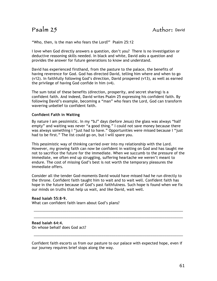"Who, then, is the man who fears the Lord?" Psalm 25:12

I love when God directly answers a question, don't you? There is no investigation or deductive reasoning skills needed. In black and white, David asks a question and provides the answer for future generations to know and understand.

David has experienced firsthand, from the pasture to the palace, the benefits of having reverence for God. God has directed David, telling him where and when to go (v12). In faithfully following God's direction, David prospered (v13), as well as earned the privilege of having God confide in him (v4).

The sum total of these benefits (direction, prosperity, and secret sharing) is a confident faith. And indeed, David writes Psalm 25 expressing his confident faith. By following David's example, becoming a "man" who fears the Lord, God can transform wavering unbelief to confident faith.

## **Confident Faith in Waiting**

By nature I am pessimistic. In my "bJ" days (before Jesus) the glass was always "half empty" and waiting was never "a good thing." I could not save money because there was always something I "just had to have." Opportunities were missed because I "just had to be first." The list could go on, but I will spare you.

This pessimistic way of thinking carried over into my relationship with the Lord. However, my growing faith can now be confident in waiting on God and has taught me not to sacrifice the future for the immediate. When we succumb to the pressure of the immediate, we often end up struggling, suffering heartache we weren't meant to endure. The cost of missing God's best is not worth the temporary pleasures the immediate offers.

Consider all the tender God-moments David would have missed had he run directly to the throne. Confident faith taught him to wait and to wait well. Confident faith has hope in the future because of God's past faithfulness. Such hope is found when we fix our minds on truths that help us wait, and like David, wait well.

\_\_\_\_\_\_\_\_\_\_\_\_\_\_\_\_\_\_\_\_\_\_\_\_\_\_\_\_\_\_\_\_\_\_\_\_\_\_\_\_\_\_\_\_\_\_\_\_\_\_\_\_\_\_\_\_\_\_\_\_\_\_\_\_\_\_\_\_\_\_\_\_\_ \_\_\_\_\_\_\_\_\_\_\_\_\_\_\_\_\_\_\_\_\_\_\_\_\_\_\_\_\_\_\_\_\_\_\_\_\_\_\_\_\_\_\_\_\_\_\_\_\_\_\_\_\_\_\_\_\_\_\_\_\_\_\_\_\_\_\_\_\_\_\_\_\_

## **Read Isaiah 55:8-9.**

What can confident faith learn about God's plans?

## **Read Isaiah 64:4.** On whose behalf does God act?

Confident faith escorts us from our pasture to our palace with expected hope, even if our journey requires brief stops along the way.

\_\_\_\_\_\_\_\_\_\_\_\_\_\_\_\_\_\_\_\_\_\_\_\_\_\_\_\_\_\_\_\_\_\_\_\_\_\_\_\_\_\_\_\_\_\_\_\_\_\_\_\_\_\_\_\_\_\_\_\_\_\_\_\_\_\_\_\_\_\_\_\_\_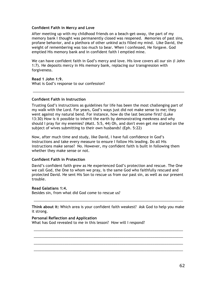## **Confident Faith in Mercy and Love**

After meeting up with my childhood friends on a beach-get-away, the part of my memory bank I thought was permanently closed was reopened. Memories of past sins, profane behavior, and a plethora of other unkind acts filled my mind. Like David, the weight of remembering was too much to bear. When I confessed, He forgave. God emptied His memory bank and in confident faith I emptied mine.

We can have confident faith in God's mercy and love. His love covers all our sin (I John 1:7). He deposits mercy in His memory bank, replacing our transgression with forgiveness.

\_\_\_\_\_\_\_\_\_\_\_\_\_\_\_\_\_\_\_\_\_\_\_\_\_\_\_\_\_\_\_\_\_\_\_\_\_\_\_\_\_\_\_\_\_\_\_\_\_\_\_\_\_\_\_\_

**Read 1 John 1:9.** What is God's response to our confession?

## **Confident Faith in Instruction**

Trusting God's instructions as guidelines for life has been the most challenging part of my walk with the Lord. For years, God's ways just did not make sense to me; they went against my natural bend. For instance, how do the last become first? (Luke 13:30) How is it possible to inherit the earth by demonstrating meekness and why should I pray for my enemies? (Matt. 5:5, 44) Oh, and don't even get me started on the subject of wives submitting to their own husbands! (Eph. 5:22)

Now, after much time and study, like David, I have full confidence in God's instructions and take every measure to ensure I follow His leading. Do all His instructions make sense? No. However, my confident faith is built in following them whether they make sense or not.

## **Confident Faith in Protection**

David's confident faith grew as He experienced God's protection and rescue. The One we call God, the One to whom we pray, is the same God who faithfully rescued and protected David. He sent His Son to rescue us from our past sin, as well as our present trouble.

## **Read Galatians 1:4.**

Besides sin, from what did God come to rescue us?

**Think about it:** Which area is your confident faith weakest? Ask God to help you make it strong.

\_\_\_\_\_\_\_\_\_\_\_\_\_\_\_\_\_\_\_\_\_\_\_\_\_\_\_\_\_\_\_\_\_\_\_\_\_\_\_\_\_\_\_\_\_\_\_\_\_\_\_\_\_\_\_\_\_\_\_\_\_\_\_\_\_\_\_\_\_\_\_\_\_ \_\_\_\_\_\_\_\_\_\_\_\_\_\_\_\_\_\_\_\_\_\_\_\_\_\_\_\_\_\_\_\_\_\_\_\_\_\_\_\_\_\_\_\_\_\_\_\_\_\_\_\_\_\_\_\_\_\_\_\_\_\_\_\_\_\_\_\_\_\_\_\_\_ \_\_\_\_\_\_\_\_\_\_\_\_\_\_\_\_\_\_\_\_\_\_\_\_\_\_\_\_\_\_\_\_\_\_\_\_\_\_\_\_\_\_\_\_\_\_\_\_\_\_\_\_\_\_\_\_\_\_\_\_\_\_\_\_\_\_\_\_\_\_\_\_\_ \_\_\_\_\_\_\_\_\_\_\_\_\_\_\_\_\_\_\_\_\_\_\_\_\_\_\_\_\_\_\_\_\_\_\_\_\_\_\_\_\_\_\_\_\_\_\_\_\_\_\_\_\_\_\_\_\_\_\_\_\_\_\_\_\_\_\_\_\_\_\_\_\_

\_\_\_\_\_\_\_\_\_\_\_\_\_\_\_\_\_\_\_\_\_\_\_\_\_\_\_\_\_\_\_\_\_\_\_\_\_\_\_\_\_\_\_\_\_\_\_\_\_\_\_\_\_\_\_\_\_\_\_\_\_\_\_\_\_\_\_\_\_\_\_\_\_

## **Personal Reflection and Application**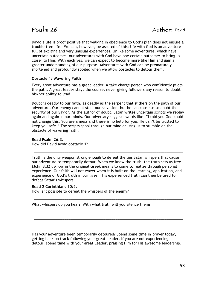David's life is proof positive that walking in obedience to God's plan does not ensure a trouble-free life. We can, however, be assured of this: life with God is an adventure full of exciting and very unusual experiences. Unlike some adventures, which have uncertain outcomes, our adventures with God have one certain outcome: to bring us closer to Him. With each yes, we can expect to become more like Him and gain a greater understanding of our purpose. Adventures with God can be prematurely shortened and profoundly spoiled when we allow obstacles to detour them.

## **Obstacle 1: Wavering Faith**

Every great adventure has a great leader; a take charge person who confidently pilots the path. A great leader stays the course, never giving followers any reason to doubt his/her ability to lead.

Doubt is deadly to our faith, as deadly as the serpent that slithers on the path of our adventure. Our enemy cannot steal our salvation, but he can cause us to doubt the security of our Savior. As the author of doubt, Satan writes uncertain scripts we replay again and again in our minds. Our adversary suggests words like: "I told you God could not change this. You are a mess and there is no help for you. He can't be trusted to keep you safe." The scripts spool through our mind causing us to stumble on the obstacle of wavering faith.

## **Read Psalm 26:3.**

How did David avoid obstacle 1?

Truth is the only weapon strong enough to defeat the lies Satan whispers that cause our adventure to temporarily detour. When we know the truth, the truth sets us free (John 8:32). *Know* in the original Greek means to come to realize through personal experience. Our faith will not waver when it is built on the learning, application, and experience of God's truth in our lives. This experienced truth can then be used to defeat Satan's whispers.

\_\_\_\_\_\_\_\_\_\_\_\_\_\_\_\_\_\_\_\_\_\_\_\_\_\_\_\_\_\_\_\_\_\_\_\_\_\_\_\_\_\_\_\_\_\_\_\_\_\_\_\_\_\_\_\_\_\_\_\_\_\_\_\_\_\_\_\_\_\_\_\_\_

\_\_\_\_\_\_\_\_\_\_\_\_\_\_\_\_\_\_\_\_\_\_\_\_\_\_\_\_\_\_\_\_\_\_\_\_\_\_\_\_\_\_\_\_\_\_\_\_\_\_\_\_\_\_\_\_\_\_\_\_\_\_\_\_\_\_\_\_\_\_\_\_\_ \_\_\_\_\_\_\_\_\_\_\_\_\_\_\_\_\_\_\_\_\_\_\_\_\_\_\_\_\_\_\_\_\_\_\_\_\_\_\_\_\_\_\_\_\_\_\_\_\_\_\_\_\_\_\_\_\_\_\_\_\_\_\_\_\_\_\_\_\_\_\_\_\_ \_\_\_\_\_\_\_\_\_\_\_\_\_\_\_\_\_\_\_\_\_\_\_\_\_\_\_\_\_\_\_\_\_\_\_\_\_\_\_\_\_\_\_\_\_\_\_\_\_\_\_\_\_\_\_\_\_\_\_\_\_\_\_\_\_\_\_\_\_\_\_\_\_

\_\_\_\_\_\_\_\_\_\_\_\_\_\_\_\_\_\_\_\_\_\_\_\_\_\_\_\_\_\_\_\_\_\_\_\_\_\_\_\_\_\_\_\_\_\_\_\_\_\_\_\_\_\_\_\_\_\_\_\_\_\_\_\_\_\_\_\_\_\_\_\_\_

## **Read 2 Corinthians 10:5.**

How is it possible to defeat the whispers of the enemy?

What whispers do you hear? With what truth will you silence them?

Has your adventure been temporarily detoured? Spend some time in prayer today, getting back on track following your great Leader. If you are not experiencing a detour, spend time with your great Leader, praising Him for His awesome leadership.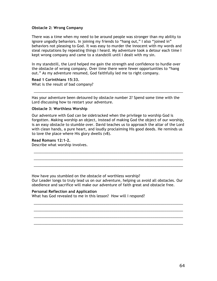## **Obstacle 2: Wrong Company**

There was a time when my need to be around people was stronger than my ability to ignore ungodly behaviors. In joining my friends to "hang out," I also "joined in" behaviors not pleasing to God. It was easy to murder the innocent with my words and steal reputations by repeating things I heard. My adventure took a detour each time I kept wrong company and came to a standstill until I dealt with my sin.

In my standstill, the Lord helped me gain the strength and confidence to hurdle over the obstacle of wrong company. Over time there were fewer opportunities to "hang out." As my adventure resumed, God faithfully led me to right company.

**Read 1 Corinthians 15:33.** What is the result of bad company?

Has your adventure been detoured by obstacle number 2? Spend some time with the Lord discussing how to restart your adventure.

\_\_\_\_\_\_\_\_\_\_\_\_\_\_\_\_\_\_\_\_\_\_\_\_\_\_\_\_\_\_\_\_\_\_\_\_\_\_\_\_\_\_\_\_\_\_\_\_\_\_\_\_\_\_\_\_\_\_\_\_\_\_\_\_\_\_\_\_\_\_\_\_\_

#### **Obstacle 3: Worthless Worship**

Our adventure with God can be sidetracked when the privilege to worship God is forgotten. Making worship an object, instead of making God the object of our worship, is an easy obstacle to stumble over. David teaches us to approach the altar of the Lord with clean hands, a pure heart, and loudly proclaiming His good deeds. He reminds us to love the place where His glory dwells (v8).

\_\_\_\_\_\_\_\_\_\_\_\_\_\_\_\_\_\_\_\_\_\_\_\_\_\_\_\_\_\_\_\_\_\_\_\_\_\_\_\_\_\_\_\_\_\_\_\_\_\_\_\_\_\_\_\_\_\_\_\_\_\_\_\_\_\_\_\_\_\_\_\_\_ \_\_\_\_\_\_\_\_\_\_\_\_\_\_\_\_\_\_\_\_\_\_\_\_\_\_\_\_\_\_\_\_\_\_\_\_\_\_\_\_\_\_\_\_\_\_\_\_\_\_\_\_\_\_\_\_\_\_\_\_\_\_\_\_\_\_\_\_\_\_\_\_\_ \_\_\_\_\_\_\_\_\_\_\_\_\_\_\_\_\_\_\_\_\_\_\_\_\_\_\_\_\_\_\_\_\_\_\_\_\_\_\_\_\_\_\_\_\_\_\_\_\_\_\_\_\_\_\_\_\_\_\_\_\_\_\_\_\_\_\_\_\_\_\_\_\_

#### **Read Romans 12:1-2.**

Describe what worship involves.

How have you stumbled on the obstacle of worthless worship?

Our Leader longs to truly lead us on our adventure, helping us avoid all obstacles. Our obedience and sacrifice will make our adventure of faith great and obstacle free.

\_\_\_\_\_\_\_\_\_\_\_\_\_\_\_\_\_\_\_\_\_\_\_\_\_\_\_\_\_\_\_\_\_\_\_\_\_\_\_\_\_\_\_\_\_\_\_\_\_\_\_\_\_\_\_\_\_\_\_\_\_\_\_\_\_\_\_\_\_\_\_\_\_ \_\_\_\_\_\_\_\_\_\_\_\_\_\_\_\_\_\_\_\_\_\_\_\_\_\_\_\_\_\_\_\_\_\_\_\_\_\_\_\_\_\_\_\_\_\_\_\_\_\_\_\_\_\_\_\_\_\_\_\_\_\_\_\_\_\_\_\_\_\_\_\_\_ \_\_\_\_\_\_\_\_\_\_\_\_\_\_\_\_\_\_\_\_\_\_\_\_\_\_\_\_\_\_\_\_\_\_\_\_\_\_\_\_\_\_\_\_\_\_\_\_\_\_\_\_\_\_\_\_\_\_\_\_\_\_\_\_\_\_\_\_\_\_\_\_\_ \_\_\_\_\_\_\_\_\_\_\_\_\_\_\_\_\_\_\_\_\_\_\_\_\_\_\_\_\_\_\_\_\_\_\_\_\_\_\_\_\_\_\_\_\_\_\_\_\_\_\_\_\_\_\_\_\_\_\_\_\_\_\_\_\_\_\_\_\_\_\_\_\_

#### **Personal Reflection and Application**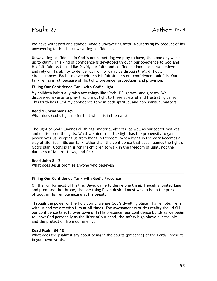We have witnessed and studied David's unwavering faith. A surprising by-product of his unwavering faith is his unwavering confidence.

Unwavering confidence in God is not something we pray to have, then one day wake up to claim. This kind of confidence is developed through our obedience to God and His faithfulness to us. Like David, our faith and confidence increase as we believe in and rely on His ability to deliver us from or carry us through life's difficult circumstances. Each time we witness His faithfulness our confidence tank fills. Our tank remains full because of His light, presence, protection, and provision.

## **Filling Our Confidence Tank with God's Light**

My children habitually misplace things like iPods, DSI games, and glasses. We discovered a verse to pray that brings light to these stressful and frustrating times. This truth has filled my confidence tank in both spiritual and non-spiritual matters.

**Read 1 Corinthians 4:5.** What does God's light do for that which is in the dark?

The light of God illumines all things—material objects—as well as our secret motives and undisclosed thoughts. What we hide from the light has the propensity to gain power over us, keeping us from living in freedom. When living in the dark becomes a way of life, fear fills our tank rather than the confidence that accompanies the light of God's plan. God's plan is for His children to walk in the freedom of light, not the darkness of failure, flaws, and fear.

\_\_\_\_\_\_\_\_\_\_\_\_\_\_\_\_\_\_\_\_\_\_\_\_\_\_\_\_\_\_\_\_\_\_\_\_\_\_\_\_\_\_\_\_\_\_\_\_\_\_\_\_\_\_\_\_\_\_\_\_\_\_\_\_\_\_\_\_\_\_\_\_\_

## **Read John 8:12.**

What does Jesus promise anyone who believes?

## **Filling Our Confidence Tank with God's Presence**

On the run for most of his life, David came to desire one thing. Though anointed king and promised the throne, the one thing David desired most was to be in the presence of God, in His Temple gazing at His beauty.

\_\_\_\_\_\_\_\_\_\_\_\_\_\_\_\_\_\_\_\_\_\_\_\_\_\_\_\_\_\_\_\_\_\_\_\_\_\_\_\_\_\_\_\_\_\_\_\_\_\_\_\_\_\_\_\_

Through the power of the Holy Spirit, we are God's dwelling place, His Temple. He is with us and we are with Him at all times. The awesomeness of this reality should fill our confidence tank to overflowing. In His presence, our confidence builds as we begin to know God personally as the lifter of our head, the safety high above our trouble, and the protection from our enemy.

## **Read Psalm 84:10.**

What does the psalmist say about being in the courts (presence) of the Lord? Phrase it in your own words.

\_\_\_\_\_\_\_\_\_\_\_\_\_\_\_\_\_\_\_\_\_\_\_\_\_\_\_\_\_\_\_\_\_\_\_\_\_\_\_\_\_\_\_\_\_\_\_\_\_\_\_\_\_\_\_\_\_\_\_\_\_\_\_\_\_\_\_\_\_\_\_\_\_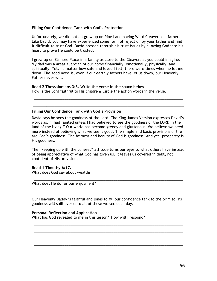## **Filling Our Confidence Tank with God's Protection**

Unfortunately, we did not all grow up on Pine Lane having Ward Cleaver as a father. Like David, you may have experienced some form of rejection by your father and find it difficult to trust God. David pressed through his trust issues by allowing God into his heart to prove He could be trusted.

I grew up on Elsinore Place in a family as close to the Cleavers as you could imagine. My dad was a great guardian of our home financially, emotionally, physically, and spiritually. Yet, no matter how safe and loved I felt, there were times when he let me down. The good news is, even if our earthly fathers have let us down, our Heavenly Father never will.

\_\_\_\_\_\_\_\_\_\_\_\_\_\_\_\_\_\_\_\_\_\_\_\_\_\_\_\_\_\_\_\_\_\_\_\_\_\_\_\_\_\_\_\_\_\_\_\_\_\_\_\_\_\_\_\_\_\_\_\_\_\_\_\_\_\_\_\_\_\_\_\_\_ \_\_\_\_\_\_\_\_\_\_\_\_\_\_\_\_\_\_\_\_\_\_\_\_\_\_\_\_\_\_\_\_\_\_\_\_\_\_\_\_\_\_\_\_\_\_\_\_\_\_\_\_\_\_\_\_

**Read 2 Thessalonians 3:3. Write the verse in the space below.**

How is the Lord faithful to His children? Circle the action words in the verse.

## **Filling Our Confidence Tank with God's Provision**

David says he sees the goodness of the Lord. The King James Version expresses David's words as, "I had fainted unless I had believed to see the goodness of the LORD in the land of the living." Our world has become greedy and gluttonous. We believe we need more instead of believing what we see is good. The simple and basic provisions of life are God's goodness. The fairness and beauty of God is goodness. And yes, prosperity is His goodness.

The "keeping up with the Joneses" attitude turns our eyes to what others have instead of being appreciative of what God has given us. It leaves us covered in debt, not confident of His provision.

\_\_\_\_\_\_\_\_\_\_\_\_\_\_\_\_\_\_\_\_\_\_\_\_\_\_\_\_\_\_\_\_\_\_\_\_\_\_\_\_\_\_\_\_\_\_\_\_\_\_\_\_\_\_\_\_\_\_\_\_\_\_\_\_\_\_\_\_\_\_\_\_\_

\_\_\_\_\_\_\_\_\_\_\_\_\_\_\_\_\_\_\_\_\_\_\_\_\_\_\_\_\_\_\_\_\_\_\_\_\_\_\_\_\_\_\_\_\_\_\_\_\_\_\_\_\_\_\_\_\_\_\_\_\_\_\_\_\_\_\_\_\_\_\_\_\_

**Read 1 Timothy 6:17.** What does God say about wealth?

What does He do for our enjoyment?

Our Heavenly Daddy is faithful and longs to fill our confidence tank to the brim so His goodness will spill over onto all of those we see each day.

\_\_\_\_\_\_\_\_\_\_\_\_\_\_\_\_\_\_\_\_\_\_\_\_\_\_\_\_\_\_\_\_\_\_\_\_\_\_\_\_\_\_\_\_\_\_\_\_\_\_\_\_\_\_\_\_\_\_\_\_\_\_\_\_\_\_\_\_\_\_\_\_\_ \_\_\_\_\_\_\_\_\_\_\_\_\_\_\_\_\_\_\_\_\_\_\_\_\_\_\_\_\_\_\_\_\_\_\_\_\_\_\_\_\_\_\_\_\_\_\_\_\_\_\_\_\_\_\_\_\_\_\_\_\_\_\_\_\_\_\_\_\_\_\_\_\_ \_\_\_\_\_\_\_\_\_\_\_\_\_\_\_\_\_\_\_\_\_\_\_\_\_\_\_\_\_\_\_\_\_\_\_\_\_\_\_\_\_\_\_\_\_\_\_\_\_\_\_\_\_\_\_\_\_\_\_\_\_\_\_\_\_\_\_\_\_\_\_\_\_ \_\_\_\_\_\_\_\_\_\_\_\_\_\_\_\_\_\_\_\_\_\_\_\_\_\_\_\_\_\_\_\_\_\_\_\_\_\_\_\_\_\_\_\_\_\_\_\_\_\_\_\_\_\_\_\_\_\_\_\_\_\_\_\_\_\_\_\_\_\_\_\_\_

## **Personal Reflection and Application**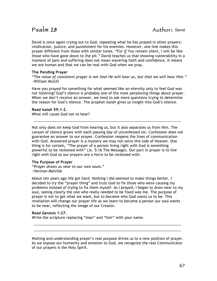David is once again crying out to God, repeating what he has prayed in other prayers: vindication, justice, and punishment for his enemies. However, one line makes this prayer different from those with similar tones. "For *if* You remain silent, I will be like those who have gone down to the pit." David teaches us that showing vulnerability in a moment of pain and suffering does not mean wavering faith and confidence. It means we are human and that we can be real with God when we pray.

## **The Pending Prayer**

"*The value of consistent prayer is not that He will hear us, but that we will hear Him*." ~William McGill

Have you prayed for something for what seemed like an eternity only to feel God was not listening? God's silence is probably one of the most perplexing things about prayer. When we don't receive an answer, we tend to ask more questions trying to determine the reason for God's silence. The prophet Isaiah gives us insight into God's silence.

# **Read Isaiah 59:1-2.**

What will cause God not to hear?

Not only does sin keep God from hearing us, but it also separates us from Him. The canyon of silence grows with each passing day of unconfessed sin. Confession does not guarantee an answer to our prayer. Confession reopens the lines of communication with God. Answered prayer is a mystery we may not solve this side of Heaven. One thing is for certain, "The prayer of a person living right with God is something powerful to be reckoned with" (Js. 5:16 The Message). Our part in prayer is to live right with God so our prayers are a force to be reckoned with.

\_\_\_\_\_\_\_\_\_\_\_\_\_\_\_\_\_\_\_\_\_\_\_\_\_\_\_\_\_\_\_\_\_\_\_\_\_\_\_\_\_\_\_\_\_\_\_\_\_\_\_\_\_\_\_\_\_\_\_\_\_\_\_\_\_\_\_\_\_\_\_\_

## **The Purpose of Prayer**

"*Prayer draws us near to our own souls*." ~Herman Melville

About ten years ago life got hard. Nothing I did seemed to make things better. I decided to try the "prayer thing" and trust God to fix those who were causing my problems instead of trying to fix them myself. As I prayed, I began to draw near to my soul, seeing clearly the one who really needed to be fixed was me. The purpose of prayer is not to get what we want, but to become who God wants us to be. This revelation will change our prayer life as we learn to become a person our soul wants to be near, reflecting the image of our Creator.

## **Read Genesis 1:27.**

Write the scripture replacing "man" and "him" with your name.

Waiting and understanding prayer's real purpose drives us to a new position of prayer. As we expose our humanity and emotion to God, we recognize the real Communicator of our prayers is the Holy Spirit.

\_\_\_\_\_\_\_\_\_\_\_\_\_\_\_\_\_\_\_\_\_\_\_\_\_\_\_\_\_\_\_\_\_\_\_\_\_\_\_\_\_\_\_\_\_\_\_\_\_\_\_\_\_\_\_\_\_\_\_\_\_\_\_\_\_\_\_\_\_\_\_\_ \_\_\_\_\_\_\_\_\_\_\_\_\_\_\_\_\_\_\_\_\_\_\_\_\_\_\_\_\_\_\_\_\_\_\_\_\_\_\_\_\_\_\_\_\_\_\_\_\_\_\_\_\_\_\_\_\_\_\_\_\_\_\_\_\_\_\_\_\_\_\_\_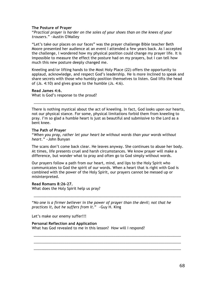## **The Posture of Prayer**

"*Practical prayer is harder on the soles of your shoes than on the knees of your trousers*." ~Austin O'Malley

"Let's take our places on our faces" was the prayer challenge Bible teacher Beth Moore presented her audience at an event I attended a few years back. As I accepted the challenge, I wondered how my physical position could change my prayer life. It is impossible to measure the effect the posture had on my prayers, but I can tell how much this new posture deeply changed me.

Kneeling and/or lifting hands to the Most Holy Place (22) offers the opportunity to applaud, acknowledge, and respect God's leadership. He is more inclined to speak and share secrets with those who humbly position themselves to listen. God lifts the head of (Js. 4:10) and gives grace to the humble (Js. 4:6).

## **Read James 4:6.**

What is God's response to the proud?

There is nothing mystical about the act of kneeling. In fact, God looks upon our hearts, not our physical stance. For some, physical limitations forbid them from kneeling to pray. I'm so glad a humble heart is just as beautiful and submissive to the Lord as a bent knee.

\_\_\_\_\_\_\_\_\_\_\_\_\_\_\_\_\_\_\_\_\_\_\_\_\_\_\_\_\_\_\_\_\_\_\_\_\_\_\_\_\_\_\_\_\_\_\_\_\_\_\_\_\_\_\_\_\_\_\_\_\_\_\_\_\_\_\_\_\_\_\_\_

## **The Path of Prayer**

"*When you pray, rather let your heart be without words than your words without heart."* ~John Bunyan

The scans don't come back clear. He leaves anyway. She continues to abuse her body. At times, life presents cruel and harsh circumstances. We know prayer will make a difference, but wonder what to pray and often go to God simply without words.

Our prayers follow a path from our heart, mind, and lips to the Holy Spirit who communicates to God the spirit of our words. When a heart that is right with God is combined with the power of the Holy Spirit, our prayers cannot be messed up or misinterpreted.

\_\_\_\_\_\_\_\_\_\_\_\_\_\_\_\_\_\_\_\_\_\_\_\_\_\_\_\_\_\_\_\_\_\_\_\_\_\_\_\_\_\_\_\_\_\_\_\_\_\_\_\_\_\_\_\_\_\_\_\_\_\_\_\_\_\_\_\_\_\_\_\_

\_\_\_\_\_\_\_\_\_\_\_\_\_\_\_\_\_\_\_\_\_\_\_\_\_\_\_\_\_\_\_\_\_\_\_\_\_\_\_\_\_\_\_\_\_\_\_\_\_\_\_\_\_\_\_\_\_\_\_\_\_\_\_\_\_\_\_\_\_\_\_\_ \_\_\_\_\_\_\_\_\_\_\_\_\_\_\_\_\_\_\_\_\_\_\_\_\_\_\_\_\_\_\_\_\_\_\_\_\_\_\_\_\_\_\_\_\_\_\_\_\_\_\_\_\_\_\_\_\_\_\_\_\_\_\_\_\_\_\_\_\_\_\_\_ \_\_\_\_\_\_\_\_\_\_\_\_\_\_\_\_\_\_\_\_\_\_\_\_\_\_\_\_\_\_\_\_\_\_\_\_\_\_\_\_\_\_\_\_\_\_\_\_\_\_\_\_\_\_\_\_\_\_\_\_\_\_\_\_\_\_\_\_\_\_\_\_

## **Read Romans 8:26-27.**

What does the Holy Spirit help us pray?

"*No one is a firmer believer in the power of prayer than the devil; not that he practices it, but he suffers from it*." ~Guy H. King

Let's make our enemy suffer!!!

## **Personal Reflection and Application**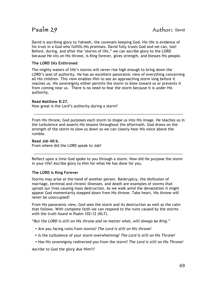David is ascribing glory to Yahweh, the covenant keeping God. His life is evidence of his trust in a God who fulfills His promises. David fully trusts God and we can, too! Before, during, and after the "storms of life," we can ascribe glory to the LORD because He sits on His throne, is King forever, gives strength, and blesses His people.

## **The LORD Sits Enthroned**

The mighty waters of life's storms will never rise high enough to bring down the LORD's seat of authority. He has an excellent panoramic view of everything concerning all His children. This view enables Him to see an approaching storm long before it reaches us. His sovereignty either permits the storm to blow toward us or prevents it from coming near us. There is no need to fear the storm because it is under His authority.

## **Read Matthew 8:27.**

How great is the Lord's authority during a storm?

From His throne, God purposes each storm to shape us into His image. He teaches us in the turbulence and asserts His lessons throughout the aftermath. God draws on the strength of the storm to slow us down so we can clearly hear His voice above the rumble.

\_\_\_\_\_\_\_\_\_\_\_\_\_\_\_\_\_\_\_\_\_\_\_\_\_\_\_\_\_\_\_\_\_\_\_\_\_\_\_\_\_\_\_\_\_\_\_\_\_\_\_\_\_\_\_\_\_\_\_\_\_\_\_\_\_\_\_\_\_\_\_\_\_

## **Read Job 40:6.**

From where did the LORD speak to Job?

Reflect upon a time God spoke to you through a storm. How did He purpose the storm in your life? Ascribe glory to Him for what He has done for you.

\_\_\_\_\_\_\_\_\_\_\_\_\_\_\_\_\_\_\_\_\_\_\_\_\_\_\_\_\_\_\_\_\_\_\_\_\_\_\_\_\_\_\_\_\_\_\_\_\_\_\_\_\_\_\_\_\_\_\_\_\_\_\_\_\_\_\_\_\_\_\_\_\_

## **The LORD is King Forever**

Storms may arise at the hand of another person. Bankruptcy, the disillusion of marriage, terminal and chronic illnesses, and death are examples of storms that uproot our lives causing mass destruction. As we walk amid the devastation it might appear God momentarily stepped down from His throne. Take heart, His throne will never be unoccupied!

From His panoramic view, God sees the storm and its destruction as well as the calm that follows. With complete faith we can respond to the ruins caused by the storms with the truth found in Psalm 102:12 (NLT).

"*But the LORD is still on His throne and no matter what, will always be King*."

- Are you facing ruins from storms? *The Lord is still on His throne!*
- Is the turbulence of your storm overwhelming? *The Lord is still on His Throne!*
- Has His sovereignty redirected you from the storm? *The Lord is still on His Throne!*

*Ascribe to God the glory due Him!!!*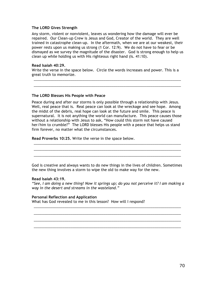## **The LORD Gives Strength**

Any storm, violent or nonviolent, leaves us wondering how the damage will ever be repaired. Our Clean-up Crew is Jesus and God, Creator of the world. They are well trained in catastrophe clean-up. In the aftermath, when we are at our weakest, their power rests upon us making us strong (1 Cor. 12:9). We do not have to fear or be dismayed as we survey the magnitude of the disaster. God is strong enough to help us clean up while holding us with His righteous right hand (Is. 41:10).

## **Read Isaiah 40:29.**

Write the verse in the space below. Circle the words increases and power. This is a great truth to memorize.

\_\_\_\_\_\_\_\_\_\_\_\_\_\_\_\_\_\_\_\_\_\_\_\_\_\_\_\_\_\_\_\_\_\_\_\_\_\_\_\_\_\_\_\_\_\_\_\_\_\_\_\_\_\_\_\_\_\_\_\_\_\_\_\_\_\_\_\_\_\_\_\_ \_\_\_\_\_\_\_\_\_\_\_\_\_\_\_\_\_\_\_\_\_\_\_\_\_\_\_\_\_\_\_\_\_\_\_\_\_\_\_\_\_\_\_\_\_\_\_\_\_\_\_\_\_\_\_\_\_\_\_\_\_\_\_\_\_\_\_\_\_\_\_\_

## **The LORD Blesses His People with Peace**

Peace during and after our storms is only possible through a relationship with Jesus. Well, real peace that is. Real peace can look at the wreckage and see hope. Among the midst of the debris, real hope can look at the future and smile. This peace is supernatural. It is not anything the world can manufacture. This peace causes those without a relationship with Jesus to ask, "How could this storm not have caused her/him to crumble?" The LORD blesses His people with a peace that helps us stand firm forever, no matter what the circumstances.

**Read Proverbs 10:25.** Write the verse in the space below.

God is creative and always wants to do new things in the lives of children. Sometimes the new thing involves a storm to wipe the old to make way for the new.

\_\_\_\_\_\_\_\_\_\_\_\_\_\_\_\_\_\_\_\_\_\_\_\_\_\_\_\_\_\_\_\_\_\_\_\_\_\_\_\_\_\_\_\_\_\_\_\_\_\_\_\_\_\_\_\_\_\_\_\_\_\_\_\_\_\_\_\_\_\_\_\_ \_\_\_\_\_\_\_\_\_\_\_\_\_\_\_\_\_\_\_\_\_\_\_\_\_\_\_\_\_\_\_\_\_\_\_\_\_\_\_\_\_\_\_\_\_\_\_\_\_\_\_\_\_\_\_\_\_\_\_\_\_\_\_\_\_\_\_\_\_\_\_\_ \_\_\_\_\_\_\_\_\_\_\_\_\_\_\_\_\_\_\_\_\_\_\_\_\_\_\_\_\_\_\_\_\_\_\_\_\_\_\_\_\_\_\_\_\_\_\_\_\_\_\_\_\_\_\_\_\_\_\_\_\_\_\_\_\_\_\_\_\_\_\_\_

## **Read Isaiah 43:19.**

*"See, I am doing a new thing! Now it springs up; do you not perceive it? I am making a way in the desert and streams in the wasteland."*

\_\_\_\_\_\_\_\_\_\_\_\_\_\_\_\_\_\_\_\_\_\_\_\_\_\_\_\_\_\_\_\_\_\_\_\_\_\_\_\_\_\_\_\_\_\_\_\_\_\_\_\_\_\_\_\_\_\_\_\_\_\_\_\_\_\_\_\_\_\_\_\_ \_\_\_\_\_\_\_\_\_\_\_\_\_\_\_\_\_\_\_\_\_\_\_\_\_\_\_\_\_\_\_\_\_\_\_\_\_\_\_\_\_\_\_\_\_\_\_\_\_\_\_\_\_\_\_\_\_\_\_\_\_\_\_\_\_\_\_\_\_\_\_\_ \_\_\_\_\_\_\_\_\_\_\_\_\_\_\_\_\_\_\_\_\_\_\_\_\_\_\_\_\_\_\_\_\_\_\_\_\_\_\_\_\_\_\_\_\_\_\_\_\_\_\_\_\_\_\_\_\_\_\_\_\_\_\_\_\_\_\_\_\_\_\_\_ \_\_\_\_\_\_\_\_\_\_\_\_\_\_\_\_\_\_\_\_\_\_\_\_\_\_\_\_\_\_\_\_\_\_\_\_\_\_\_\_\_\_\_\_\_\_\_\_\_\_\_\_\_\_\_\_\_\_\_\_\_\_\_\_\_\_\_\_\_\_\_\_

## **Personal Reflection and Application**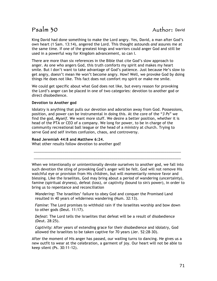King David had done something to make the Lord angry. Yes, David, a man after God's own heart (1 Sam. 13:14), angered the Lord. This thought astounds *and* assures me at the same time. If one of the greatest kings and warriors could anger God and still be used in a powerful way for Kingdom advancement, so can I.

There are more than six references in the Bible that cite God's slow approach to anger. As one who angers God, this truth comforts my spirit and makes my heart smile. But I don't want to take advantage of God's patience. Just because He's slow to get angry, doesn't mean He won't become angry. How? Well, we provoke God by doing things He does not like. This fact does not comfort my spirit or make me smile.

We could get specific about what God does not like, but every reason for provoking the Lord's anger can be placed in one of two categories: devotion to another god or direct disobedience.

## **Devotion to Another god**

Idolatry is anything that pulls our devotion and adoration away from God. Possessions, position, and power can be instrumental in doing this. At the core of the "*3 Ps*" we find the god, *Myself*. We want more stuff. We desire a better position, whether it is head of the PTA or CEO of a company. We long for power, to be in charge of the community recreational ball league or the head of a ministry at church. Trying to serve God and self invites confusion, chaos, and controversy.

## **Read Jeremiah 44:8 and Matthew 6:24.**

What other results follow devotion to another god?

When we intentionally or unintentionally devote ourselves to another god, we fall into such devotion the sting of provoking God's anger will be felt. God will not remove His watchful eye or provision from His children, but will momentarily remove favor and blessing. Like the Israelites, God may bring about a period of wandering (uncertainty), famine (spiritual dryness), defeat (loss), or captivity (bound to sin's power), in order to bring us to repentance and reconciliation

\_\_\_\_\_\_\_\_\_\_\_\_\_\_\_\_\_\_\_\_\_\_\_\_\_\_\_\_\_\_\_\_\_\_\_\_\_\_\_\_\_\_\_\_\_\_\_\_\_\_\_\_\_\_\_\_\_\_\_\_\_\_\_\_\_\_\_\_\_\_\_\_ \_\_\_\_\_\_\_\_\_\_\_\_\_\_\_\_\_\_\_\_\_\_\_\_\_\_\_\_\_\_\_\_\_\_\_\_\_\_\_\_\_\_\_\_\_\_\_\_\_\_\_\_\_\_\_\_\_\_\_\_\_\_\_\_\_\_\_\_\_\_\_\_

*Wandering*: The Israelites' failure to obey God and conquer the Promised Land resulted in 40 years of wilderness wandering (Num. 32:13).

*Famine*: The Lord promises to withhold rain if the Israelites worship and bow down to other gods (Deut. 11:17).

*Defeat*: The Lord tells the Israelites that defeat will be a result of disobedience (Deut. 28:25).

*Captivity*: After years of extending grace for their disobedience and idolatry, God allowed the Israelites to be taken captive for 70 years (Jer. 52:28-30).

After the moment of His anger has passed, our wailing turns to dancing. He gives us a new outfit to wear at the celebration, a garment of joy. Our heart will not be able to keep silent (Ps. 30:11-12).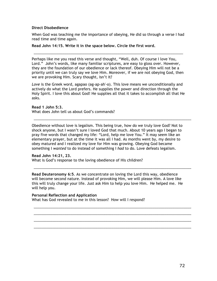#### **Direct Disobedience**

When God was teaching me the importance of obeying, He did so through a verse I had read time and time again.

\_\_\_\_\_\_\_\_\_\_\_\_\_\_\_\_\_\_\_\_\_\_\_\_\_\_\_\_\_\_\_\_\_\_\_\_\_\_\_\_\_\_\_\_\_\_\_\_\_\_\_\_\_\_\_\_\_\_\_\_\_\_\_\_\_\_\_\_\_\_\_\_\_

#### **Read John 14:15. Write it in the space below. Circle the first word.**

Perhaps like me you read this verse and thought, "Well, duh. Of course I love You, Lord." John's words, like many familiar scriptures, are easy to gloss over. However, they are the foundation of our obedience or lack thereof. Obeying Him will not be a priority until we can truly say we love Him. Moreover, if we are not obeying God, then we are provoking Him. Scary thought, isn't it?

*Love* is the Greek word, agapao (ag-ap-ah'-o). This love means we unconditionally and actively do what the Lord prefers. He supplies the power and direction through the Holy Spirit. I love this about God! He supplies all that it takes to accomplish all that He asks.

## **Read 1 John 5:3.** What does John tell us about God's commands?

Obedience without love is legalism. This being true, how do we truly love God? Not to shock anyone, but I wasn't sure I loved God that much. About 10 years ago I began to pray five words that changed my life: "Lord, help me love You." It may seem like an elementary prayer, but at the time it was all I had. As months went by, my desire to obey matured and I realized my love for Him was growing. Obeying God became something I *wanted* to do instead of something I *had* to do. Love defeats legalism.

\_\_\_\_\_\_\_\_\_\_\_\_\_\_\_\_\_\_\_\_\_\_\_\_\_\_\_\_\_\_\_\_\_\_\_\_\_\_\_\_\_\_\_\_\_\_\_\_\_\_\_\_\_\_\_\_\_\_\_\_\_\_\_\_\_\_\_\_\_\_\_\_\_\_\_\_\_

#### **Read John 14:21, 23.**

What is God's response to the loving obedience of His children?

**Read Deuteronomy 6:5**. As we concentrate on loving the Lord this way, obedience will become second nature. Instead of provoking Him, we will please Him. A love like this will truly change your life. Just ask Him to help you love Him. He helped me. He will help you.

\_\_\_\_\_\_\_\_\_\_\_\_\_\_\_\_\_\_\_\_\_\_\_\_\_\_\_\_\_\_\_\_\_\_\_\_\_\_\_\_\_\_\_\_\_\_\_\_\_\_\_\_\_\_\_\_\_\_\_\_\_\_\_\_\_\_\_\_\_\_\_\_\_\_\_\_\_

\_\_\_\_\_\_\_\_\_\_\_\_\_\_\_\_\_\_\_\_\_\_\_\_\_\_\_\_\_\_\_\_\_\_\_\_\_\_\_\_\_\_\_\_\_\_\_\_\_\_\_\_\_\_\_\_\_\_\_\_\_\_\_\_\_\_\_\_\_\_\_\_\_\_\_\_\_ \_\_\_\_\_\_\_\_\_\_\_\_\_\_\_\_\_\_\_\_\_\_\_\_\_\_\_\_\_\_\_\_\_\_\_\_\_\_\_\_\_\_\_\_\_\_\_\_\_\_\_\_\_\_\_\_\_\_\_\_\_\_\_\_\_\_\_\_\_\_\_\_\_\_\_\_\_ \_\_\_\_\_\_\_\_\_\_\_\_\_\_\_\_\_\_\_\_\_\_\_\_\_\_\_\_\_\_\_\_\_\_\_\_\_\_\_\_\_\_\_\_\_\_\_\_\_\_\_\_\_\_\_\_\_\_\_\_\_\_\_\_\_\_\_\_\_\_\_\_\_\_\_\_\_ \_\_\_\_\_\_\_\_\_\_\_\_\_\_\_\_\_\_\_\_\_\_\_\_\_\_\_\_\_\_\_\_\_\_\_\_\_\_\_\_\_\_\_\_\_\_\_\_\_\_\_\_\_\_\_\_\_\_\_\_\_\_\_\_\_\_\_\_\_\_\_\_\_\_\_\_\_

#### **Personal Reflection and Application**  What has God revealed to me in this lesson? How will I respond?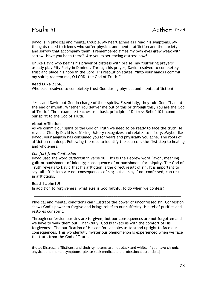David is in physical and mental trouble. My heart ached as I read his symptoms. My thoughts raced to friends who suffer physical and mental affliction and the anxiety and sorrow that accompany them. I remembered times my own eyes grew weak with sorrow. Have you been there? Are you experiencing distress now?

Unlike David who begins his prayer of distress with praise, my "suffering prayers" usually play Pity Party in D minor. Through his prayer, David resolved to completely trust and place his hope in the Lord. His resolution states, "Into your hands I commit my spirit; redeem me, O LORD, the God of Truth."

## **Read Luke 23:46.**

Who else resolved to completely trust God during physical and mental affliction?

Jesus and David put God in charge of their spirits. Essentially, they told God, "I am at the end of myself. Whether You deliver me out of this or through this, You are the God of Truth." Their example teaches us a basic principle of Distress Relief 101: commit our spirit to the God of Truth.

\_\_\_\_\_\_\_\_\_\_\_\_\_\_\_\_\_\_\_\_\_\_\_\_\_\_\_\_\_\_\_\_\_\_\_\_\_\_\_\_\_\_\_\_\_\_\_\_\_\_\_\_\_\_\_\_\_\_\_\_\_\_\_\_\_\_\_\_\_\_\_\_

## **About Affliction**

As we commit our spirit to the God of Truth we need to be ready to face the truth He reveals. Clearly David is suffering. Misery recognizes and relates to misery. Maybe like David, your anguish has consumed you for years and physically you ache. The roots of affliction run deep. Following the root to identify the source is the first step to healing and wholeness.

## *Comfort from Confession*

David used the word *affliction* in verse 10. This is the Hebrew word `avon, meaning guilt or punishment of iniquity; consequence of or punishment for iniquity. The God of Truth reveals to David that his affliction is the direct result of sin. It is important to say, all afflictions are not consequences of sin; but all sin, if not confessed, can result in afflictions.

## **Read 1 John1:9.**

In addition to forgiveness, what else is God faithful to do when we confess?

Physical and mental conditions can illustrate the power of unconfessed sin. Confession shows God's power to forgive and brings relief to our suffering. His relief purifies and restores our spirit.

\_\_\_\_\_\_\_\_\_\_\_\_\_\_\_\_\_\_\_\_\_\_\_\_\_\_\_\_\_\_\_\_\_\_\_\_\_\_\_\_\_\_\_\_\_\_\_\_\_\_\_\_\_\_\_\_\_\_\_\_\_\_\_\_\_\_\_\_\_\_\_\_

Through confession our sins are forgiven, but our consequences are not forgotten and we have to walk them out. Thankfully, God blankets us with the comfort of His forgiveness. The purification of His comfort enables us to stand upright to face our consequences. This wonderfully mysterious phenomenon is experienced when we face the truth from the God of Truth.

(Note: Distress, afflictions, and their symptoms are not black and white. If you have chronic physical and mental symptoms, please seek medical and professional attention.)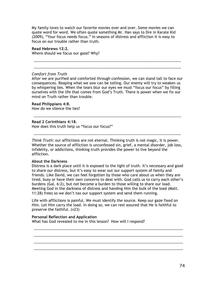My family loves to watch our favorite movies over and over. Some movies we can quote word for word. We often quote something Mr. Han says to Dre in Karate Kid (2009), "Your focus needs focus." In seasons of distress and affliction it is easy to focus on our trouble rather than truth.

## **Read Hebrews 12:2.**

Where should we focus our gaze? Why?

## *Comfort from Truth*

After we are purified and comforted through confession, we can stand tall to face our consequences. Reaping what we sow can be toiling. Our enemy will try to weaken us by whispering lies. When the tears blur our eyes we must "focus our focus" by filling ourselves with the life that comes from God's Truth. There is power when we fix our mind on Truth rather than trouble.

\_\_\_\_\_\_\_\_\_\_\_\_\_\_\_\_\_\_\_\_\_\_\_\_\_\_\_\_\_\_\_\_\_\_\_\_\_\_\_\_\_\_\_\_\_\_\_\_\_\_\_\_\_\_\_\_\_\_\_\_\_\_\_\_\_\_\_\_\_\_\_\_

\_\_\_\_\_\_\_\_\_\_\_\_\_\_\_\_\_\_\_\_\_\_\_\_\_\_\_\_\_\_\_\_\_\_\_\_\_\_\_\_\_\_\_\_\_\_\_\_\_\_\_\_\_\_\_\_\_\_\_\_\_\_\_\_\_\_\_\_\_\_\_\_ \_\_\_\_\_\_\_\_\_\_\_\_\_\_\_\_\_\_\_\_\_\_\_\_\_\_\_\_\_\_\_\_\_\_\_\_\_\_\_\_\_\_\_\_\_\_\_\_\_\_\_\_\_\_\_\_\_\_\_\_\_\_\_\_\_\_\_\_\_\_\_\_

## **Read Philippians 4:8.**

How do we silence the lies?

## **Read 2 Corinthians 4:18.**

How does this truth help us "focus our focus?"

*Think Truth*: our afflictions are not eternal. Thinking truth is not magic, it is power. Whether the source of affliction is unconfessed sin, grief, a mental disorder, job loss, infidelity, or addictions, thinking truth provides the power to live beyond the affliction.

\_\_\_\_\_\_\_\_\_\_\_\_\_\_\_\_\_\_\_\_\_\_\_\_\_\_\_\_\_\_\_\_\_\_\_\_\_\_\_\_\_\_\_\_\_\_\_\_\_\_\_\_\_\_\_\_\_\_\_\_\_\_\_\_\_\_\_\_\_\_\_\_

## **About the Darkness**

Distress is a dark place until it is exposed to the light of truth. It's necessary and good to share our distress, but it's easy to wear out our support system of family and friends. Like David, we can feel forgotten by those who care about us when they are tired, busy or have their own concerns to deal with. God calls us to carry each other's burdens (Gal. 6:2), but not become a burden to those willing to share our load. Meeting God in the darkness of distress and handing Him the bulk of the load (Matt. 11:28) frees so we don't tax our support system and send them running.

Life with afflictions is painful. We must identify the source. Keep our gaze fixed on Him. Let Him carry the load. In doing so, we can rest assured that He is faithful to preserve the faithful. (v23)

\_\_\_\_\_\_\_\_\_\_\_\_\_\_\_\_\_\_\_\_\_\_\_\_\_\_\_\_\_\_\_\_\_\_\_\_\_\_\_\_\_\_\_\_\_\_\_\_\_\_\_\_\_\_\_\_\_\_\_\_\_\_\_\_\_\_\_\_\_\_\_\_\_ \_\_\_\_\_\_\_\_\_\_\_\_\_\_\_\_\_\_\_\_\_\_\_\_\_\_\_\_\_\_\_\_\_\_\_\_\_\_\_\_\_\_\_\_\_\_\_\_\_\_\_\_\_\_\_\_\_\_\_\_\_\_\_\_\_\_\_\_\_\_\_\_\_ \_\_\_\_\_\_\_\_\_\_\_\_\_\_\_\_\_\_\_\_\_\_\_\_\_\_\_\_\_\_\_\_\_\_\_\_\_\_\_\_\_\_\_\_\_\_\_\_\_\_\_\_\_\_\_\_\_\_\_\_\_\_\_\_\_\_\_\_\_\_\_\_\_ \_\_\_\_\_\_\_\_\_\_\_\_\_\_\_\_\_\_\_\_\_\_\_\_\_\_\_\_\_\_\_\_\_\_\_\_\_\_\_\_\_\_\_\_\_\_\_\_\_\_\_\_\_\_\_\_\_\_\_\_\_\_\_\_\_\_\_\_\_\_\_\_\_

## **Personal Reflection and Application**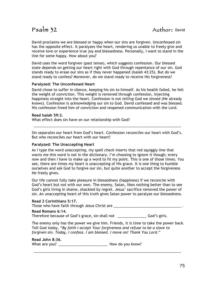David proclaims we are blessed or happy when our sins are forgiven. Unconfessed sin has the opposite effect. It paralyzes the heart, rendering us unable to freely give and receive love or experience true joy and blessedness. Personally, I want to stand in the line for some happy. How about you?

David uses the word forgiven (past tense), which suggests confession. Our blessed state depends on getting our heart right with God through repentance of our sin. God stands ready to erase our sins as if they never happened (Isaiah 43:25). But do we stand ready to confess? Moreover, do we stand ready to receive His forgiveness?

## **Paralyzed: The Unconfessed Heart**

David chose to suffer in silence, keeping his sin to himself. As his health failed, he felt the weight of conviction. This weight is removed through confession, injecting happiness straight into the heart. Confession is not *telling* God we sinned (He already knows). Confession is *acknowledging* our sin to God. David confessed and was blessed. His confession freed him of conviction and reopened communication with the Lord.

## **Read Isaiah 59:2.**

What effect does sin have on our relationship with God?

Sin *separates* our heart from God's heart. Confession *reconciles* our heart with God's. But who reconciles *our* heart with *our* heart?

\_\_\_\_\_\_\_\_\_\_\_\_\_\_\_\_\_\_\_\_\_\_\_\_\_\_\_\_\_\_\_\_\_\_\_\_\_\_\_\_\_\_\_\_\_\_\_\_\_\_\_\_\_\_\_\_\_\_\_\_\_\_\_\_\_\_\_\_\_\_\_\_

## **Paralyzed: The Unaccepting Heart**

As I type the word *unaccepting,* my spell check inserts that red squiggly line that warns me this word is not in the dictionary. I'm choosing to ignore it though; every now and then I have to make up a word to fit my point. This is one of those times. You see, there are times my heart is unaccepting of His grace. It is one thing to humble ourselves and ask God to forgive our sin, but quite another to accept the forgiveness He freely gives.

Our life cannot fully take pleasure in blessedness (happiness) if we reconcile with God's heart but not with our own. The enemy, Satan, likes nothing better than to see God's girls living in shame, shackled by regret. Jesus' sacrifice removed the power of sin. An unaccepting heart of this truth gives Satan power to paralyze our blessedness.

## **Read 2 Corinthians 5:17.**

Those who have faith through Jesus Christ are \_\_\_\_\_\_\_\_\_\_\_\_\_\_\_\_\_\_\_\_\_\_\_\_\_\_\_\_\_\_\_\_\_ .

## **Read Romans 6:14.**

Therefore because of God's grace, sin shall not \_\_\_\_\_\_\_\_\_\_\_\_\_\_\_\_\_ God's girls.

The enemy only has the power we give him. Friends, it is time to take the power back. Tell God today, "*By faith I accept Your forgiveness and refuse to be a slave to forgiven sin. Today, I confess. I am blessed. I move on! Thank You Lord*."

\_\_\_\_\_\_\_\_\_\_\_\_\_\_\_\_\_\_\_\_\_\_\_\_\_\_\_\_\_\_\_\_\_\_\_\_\_\_\_\_\_\_\_\_\_\_\_\_\_\_\_\_\_\_\_\_\_\_\_\_\_\_\_\_\_\_\_\_\_\_\_\_

## **Read John 8:36.**

What are you? **What are you?** What are you?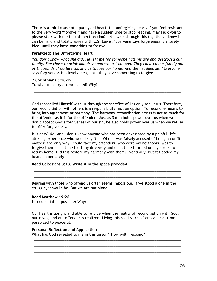There is a third cause of a paralyzed heart: the unforgiving heart. If you feel resistant to the very word "forgive," and have a sudden urge to stop reading, may I ask you to please stick with me for this next section? Let's walk through this together. I know it can be hard and totally agree with C.S. Lewis, "Everyone says forgiveness is a lovely idea, until they have something to forgive."

## **Paralyzed: The Unforgiving Heart**

*You don't know what she did. He left me for someone half his age and destroyed our family. She chose to drink and drive and we lost our son. They cheated our family out of thousands of dollars causing us to lose our home.* And the list goes on. "Everyone says forgiveness is a lovely idea, until they have something to forgive."

\_\_\_\_\_\_\_\_\_\_\_\_\_\_\_\_\_\_\_\_\_\_\_\_\_\_\_\_\_\_\_\_\_\_\_\_\_\_\_\_\_\_\_\_\_\_\_\_\_\_\_\_\_\_\_\_\_\_\_\_\_\_\_\_\_\_\_\_\_\_\_\_ \_\_\_\_\_\_\_\_\_\_\_\_\_\_\_\_\_\_\_\_\_\_\_\_\_\_\_\_\_\_\_\_\_\_\_\_\_\_\_\_\_\_\_\_\_\_\_\_\_\_\_\_\_\_\_\_\_\_\_\_\_\_\_\_\_\_\_\_\_\_\_\_

## **2 Corinthians 5:18-19.**

To what ministry are we called? Why?

God reconciled Himself with us through the sacrifice of His only son Jesus. Therefore, our reconciliation with others is a responsibility, not an option. To reconcile means to bring into agreement or harmony. The harmony reconciliation brings is not as much for the offender as it is for the offended. Just as Satan holds power over us when we don't accept God's forgiveness of our sin, he also holds power over us when we refuse to offer forgiveness.

Is it easy? No. And I don't know anyone who has been devastated by a painful, lifealtering experience who would say it is. When I was falsely accused of being an unfit mother, the only way I could face my offenders (who were my neighbors) was to forgive them each time I left my driveway and each time I turned on my street to return home. Did this restore my harmony with them? Eventually. But it flooded my heart immediately.

**Read Colossians 3:13. Write it in the space provided**.

Bearing with those who offend us often seems impossible. If we stood alone in the struggle, it would be. But we are not alone.

\_\_\_\_\_\_\_\_\_\_\_\_\_\_\_\_\_\_\_\_\_\_\_\_\_\_\_\_\_\_\_\_\_\_\_\_\_\_\_\_\_\_\_\_\_\_\_\_\_\_\_\_\_\_\_\_\_\_\_\_\_\_\_\_\_\_\_\_\_\_\_\_ \_\_\_\_\_\_\_\_\_\_\_\_\_\_\_\_\_\_\_\_\_\_\_\_\_\_\_\_\_\_\_\_\_\_\_\_\_\_\_\_\_\_\_\_\_\_\_\_\_\_\_\_\_\_\_\_\_\_\_\_\_\_\_\_\_\_\_\_\_\_\_\_

**Read Matthew 19:26.** Is reconciliation possible? Why?

Our heart is upright and able to rejoice when the reality of reconciliation with God, ourselves, and our offender is realized. Living this reality transforms a heart from paralyzed to peaceful.

\_\_\_\_\_\_\_\_\_\_\_\_\_\_\_\_\_\_\_\_\_\_\_\_\_\_\_\_\_\_\_\_\_\_\_\_\_\_\_\_\_\_\_\_\_\_\_\_\_\_\_\_\_\_\_\_\_\_\_\_\_\_\_\_\_\_\_\_\_\_\_\_ \_\_\_\_\_\_\_\_\_\_\_\_\_\_\_\_\_\_\_\_\_\_\_\_\_\_\_\_\_\_\_\_\_\_\_\_\_\_\_\_\_\_\_\_\_\_\_\_\_\_\_\_\_\_\_\_\_\_\_\_\_\_\_\_\_\_\_\_\_\_\_\_ \_\_\_\_\_\_\_\_\_\_\_\_\_\_\_\_\_\_\_\_\_\_\_\_\_\_\_\_\_\_\_\_\_\_\_\_\_\_\_\_\_\_\_\_\_\_\_\_\_\_\_\_\_\_\_\_\_\_\_\_\_\_\_\_\_\_\_\_\_\_\_\_

\_\_\_\_\_\_\_\_\_\_\_\_\_\_\_\_\_\_\_\_\_\_\_\_\_\_\_\_\_\_\_\_\_\_\_\_\_\_\_\_\_\_\_\_\_\_\_\_\_\_\_\_\_\_\_\_\_\_\_\_\_\_\_\_\_\_\_\_\_\_\_\_

**Personal Reflection and Application**  What has God revealed to me in this lesson? How will I respond?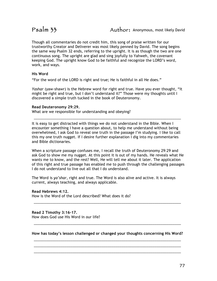Though all commentaries do not credit him, this song of praise written for our trustworthy Creator and Deliverer was most likely penned by David. The song begins the same way Psalm 32 ends, referring to the upright. It is as though the two are one continuous song. The upright are glad and sing joyfully to Yahweh, the covenant keeping God. The upright know God to be faithful and recognize the LORD's word, work, and ways.

## **His Word**

"For the word of the LORD is right and true; He is faithful in all He does."

*Yashar* (yaw-shawr) is the Hebrew word for right and true. Have you ever thought, "It might be right and true, but I don't understand it?" Those were my thoughts until I discovered a simple truth tucked in the book of Deuteronomy.

## **Read Deuteronomy 29:29.**

What are we responsible for understanding and obeying?

It is easy to get distracted with things we do not understand in the Bible. When I encounter something I have a question about, to help me understand without being overwhelmed, I ask God to reveal one truth in the passage I'm studying. I like to call this my one truth nugget. If I desire further explanation I dig into my commentaries and Bible dictionaries.

\_\_\_\_\_\_\_\_\_\_\_\_\_\_\_\_\_\_\_\_\_\_\_\_\_\_\_\_\_\_\_\_\_\_\_\_\_\_\_\_\_\_\_\_\_\_\_\_\_\_\_\_\_\_\_\_\_\_\_\_\_\_\_\_\_\_\_\_\_\_\_\_

When a scripture passage confuses me, I recall the truth of Deuteronomy 29:29 and ask God to show me my nugget. At this point it is out of my hands. He reveals what He wants me to know, and the rest? Well, He will tell me about it later. The application of this right and true passage has enabled me to push through the challenging passages I do not understand to live out all that I do understand.

The Word is *ya'shar*, right and true. The Word is also alive and active. It is always current, always teaching, and always applicable.

## **Read Hebrews 4:12.**

How is the Word of the Lord described? What does it do?

**Read 2 Timothy 3:16-17.** How does God use His Word in our life?

**How has today's lesson challenged or changed your thoughts concerning His Word?** \_\_\_\_\_\_\_\_\_\_\_\_\_\_\_\_\_\_\_\_\_\_\_\_\_\_\_\_\_\_\_\_\_\_\_\_\_\_\_\_\_\_\_\_\_\_\_\_\_\_\_\_\_\_\_\_\_\_\_\_\_\_\_\_\_\_\_\_\_\_\_\_

\_\_\_\_\_\_\_\_\_\_\_\_\_\_\_\_\_\_\_\_\_\_\_\_\_\_\_\_\_\_\_\_\_\_\_\_\_\_\_\_\_\_\_\_\_\_\_\_\_\_\_\_\_\_\_\_\_\_\_\_\_\_\_\_\_\_\_\_\_\_\_\_ \_\_\_\_\_\_\_\_\_\_\_\_\_\_\_\_\_\_\_\_\_\_\_\_\_\_\_\_\_\_\_\_\_\_\_\_\_\_\_\_\_\_\_\_\_\_\_\_\_\_\_\_\_\_\_\_\_\_\_\_\_\_\_\_\_\_\_\_\_\_\_\_

\_\_\_\_\_\_\_\_\_\_\_\_\_\_\_\_\_\_\_\_\_\_\_\_\_\_\_\_\_\_\_\_\_\_\_\_\_\_\_\_\_\_\_\_\_\_\_\_\_\_\_\_\_\_\_\_\_\_\_\_\_\_\_\_\_\_\_\_\_\_\_\_

\_\_\_\_\_\_\_\_\_\_\_\_\_\_\_\_\_\_\_\_\_\_\_\_\_\_\_\_\_\_\_\_\_\_\_\_\_\_\_\_\_\_\_\_\_\_\_\_\_\_\_\_\_\_\_\_\_\_\_\_\_\_\_\_\_\_\_\_\_\_\_\_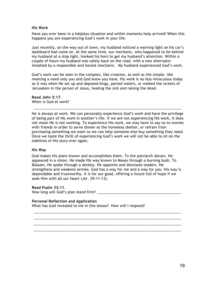## **His Work**

Have you ever been in a helpless situation and within moments help arrived? When this happens you are experiencing God's work in your life.

Just recently, on the way out of town, my husband noticed a warning light on his car's dashboard had come on. At the same time, our mechanic, who happened to be behind my husband at a stop light, honked his horn to get my husband's attention. Within a couple of hours my husband was safely back on the road, with a new alternator installed by a responsible and honest mechanic. My husband experienced God's work.

God's work can be seen in the complex, like creation, as well as the simple, like meeting a need only you and God know you have. His work is no less miraculous today as it was when He set up and deposed kings, parted waters, or walked the streets of Jerusalem in the person of Jesus, healing the sick and raising the dead.

# **Read John 5:17.**

When is God at work?

He is always at work. We can personally experience God's work and have the privilege of being part of His work in another's life. If we are not experiencing His work, it does not mean He is not working. To experience His work, we may have to say no to movies with friends in order to serve dinner at the homeless shelter, or refrain from purchasing something we want so we can help someone else buy something they need. Once we taste the thrill of experiencing God's work we will not be able to sit on the sidelines of His story ever again.

\_\_\_\_\_\_\_\_\_\_\_\_\_\_\_\_\_\_\_\_\_\_\_\_\_\_\_\_\_\_\_\_\_\_\_\_\_\_\_\_\_\_\_\_\_\_\_\_\_\_\_\_\_\_\_\_\_\_\_\_\_\_\_\_\_\_\_\_\_\_\_\_

## **His Way**

God makes His plans known and accomplishes them. To the patriarch Abram, He appeared in a vision. He made His way known to Moses through a burning bush. To Balaam, He spoke through a donkey. He appoints and dismisses leaders. He strengthens and weakens armies. God has a way for me and a way for you. His way is dependable and trustworthy. It is for our good, offering a future full of hope if we seek Him with all our heart (Jer. 29:11-13).

\_\_\_\_\_\_\_\_\_\_\_\_\_\_\_\_\_\_\_\_\_\_\_\_\_\_\_\_\_\_\_\_\_\_\_\_\_\_\_\_\_\_\_\_\_\_\_\_\_\_\_\_\_\_\_\_\_\_\_\_\_\_\_\_\_\_\_\_\_\_\_\_ \_\_\_\_\_\_\_\_\_\_\_\_\_\_\_\_\_\_\_\_\_\_\_\_\_\_\_\_\_\_\_\_\_\_\_\_\_\_\_\_\_\_\_\_\_\_\_\_\_\_\_\_\_\_\_\_\_\_\_\_\_\_\_\_\_\_\_\_\_\_\_\_ \_\_\_\_\_\_\_\_\_\_\_\_\_\_\_\_\_\_\_\_\_\_\_\_\_\_\_\_\_\_\_\_\_\_\_\_\_\_\_\_\_\_\_\_\_\_\_\_\_\_\_\_\_\_\_\_\_\_\_\_\_\_\_\_\_\_\_\_\_\_\_\_ \_\_\_\_\_\_\_\_\_\_\_\_\_\_\_\_\_\_\_\_\_\_\_\_\_\_\_\_\_\_\_\_\_\_\_\_\_\_\_\_\_\_\_\_\_\_\_\_\_\_\_\_\_\_\_\_\_\_\_\_\_\_\_\_\_\_\_\_\_\_\_\_

## **Read Psalm 33:11.**

How long will God's plan stand firm? \_\_\_\_\_\_\_\_\_\_\_\_\_\_\_\_\_\_\_\_\_\_\_\_\_\_\_\_\_\_\_\_\_\_\_\_\_\_\_\_\_

## **Personal Reflection and Application**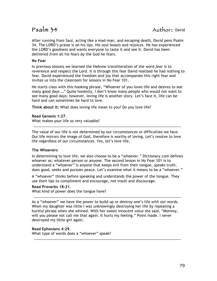After running from Saul, acting like a mad-man, and escaping death, David pens Psalm 34. The LORD's praise is on his lips. His soul boasts and rejoices. He has experienced the LORD's goodness and wants everyone to taste it and see it. David has been delivered *from* all his fears *by* the God he fears.

## **No Fear**

In previous lessons we learned the Hebrew transliteration of the word *fear* is to reverence and respect the Lord. It is through this fear David realized he had nothing to fear. David experienced the freedom and joy that accompanies this right fear and invites us into the classroom for lessons in No Fear 101.

He starts class with this hooking phrase, "Whoever of you loves life and desires to see many good days …" Quite honestly, I don't know many people who would not want to see many good days; however, loving life is another story. Let's face it, life can be hard and can sometimes be hard to love.

**Think about it:** What does loving life mean to you? Do you love life?

## **Read Genesis 1:27.**

What makes your life so very valuable?

The value of our life is not determined by our circumstances or difficulties we face. Our life mirrors the image of God, therefore is worthy of loving. Let's resolve to love life regardless of our circumstances. Yes, let's love life.

\_\_\_\_\_\_\_\_\_\_\_\_\_\_\_\_\_\_\_\_\_\_\_\_\_\_\_\_\_\_\_\_\_\_\_\_\_\_\_\_\_\_\_\_\_\_\_\_\_\_\_\_\_\_\_\_\_\_\_\_\_\_\_\_\_\_\_\_\_\_\_\_

## **The Whoevers**

In determining to love life, we also choose to be a "whoever." Dictionary.com defines *whoever* as: whatever person or anyone. The second lesson in No Fear 101 is to understand a "whoever" is anyone that keeps evil from their tongue, speaks truth, does good, seeks and pursues peace. Let's examine what it means to be a "whoever."

A "whoever" thinks before speaking and understands the power of the tongue. They use their lips to compliment and encourage, not insult and discourage.

\_\_\_\_\_\_\_\_\_\_\_\_\_\_\_\_\_\_\_\_\_\_\_\_\_\_\_\_\_\_\_\_\_\_\_\_\_\_\_\_\_\_\_\_\_\_\_\_\_\_\_\_\_\_\_\_\_\_\_\_\_\_\_\_\_\_\_\_\_\_\_\_

## **Read Proverbs 18:21.**

What kind of power does the tongue have?

As a "whoever" we have the power to build up or destroy one's life with our words. When my daughter was little I was unknowingly destroying her life by repeating a hurtful phrase when she whined. With her sweet innocent voice she said, "Mommy, will you please not call me that again. It hurts my feeling." Point made. I never destroyed my little girl again.

\_\_\_\_\_\_\_\_\_\_\_\_\_\_\_\_\_\_\_\_\_\_\_\_\_\_\_\_\_\_\_\_\_\_\_\_\_\_\_\_\_\_\_\_\_\_\_\_\_\_\_\_\_\_\_\_\_\_\_\_\_\_\_\_\_\_\_\_\_\_\_\_

## **Read Ephesians 4:29.**

What type of words does a "whoever" speak?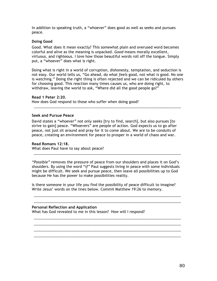In addition to speaking truth, a "whoever" does good as well as seeks and pursues peace.

## **Doing Good**

Good. What does it mean exactly? This somewhat plain and overused word becomes colorful and alive as the meaning is unpacked. *Good* means morally excellent, virtuous, and righteous. I love how those beautiful words roll off the tongue. Simply put, a "whoever" does what is right.

Doing what is right in a world of corruption, dishonesty, temptation, and seduction is not easy. Our world tells us, "Go ahead, do what *feels* good, not what *is* good. No one is watching." Doing the right thing is often rejected and we can be ridiculed by others for choosing good. This reaction many times causes us, who are doing right, to withdraw, leaving the world to ask, "Where did all the good people go?"

\_\_\_\_\_\_\_\_\_\_\_\_\_\_\_\_\_\_\_\_\_\_\_\_\_\_\_\_\_\_\_\_\_\_\_\_\_\_\_\_\_\_\_\_\_\_\_\_\_\_\_\_\_\_\_\_\_\_\_\_\_\_\_\_\_\_\_\_\_\_\_\_

## **Read 1 Peter 2:20.**

How does God respond to those who suffer when doing good?

## **Seek and Pursue Peace**

David states a "whoever" not only seeks [try to find, search], but also pursues [to strive to gain] peace. "Whoevers" are people of action. God expects us to go after peace, not just sit around and pray for it to come about. We are to be conduits of peace, creating an environment for peace to prosper in a world of chaos and war.

## **Read Romans 12:18.**

What does Paul have to say about peace?

*"Possible"* removes the pressure of peace from our shoulders and places it on God's shoulders. By using the word "*if"* Paul suggests living in peace with some individuals might be difficult. We seek and pursue peace, then leave all possibilities up to God because He has the power to make possibilities reality.

\_\_\_\_\_\_\_\_\_\_\_\_\_\_\_\_\_\_\_\_\_\_\_\_\_\_\_\_\_\_\_\_\_\_\_\_\_\_\_\_\_\_\_\_\_\_\_\_\_\_\_\_\_\_\_\_\_\_\_\_\_\_\_\_\_\_\_\_\_\_\_\_

Is there someone in your life you find the possibility of peace difficult to imagine? Write Jesus' words on the lines below. Commit Matthew 19:26 to memory.

\_\_\_\_\_\_\_\_\_\_\_\_\_\_\_\_\_\_\_\_\_\_\_\_\_\_\_\_\_\_\_\_\_\_\_\_\_\_\_\_\_\_\_\_\_\_\_\_\_\_\_\_\_\_\_\_\_\_\_\_\_\_\_\_\_\_\_\_\_\_\_\_ \_\_\_\_\_\_\_\_\_\_\_\_\_\_\_\_\_\_\_\_\_\_\_\_\_\_\_\_\_\_\_\_\_\_\_\_\_\_\_\_\_\_\_\_\_\_\_\_\_\_\_\_\_\_\_\_\_\_\_\_\_\_\_\_\_\_\_\_\_\_\_\_

\_\_\_\_\_\_\_\_\_\_\_\_\_\_\_\_\_\_\_\_\_\_\_\_\_\_\_\_\_\_\_\_\_\_\_\_\_\_\_\_\_\_\_\_\_\_\_\_\_\_\_\_\_\_\_\_\_\_\_\_\_\_\_\_\_\_\_\_\_\_\_\_ \_\_\_\_\_\_\_\_\_\_\_\_\_\_\_\_\_\_\_\_\_\_\_\_\_\_\_\_\_\_\_\_\_\_\_\_\_\_\_\_\_\_\_\_\_\_\_\_\_\_\_\_\_\_\_\_\_\_\_\_\_\_\_\_\_\_\_\_\_\_\_\_ \_\_\_\_\_\_\_\_\_\_\_\_\_\_\_\_\_\_\_\_\_\_\_\_\_\_\_\_\_\_\_\_\_\_\_\_\_\_\_\_\_\_\_\_\_\_\_\_\_\_\_\_\_\_\_\_\_\_\_\_\_\_\_\_\_\_\_\_\_\_\_\_ \_\_\_\_\_\_\_\_\_\_\_\_\_\_\_\_\_\_\_\_\_\_\_\_\_\_\_\_\_\_\_\_\_\_\_\_\_\_\_\_\_\_\_\_\_\_\_\_\_\_\_\_\_\_\_\_\_\_\_\_\_\_\_\_\_\_\_\_\_\_\_\_

## **Personal Reflection and Application**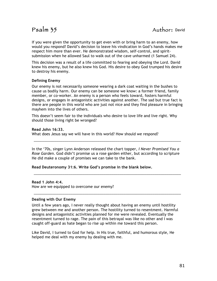If you were given the opportunity to get even with or bring harm to an enemy, how would you respond? David's decision to leave his vindication in God's hands makes me respect him more than ever. He demonstrated wisdom, self-control, and spiritsubmission when he allowed Saul to walk out of the cave unharmed (1 Samuel 24).

This decision was a result of a life committed to fearing and obeying the Lord. David knew his enemy, but he also knew his God. His desire to obey God trumped his desire to destroy his enemy.

## **Defining Enemy**

Our enemy is not necessarily someone wearing a dark coat waiting in the bushes to cause us bodily harm. Our enemy can be someone we know: a former friend, family member, or co-worker. An enemy is a person who feels toward, fosters harmful designs, or engages in antagonistic activities against another. The sad but true fact is there are people in this world who are just not nice and they find pleasure in bringing mayhem into the lives of others.

This doesn't seem fair to the individuals who desire to love life and live right. Why should those living right be wronged?

## **Read John 16:33.**

What does Jesus say we will have in this world? How should we respond?

In the '70s, singer Lynn Anderson released the chart topper, *I Never Promised You a Rose Garden*. God didn't promise us a rose garden either, but according to scripture He did make a couple of promises we can take to the bank.

\_\_\_\_\_\_\_\_\_\_\_\_\_\_\_\_\_\_\_\_\_\_\_\_\_\_\_\_\_\_\_\_\_\_\_\_\_\_\_\_\_\_\_\_\_\_\_\_\_\_\_\_\_\_\_\_\_\_\_\_\_\_\_\_\_\_\_\_\_\_\_\_

\_\_\_\_\_\_\_\_\_\_\_\_\_\_\_\_\_\_\_\_\_\_\_\_\_\_\_\_\_\_\_\_\_\_\_\_\_\_\_\_\_\_\_\_\_\_\_\_\_\_\_\_\_\_\_\_\_\_\_\_\_\_\_\_\_\_\_\_\_\_\_\_

\_\_\_\_\_\_\_\_\_\_\_\_\_\_\_\_\_\_\_\_\_\_\_\_\_\_\_\_\_\_\_\_\_\_\_\_\_\_\_\_\_\_\_\_\_\_\_\_\_\_\_\_\_\_\_\_\_\_\_\_\_\_\_\_\_\_\_\_\_\_\_\_

## **Read Deuteronomy 31:6. Write God's promise in the blank below.**

## **Read 1 John 4:4.**

How are we equipped to overcome our enemy?

## **Dealing with Our Enemy**

Until a few years ago, I never really thought about having an enemy until hostility grew between me and another person. The hostility turned to resentment. Harmful designs and antagonistic activities planned for me were revealed. Eventually the resentment turned to rage. The pain of this betrayal was like no other and I was caught off-guard as hate began to rise up within me toward this person.

Like David, I turned to God for help. In His true, faithful, and humorous style, He helped me deal with my enemy by dealing with me.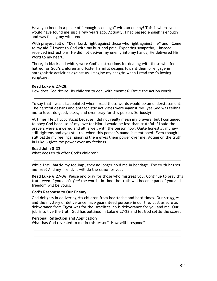Have you been in a place of "enough is enough" with an enemy? This is where you would have found me just a few years ago. Actually, I had passed enough is enough and was facing my wits' end.

With prayers full of "Dear Lord, fight against those who fight against me" and "Come to my aid," I went to God with my hurt and pain. Expecting sympathy, I instead received instructions. He did not deliver my enemy into my hands; He delivered His Word to my heart.

There, in black and white, were God's instructions for dealing with those who feel hatred for God's children and foster harmful designs toward them or engage in antagonistic activities against us. Imagine my chagrin when I read the following scripture.

## **Read Luke 6:27-28.**

How does God desire His children to deal with enemies? Circle the action words.

To say that I was disappointed when I read these words would be an understatement. The harmful designs and antagonistic activities were against me, yet God was telling me to love, do good, bless, and even pray for this person. Seriously?

\_\_\_\_\_\_\_\_\_\_\_\_\_\_\_\_\_\_\_\_\_\_\_\_\_\_\_\_\_\_\_\_\_\_\_\_\_\_\_\_\_\_\_\_\_\_\_\_\_\_\_\_\_\_\_\_\_\_\_\_\_\_\_\_\_\_\_\_\_\_\_\_

At times I felt hypocritical because I did not really mean my prayers, but I continued to obey God because of my love for Him. I would be less than truthful if I said the prayers were answered and all is well with the person now. Quite honestly, my jaw still tightens and eyes still roll when this person's name is mentioned. Even though I still battle my feelings, ignoring them gives them power over me. Acting on the truth in Luke 6 gives me power over my feelings.

**Read John 8:32.** What does truth offer God's children?

While I still battle my feelings, they no longer hold me in bondage. The truth has set me free! And my friend, it will do the same for you.

\_\_\_\_\_\_\_\_\_\_\_\_\_\_\_\_\_\_\_\_\_\_\_\_\_\_\_\_\_\_\_\_\_\_\_\_\_\_\_\_\_\_\_\_\_\_\_\_\_\_\_\_\_\_\_\_\_\_\_\_\_\_\_\_\_\_\_\_\_\_\_\_

**Read Luke 6:27-36**. Pause and pray for those who mistreat you. Continue to pray this truth even if you don't *feel* the words. In time the truth will become part of you and freedom will be yours.

## **God's Response to Our Enemy**

God delights in delivering His children from heartache and hard times. Our struggles and the mystery of deliverance have guaranteed purpose in our life. Just as sure as deliverance from Egypt was for the Israelites, so is deliverance for you and me. Our job is to live the truth God has outlined in Luke 6:27-28 and let God settle the score.

\_\_\_\_\_\_\_\_\_\_\_\_\_\_\_\_\_\_\_\_\_\_\_\_\_\_\_\_\_\_\_\_\_\_\_\_\_\_\_\_\_\_\_\_\_\_\_\_\_\_\_\_\_\_\_\_\_\_\_\_\_\_\_\_\_\_\_\_\_\_\_\_ \_\_\_\_\_\_\_\_\_\_\_\_\_\_\_\_\_\_\_\_\_\_\_\_\_\_\_\_\_\_\_\_\_\_\_\_\_\_\_\_\_\_\_\_\_\_\_\_\_\_\_\_\_\_\_\_\_\_\_\_\_\_\_\_\_\_\_\_\_\_\_\_ \_\_\_\_\_\_\_\_\_\_\_\_\_\_\_\_\_\_\_\_\_\_\_\_\_\_\_\_\_\_\_\_\_\_\_\_\_\_\_\_\_\_\_\_\_\_\_\_\_\_\_\_\_\_\_\_\_\_\_\_\_\_\_\_\_\_\_\_\_\_\_\_ \_\_\_\_\_\_\_\_\_\_\_\_\_\_\_\_\_\_\_\_\_\_\_\_\_\_\_\_\_\_\_\_\_\_\_\_\_\_\_\_\_\_\_\_\_\_\_\_\_\_\_\_\_\_\_\_\_\_\_\_\_\_\_\_\_\_\_\_\_\_\_\_

## **Personal Reflection and Application**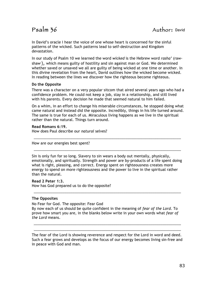In David's oracle I hear the voice of one whose heart is concerned for the sinful patterns of the wicked. Such patterns lead to self-destruction and Kingdom devastation.

In our study of Psalm 10 we learned the word *wicked* is the Hebrew word *rasha'* (rawshaw'), which means guilty of hostility and sin against man or God. We determined whether saved or unsaved we all are guilty of being wicked at one time or another. In this divine revelation from the heart, David outlines how the wicked become wicked. In reading between the lines we discover how the righteous become righteous.

## **Do the Opposite**

There was a character on a very popular sitcom that aired several years ago who had a confidence problem. He could not keep a job, stay in a relationship, and still lived with his parents. Every decision he made that seemed natural to him failed.

On a whim, in an effort to change his miserable circumstances, he stopped doing what came natural and instead did the opposite. Incredibly, things in his life turned around. The same is true for each of us. Miraculous living happens as we live in the spiritual rather than the natural. Things turn around.

\_\_\_\_\_\_\_\_\_\_\_\_\_\_\_\_\_\_\_\_\_\_\_\_\_\_\_\_\_\_\_\_\_\_\_\_\_\_\_\_\_\_\_\_\_\_\_\_\_\_\_\_\_\_\_\_\_\_\_\_\_\_\_\_\_\_\_\_\_\_\_\_

\_\_\_\_\_\_\_\_\_\_\_\_\_\_\_\_\_\_\_\_\_\_\_\_\_\_\_\_\_\_\_\_\_\_\_\_\_\_\_\_\_\_\_\_\_\_\_\_\_\_\_\_\_\_\_\_\_\_\_\_\_\_\_\_\_\_\_\_\_\_\_\_

## **Read Romans 6:19.**

How does Paul describe our *natural* selves?

How are our energies best spent?

Sin is only fun for so long. Slavery to sin wears a body out mentally, physically, emotionally, and spiritually. Strength and power are by-products of a life spent doing what is right, pleasing, and correct. Energy spent on righteousness creates more energy to spend on more righteousness and the power to live in the spiritual rather than the natural.

\_\_\_\_\_\_\_\_\_\_\_\_\_\_\_\_\_\_\_\_\_\_\_\_\_\_\_\_\_\_\_\_\_\_\_\_\_\_\_\_\_\_\_\_\_\_\_\_\_\_\_\_\_\_\_\_\_\_\_\_\_\_\_\_\_\_\_\_\_\_\_\_

## **Read 2 Peter 1:3.**

How has God prepared us to do the opposite?

## **The Opposites**

No Fear for God. The opposite: Fear God By now each of us should be quite confident in the meaning of *fear of the Lord.* To prove how smart you are, in the blanks below write in your own words what *fear of the Lord* means.

The fear of the Lord is showing reverence and respect for the Lord in word and deed. Such a fear grows and develops as the focus of our energy becomes living sin-free and in peace with God and man.

\_\_\_\_\_\_\_\_\_\_\_\_\_\_\_\_\_\_\_\_\_\_\_\_\_\_\_\_\_\_\_\_\_\_\_\_\_\_\_\_\_\_\_\_\_\_\_\_\_\_\_\_\_\_\_\_\_\_\_\_\_\_\_\_\_\_\_\_\_\_\_\_ \_\_\_\_\_\_\_\_\_\_\_\_\_\_\_\_\_\_\_\_\_\_\_\_\_\_\_\_\_\_\_\_\_\_\_\_\_\_\_\_\_\_\_\_\_\_\_\_\_\_\_\_\_\_\_\_\_\_\_\_\_\_\_\_\_\_\_\_\_\_\_\_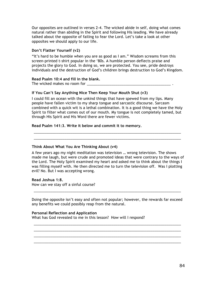Our opposites are outlined in verses 2-4. The wicked abide in self, doing what comes natural rather than abiding in the Spirit and following His leading. We have already talked about the opposite of failing to fear the Lord. Let's take a look at other opposites we should apply to our life.

## **Don't Flatter Yourself (v2)**

"It's hard to be humble when you are as good as I am." Wisdom screams from this screen-printed t-shirt popular in the '80s. A humble person deflects praise and projects the glory to God. In doing so, we are protected. You see, pride destroys individuals and the destruction of God's children brings destruction to God's Kingdom.

## **Read Psalm 10:4 and fill in the blank.**

The wicked makes no room for \_\_\_\_\_\_\_\_\_\_\_\_\_\_\_\_\_\_\_\_\_\_\_\_\_\_\_\_\_\_\_\_\_\_\_\_\_\_\_\_\_ .

## **If You Can't Say Anything Nice Then Keep Your Mouth Shut (v3)**

I could fill an ocean with the unkind things that have spewed from my lips. Many people have fallen victim to my sharp tongue and sarcastic discourse. Sarcasm combined with a quick wit is a lethal combination. It is a good thing we have the Holy Spirit to filter what comes out of our mouth. My tongue is not completely tamed, but through His Spirit and His Word there are fewer victims.

\_\_\_\_\_\_\_\_\_\_\_\_\_\_\_\_\_\_\_\_\_\_\_\_\_\_\_\_\_\_\_\_\_\_\_\_\_\_\_\_\_\_\_\_\_\_\_\_\_\_\_\_\_\_\_\_\_\_\_\_\_\_\_\_\_\_\_\_\_\_\_\_

## **Read Psalm 141:3. Write it below and commit it to memory.**

\_\_\_\_\_\_\_\_\_\_\_\_\_\_\_\_\_\_\_\_\_\_\_\_\_\_\_\_\_\_\_\_\_\_\_\_\_\_\_\_\_\_\_\_\_\_\_\_\_\_\_\_\_\_\_\_\_\_\_\_\_\_\_\_\_\_\_\_\_\_\_\_

## **Think About What You Are Thinking About (v4)**

A few years ago my night meditation was television … wrong television. The shows made me laugh, but were crude and promoted ideas that were contrary to the ways of the Lord. The Holy Spirit examined my heart and asked me to think about the things I was filling myself with. He then directed me to turn the television off. Was I plotting evil? No. But I was accepting wrong.

## **Read Joshua 1:8.**

How can we stay off a sinful course?

Doing the opposite isn't easy and often not popular; however, the rewards far exceed any benefits we could possibly reap from the natural.

\_\_\_\_\_\_\_\_\_\_\_\_\_\_\_\_\_\_\_\_\_\_\_\_\_\_\_\_\_\_\_\_\_\_\_\_\_\_\_\_\_\_\_\_\_\_\_\_\_\_\_\_\_\_\_\_\_\_\_\_\_\_\_\_\_\_\_\_\_\_\_\_ \_\_\_\_\_\_\_\_\_\_\_\_\_\_\_\_\_\_\_\_\_\_\_\_\_\_\_\_\_\_\_\_\_\_\_\_\_\_\_\_\_\_\_\_\_\_\_\_\_\_\_\_\_\_\_\_\_\_\_\_\_\_\_\_\_\_\_\_\_\_\_\_ \_\_\_\_\_\_\_\_\_\_\_\_\_\_\_\_\_\_\_\_\_\_\_\_\_\_\_\_\_\_\_\_\_\_\_\_\_\_\_\_\_\_\_\_\_\_\_\_\_\_\_\_\_\_\_\_\_\_\_\_\_\_\_\_\_\_\_\_\_\_\_\_ \_\_\_\_\_\_\_\_\_\_\_\_\_\_\_\_\_\_\_\_\_\_\_\_\_\_\_\_\_\_\_\_\_\_\_\_\_\_\_\_\_\_\_\_\_\_\_\_\_\_\_\_\_\_\_\_\_\_\_\_\_\_\_\_\_\_\_\_\_\_\_\_

\_\_\_\_\_\_\_\_\_\_\_\_\_\_\_\_\_\_\_\_\_\_\_\_\_\_\_\_\_\_\_\_\_\_\_\_\_\_\_\_\_\_\_\_\_\_\_\_\_\_\_\_\_\_\_\_\_\_\_\_\_\_\_\_\_\_\_\_\_\_\_\_

## **Personal Reflection and Application**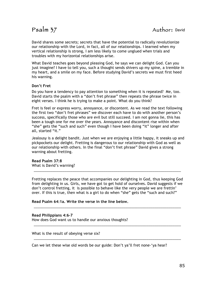David shares some secrets; secrets that have the potential to radically revolutionize our relationship with the Lord, in fact, all of our relationships. I learned when my vertical relationship is strong, I am less likely to come unglued when trials and troubles with my horizontal relationships arise.

What David teaches goes beyond pleasing God, he says we can delight God. Can you just imagine? I have to tell you, such a thought sends shivers up my spine, a tremble in my heart, and a smile on my face. Before studying David's secrets we must first heed his warning.

## **Don't Fret**

Do you have a tendency to pay attention to something when it is repeated? Me, too. David starts the psalm with a "don't fret phrase" then repeats the phrase twice in eight verses. I think he is trying to make a point. What do you think?

Fret is feel or express worry, annoyance, or discontent. As we read the text following the first two "don't fret phrases" we discover each have to do with another person's success, specifically those who are evil but still succeed. I am not gonna lie, this has been a tough one for me over the years. Annoyance and discontent rise within when "she" gets the "such and such" even though I have been doing "it" longer and after all, started "it."

Jealousy is a delight bandit. Just when we are enjoying a little happy, it sneaks up and pickpockets our delight. Fretting is dangerous to our relationship with God as well as our relationship with others. In the final "don't fret phrase" David gives a strong warning about fretting.

## **Read Psalm 37:8**

What is David's warning?

Fretting replaces the peace that accompanies our delighting in God, thus keeping God from delighting in us. Girls, we have got to get hold of ourselves. David suggests if we don't control fretting, it is possible to behave like the very people we are frettin' over. If this is true, then what is a girl to do when "she" gets the "such and such?"

\_\_\_\_\_\_\_\_\_\_\_\_\_\_\_\_\_\_\_\_\_\_\_\_\_\_\_\_\_\_\_\_\_\_\_\_\_\_\_\_\_\_\_\_\_\_\_\_\_\_\_\_\_\_\_\_\_\_\_\_\_\_\_\_\_\_\_\_\_\_\_\_

\_\_\_\_\_\_\_\_\_\_\_\_\_\_\_\_\_\_\_\_\_\_\_\_\_\_\_\_\_\_\_\_\_\_\_\_\_\_\_\_\_\_\_\_\_\_\_\_\_\_\_\_\_\_\_\_\_\_\_\_\_\_\_\_\_\_\_\_\_\_\_\_

\_\_\_\_\_\_\_\_\_\_\_\_\_\_\_\_\_\_\_\_\_\_\_\_\_\_\_\_\_\_\_\_\_\_\_\_\_\_\_\_\_\_\_\_\_\_\_\_\_\_\_\_\_\_\_\_\_\_\_\_\_\_\_\_\_\_\_\_\_\_\_\_

\_\_\_\_\_\_\_\_\_\_\_\_\_\_\_\_\_\_\_\_\_\_\_\_\_\_\_\_\_\_\_\_\_\_\_\_\_\_\_\_\_\_\_\_\_\_\_\_\_\_\_\_\_\_\_\_\_\_\_\_\_\_\_\_\_\_\_\_\_\_\_\_

## **Read Psalm 64:1a. Write the verse in the line below.**

**Read Philippians 4:6-7** How does God want us to handle our anxious thoughts?

What is the result of obeying verse six?

Can we let these wise old words be our guide: Don't ya'll fret none-'ya hear?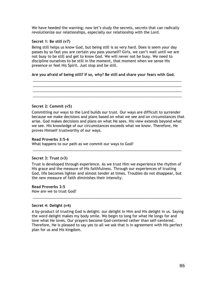We have heeded the warning; now let's study the secrets, secrets that can radically revolutionize our relationships, especially our relationship with the Lord.

## **Secret 1: Be still (v7)**

Being still helps us know God, but being still is so very hard. Does is seem your day passes by so fast you are certain you pass yourself? Girls, we can't wait until we are not busy to be still and get to know God. We will never not be busy. We need to discipline ourselves to be still in the moment, that moment when we sense His presence or feel His Spirit. Just stop and be still.

**Are you afraid of being still? If so, why? Be still and share your fears with God.**

\_\_\_\_\_\_\_\_\_\_\_\_\_\_\_\_\_\_\_\_\_\_\_\_\_\_\_\_\_\_\_\_\_\_\_\_\_\_\_\_\_\_\_\_\_\_\_\_\_\_\_\_\_\_\_ \_\_\_\_\_\_\_\_\_\_\_\_\_\_\_\_\_\_\_\_\_\_\_\_\_\_\_\_\_\_\_\_\_\_\_\_\_\_\_\_\_\_\_\_\_\_\_\_\_\_\_\_\_\_\_ \_\_\_\_\_\_\_\_\_\_\_\_\_\_\_\_\_\_\_\_\_\_\_\_\_\_\_\_\_\_\_\_\_\_\_\_\_\_\_\_\_\_\_\_\_\_\_\_\_\_\_\_\_\_\_ \_\_\_\_\_\_\_\_\_\_\_\_\_\_\_\_\_\_\_\_\_\_\_\_\_\_\_\_\_\_\_\_\_\_\_\_\_\_\_\_\_\_\_\_\_\_\_\_\_\_\_\_\_\_\_

## **Secret 2: Commit (v5)**

Committing our ways to the Lord builds our trust. Our ways are difficult to surrender because we make decisions and plans based on what we see and on circumstances that arise. God makes decisions and plans on what He sees. His view extends beyond what we see. His knowledge of our circumstances exceeds what we know. Therefore, He proves Himself trustworthy of our ways.

## **Read Proverbs 3:5-6**

What happens to our path as we commit our ways to God?

## **Secret 3: Trust (v3)**

Trust is developed through experience. As we trust Him we experience the rhythm of His grace and the measure of His faithfulness. Through our experiences of trusting God, life becomes lighter and almost tender at times. Troubles do not disappear, but the new measure of faith diminishes their intensity.

\_\_\_\_\_\_\_\_\_\_\_\_\_\_\_\_\_\_\_\_\_\_\_\_\_\_\_\_\_\_\_\_\_\_\_\_\_\_\_\_\_\_\_\_\_\_\_\_\_\_\_\_\_\_\_

\_\_\_\_\_\_\_\_\_\_\_\_\_\_\_\_\_\_\_\_\_\_\_\_\_\_\_\_\_\_\_\_\_\_\_\_\_\_\_\_\_\_\_\_\_\_\_\_\_\_\_\_\_\_\_

## **Read Proverbs 3:5**

How are we to trust God?

## **Secret 4: Delight (v4)**

A by-product of trusting God is delight: our delight in Him and His delight in us. Saying the word delight makes my body smile. We begin to long for what He longs for and love what He loves. Our prayers become God-centered rather than self-centered. Therefore, He is pleased to say yes to all we ask that is in agreement with His perfect plan for us and His kingdom.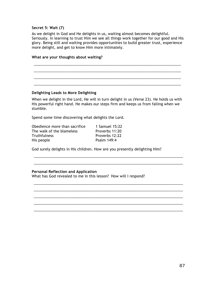## **Secret 5: Wait (7)**

As we delight in God and He delights in us, waiting almost becomes delightful. Seriously. In learning to trust Him we see all things work together for our good and His glory. Being still and waiting provides opportunities to build greater trust, experience more delight, and get to know Him more intimately.

\_\_\_\_\_\_\_\_\_\_\_\_\_\_\_\_\_\_\_\_\_\_\_\_\_\_\_\_\_\_\_\_\_\_\_\_\_\_\_\_\_\_\_\_\_\_\_\_\_\_\_\_\_\_\_\_\_\_\_\_\_\_\_\_\_\_\_\_\_\_\_\_ \_\_\_\_\_\_\_\_\_\_\_\_\_\_\_\_\_\_\_\_\_\_\_\_\_\_\_\_\_\_\_\_\_\_\_\_\_\_\_\_\_\_\_\_\_\_\_\_\_\_\_\_\_\_\_\_\_\_\_\_\_\_\_\_\_\_\_\_\_\_\_\_ \_\_\_\_\_\_\_\_\_\_\_\_\_\_\_\_\_\_\_\_\_\_\_\_\_\_\_\_\_\_\_\_\_\_\_\_\_\_\_\_\_\_\_\_\_\_\_\_\_\_\_\_\_\_\_\_\_\_\_\_\_\_\_\_\_\_\_\_\_\_\_\_ \_\_\_\_\_\_\_\_\_\_\_\_\_\_\_\_\_\_\_\_\_\_\_\_\_\_\_\_\_\_\_\_\_\_\_\_\_\_\_\_\_\_\_\_\_\_\_\_\_\_\_\_\_\_\_\_\_\_\_\_\_\_\_\_\_\_\_\_\_\_\_\_

## **What are your thoughts about waiting?**

**Delighting Leads to More Delighting**

When we delight in the Lord, He will in turn delight in us (Verse 23). He holds us with His powerful right hand. He makes our steps firm and keeps us from falling when we stumble.

\_\_\_\_\_\_\_\_\_\_\_\_\_\_\_\_\_\_\_\_\_\_\_\_\_\_\_\_\_\_\_\_\_\_\_\_\_\_\_\_\_\_\_\_\_\_\_\_\_\_\_\_\_\_\_\_\_\_\_\_\_\_\_\_\_\_\_\_\_\_\_\_\_ \_\_\_\_\_\_\_\_\_\_\_\_\_\_\_\_\_\_\_\_\_\_\_\_\_\_\_\_\_\_\_\_\_\_\_\_\_\_\_\_\_\_\_\_\_\_\_\_\_\_\_\_\_\_\_\_\_\_\_\_\_\_\_\_\_\_\_\_\_\_\_\_\_

\_\_\_\_\_\_\_\_\_\_\_\_\_\_\_\_\_\_\_\_\_\_\_\_\_\_\_\_\_\_\_\_\_\_\_\_\_\_\_\_\_\_\_\_\_\_\_\_\_\_\_\_\_\_\_\_\_\_\_\_\_\_\_\_\_\_\_\_\_\_\_\_\_ \_\_\_\_\_\_\_\_\_\_\_\_\_\_\_\_\_\_\_\_\_\_\_\_\_\_\_\_\_\_\_\_\_\_\_\_\_\_\_\_\_\_\_\_\_\_\_\_\_\_\_\_\_\_\_\_\_\_\_\_\_\_\_\_\_\_\_\_\_\_\_\_\_ \_\_\_\_\_\_\_\_\_\_\_\_\_\_\_\_\_\_\_\_\_\_\_\_\_\_\_\_\_\_\_\_\_\_\_\_\_\_\_\_\_\_\_\_\_\_\_\_\_\_\_\_\_\_\_\_\_\_\_\_\_\_\_\_\_\_\_\_\_\_\_\_\_ \_\_\_\_\_\_\_\_\_\_\_\_\_\_\_\_\_\_\_\_\_\_\_\_\_\_\_\_\_\_\_\_\_\_\_\_\_\_\_\_\_\_\_\_\_\_\_\_\_\_\_\_\_\_\_\_\_\_\_\_\_\_\_\_\_\_\_\_\_\_\_\_\_ \_\_\_\_\_\_\_\_\_\_\_\_\_\_\_\_\_\_\_\_\_\_\_\_\_\_\_\_\_\_\_\_\_\_\_\_\_\_\_\_\_\_\_\_\_\_\_\_\_\_\_\_\_\_\_\_\_\_\_\_\_\_\_\_\_\_\_\_\_\_\_\_\_

Spend some time discovering what delights the Lord.

| Obedience more than sacrifice | 1 Samuel 15:22 |
|-------------------------------|----------------|
| The walk of the blameless     | Proverbs 11:20 |
| <b>Truthfulness</b>           | Proverbs 12:22 |
| His people                    | Psalm 149:4    |

God surely delights in His children. How are you presently delighting Him?

### **Personal Reflection and Application**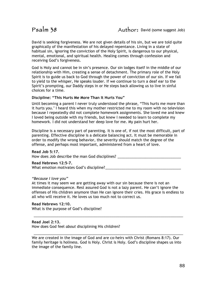David is seeking forgiveness. We are not given details of his sin, but we are told quite graphically of the manifestation of his delayed repentance. Living in a state of habitual sin, ignoring the conviction of the Holy Spirit, is dangerous to our physical, mental, emotional, and spiritual health. Healing comes through confession and receiving God's forgiveness.

God is Holy and cannot be in sin's presence. Our sin lodges itself in the middle of our relationship with Him, creating a sense of detachment. The primary role of the Holy Spirit is to guide us back to God through the power of conviction of our sin. If we fail to yield to the whisper, He speaks louder. If we continue to turn a deaf ear to the Spirit's prompting, our Daddy steps in or He steps back allowing us to live in sinful choices for a time.

## **Discipline: "This Hurts Me More Than It Hurts You"**

Until becoming a parent I never truly understood the phrase, "This hurts me more than it hurts you." I heard this when my mother restricted me to my room with no television because I repeatedly did not complete homework assignments. She loved me and knew I loved being outside with my friends, but knew I needed to learn to complete my homework. I did not understand her deep love for me. My pain hurt her.

Discipline is a necessary part of parenting. It is one of, if not the most difficult, part of parenting. Effective discipline is a delicate balancing act. It must be memorable in order to modify the wrong behavior, the severity should match the degree of the offense, and perhaps most important, administered from a heart of love.

**Read Job 5:17.** How does Job describe the man God disciplines? **Example 2018** 

## **Read Hebrews 12:5-7.**

What emotion motivates God's discipline?\_\_\_\_\_\_\_\_\_\_\_\_\_\_\_\_\_\_\_\_\_\_\_\_\_\_\_\_\_\_\_\_\_\_\_\_\_

## *"Because I love you"*

At times it may seem we are getting away with our sin because there is not an immediate consequence. Rest assured God is not a lazy parent. He can't ignore the offenses of His children anymore than He can ignore their cries. His grace is endless to all who will receive it. He loves us too much not to correct us.

\_\_\_\_\_\_\_\_\_\_\_\_\_\_\_\_\_\_\_\_\_\_\_\_\_\_\_\_\_\_\_\_\_\_\_\_\_\_\_\_\_\_\_\_\_\_\_\_\_\_\_\_\_\_\_\_\_\_\_\_\_\_\_\_\_\_\_\_\_\_\_\_\_

**Read Hebrews 12:10.** What is the purpose of God's discipline?

## **Read Joel 2:13.** How does God feel *about* disciplining His children?

\_\_\_\_\_\_\_\_\_\_\_\_\_\_\_\_\_\_\_\_\_\_\_\_\_\_\_\_\_\_\_\_\_\_\_\_\_\_\_\_\_\_\_\_\_\_\_\_\_\_\_\_\_\_\_\_\_\_\_\_\_\_\_\_\_\_\_\_\_\_\_\_\_ We are created in the image of God and are co-heirs with Christ (Romans 8:17). Our family heritage is holiness. God is Holy. Christ is Holy. God's discipline shapes us into the image of the family line.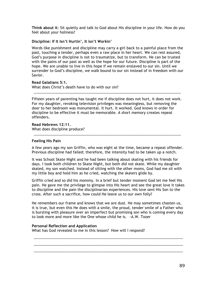**Think about it**: Sit quietly and talk to God about His discipline in your life. How do you feel about your holiness?

## **Discipline: If It Isn't Hurtin', It isn't Workin'**

Words like punishment and discipline may carry a girl back to a painful place from the past, touching a tender, perhaps even a raw place in her heart. We can rest assured, God's purpose in discipline is not to traumatize, but to transform. He can be trusted with the pains of our past as well as the hope for our future. Discipline is part of the hope. We are unable to live in this hope if we remain enslaved to our sin. Until we surrender to God's discipline, we walk bound to our sin instead of in freedom with our Savior.

## **Read Galatians 5:1.**

What does Christ's death have to do with our sin?

Fifteen years of parenting has taught me if discipline does not hurt, it does not work. For my daughter, revoking television privileges was meaningless, but removing the door to her bedroom was monumental. It hurt. It worked. God knows in order for discipline to be effective it must be memorable. A short memory creates repeat offenders.

\_\_\_\_\_\_\_\_\_\_\_\_\_\_\_\_\_\_\_\_\_\_\_\_\_\_\_\_\_\_\_\_\_\_\_\_\_\_\_\_\_\_\_\_\_\_\_\_\_\_\_\_\_\_\_\_\_\_\_\_\_\_\_\_\_\_\_\_\_\_\_\_

**Read Hebrews 12:11.** What does discipline produce?

## **Feeling His Pain**

A few years ago my son Griffin, who was eight at the time, became a repeat offender. Previous discipline had failed; therefore, the intensity had to be taken up a notch.

\_\_\_\_\_\_\_\_\_\_\_\_\_\_\_\_\_\_\_\_\_\_\_\_\_\_\_\_\_\_\_\_\_\_\_\_\_\_\_\_\_\_\_\_\_\_\_\_\_\_\_\_\_\_\_\_\_\_\_\_\_\_\_\_\_\_\_\_\_\_\_\_

It was School Skate Night and he had been talking about skating with his friends for days. I took both children to Skate Night, but both did not skate. While my daughter skated, my son watched. Instead of sitting with the other moms, God had me sit with my little boy and hold him as he cried, watching the skaters glide by.

Griffin cried and so did his mommy. In a brief but tender moment God let me feel His pain. He gave me the privilege to glimpse into His heart and see the great love it takes to discipline and the pain the disciplinarian experiences. His love sent His Son to the cross. After such a sacrifice, how could He leave us to our own folly?

He remembers our frame and knows that we are dust. He may sometimes chasten us, it is true, but even this He does with a smile, the proud, tender smile of a Father who is bursting with pleasure over an imperfect but promising son who is coming every day to look more and more like the One whose child he is. ~A.W. Tozer

\_\_\_\_\_\_\_\_\_\_\_\_\_\_\_\_\_\_\_\_\_\_\_\_\_\_\_\_\_\_\_\_\_\_\_\_\_\_\_\_\_\_\_\_\_\_\_\_\_\_\_\_\_\_\_\_\_\_\_\_\_\_\_\_\_\_\_\_\_\_\_\_\_ \_\_\_\_\_\_\_\_\_\_\_\_\_\_\_\_\_\_\_\_\_\_\_\_\_\_\_\_\_\_\_\_\_\_\_\_\_\_\_\_\_\_\_\_\_\_\_\_\_\_\_\_\_\_\_\_\_\_\_\_\_\_\_\_\_\_\_\_\_\_\_\_\_ \_\_\_\_\_\_\_\_\_\_\_\_\_\_\_\_\_\_\_\_\_\_\_\_\_\_\_\_\_\_\_\_\_\_\_\_\_\_\_\_\_\_\_\_\_\_\_\_\_\_\_\_\_\_\_\_\_\_\_\_\_\_\_\_\_\_\_\_\_\_\_\_\_

## **Personal Reflection and Application**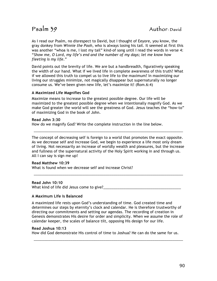As I read our Psalm, no disrespect to David, but I thought of Eeyore, you know, the gray donkey from *Winnie the Pooh,* who is always losing his tail. It seemed at first this was another "whoa is me, I lost my tail" kind-of song until I read the words in verse 4: "*Show me, O Lord, my life's end and the number of my days; let me know how fleeting is my life*."

David points out the brevity of life. We are but a handbreadth, figuratively speaking the width of our hand. What if we lived life in complete awareness of this truth? What if we allowed this truth to compel us to live life to the maximum? In maximizing our living our struggles minimize, not magically disappear but supernaturally no longer consume us. We've been given new life, let's maximize it! (Rom.6:4)

## **A Maximized Life Magnifies God**

Maximize means to increase to the greatest possible degree. Our life will be maximized to the greatest possible degree when we intentionally magnify God. As we make God greater the world will see the greatness of God. Jesus teaches the "how-to" of maximizing God in the book of John.

## **Read John 3:30**

How do we magnify God? Write the complete instruction in the line below.

The concept of decreasing self is foreign to a world that promotes the exact opposite. As we decrease self and increase God, we begin to experience a life most only dream of living. Not necessarily an increase of worldly wealth and pleasures, but the increase and fullness of the supernatural activity of the Holy Spirit working in and through us. All I can say is sign me up!

\_\_\_\_\_\_\_\_\_\_\_\_\_\_\_\_\_\_\_\_\_\_\_\_\_\_\_\_\_\_\_\_\_\_\_\_\_\_\_\_\_\_\_\_\_\_\_\_\_\_\_\_\_\_\_\_\_\_\_\_\_\_\_\_\_\_\_\_\_\_\_\_\_

\_\_\_\_\_\_\_\_\_\_\_\_\_\_\_\_\_\_\_\_\_\_\_\_\_\_\_\_\_\_\_\_\_\_\_\_\_\_\_\_\_\_\_\_\_\_\_\_\_\_\_\_\_\_\_\_\_\_\_\_\_\_\_\_\_\_\_\_\_\_\_\_\_

## **Read Matthew 10:39**

What is found when we decrease self and increase Christ?

## **Read John 10:10**

What kind of life did Jesus come to give?<br>

## **A Maximum Life is Balanced**

A maximized life rests upon God's understanding of time. God created time and determines our steps by eternity's clock and calendar. He is therefore trustworthy of directing our commitments and setting our agendas. The recording of creation in Genesis demonstrates His desire for order and simplicity. When we assume the role of calendar keeper, the scales of balance tilt, opposing His design for our life.

## **Read Joshua 10:13**

How did God demonstrate His control of time to Joshua? He can do the same for us.

\_\_\_\_\_\_\_\_\_\_\_\_\_\_\_\_\_\_\_\_\_\_\_\_\_\_\_\_\_\_\_\_\_\_\_\_\_\_\_\_\_\_\_\_\_\_\_\_\_\_\_\_\_\_\_\_\_\_\_\_\_\_\_\_\_\_\_\_\_\_\_\_\_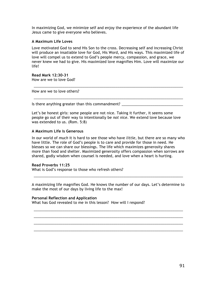In maximizing God, we minimize self and enjoy the experience of the abundant life Jesus came to give everyone who believes.

## **A Maximum Life Loves**

Love motivated God to send His Son to the cross. Decreasing self and increasing Christ will produce an insatiable love for God, His Word, and His ways. This maximized life of love will compel us to extend to God's people mercy, compassion, and grace, we never knew we had to give. His maximized love magnifies Him. Love will maximize our life!

\_\_\_\_\_\_\_\_\_\_\_\_\_\_\_\_\_\_\_\_\_\_\_\_\_\_\_\_\_\_\_\_\_\_\_\_\_\_\_\_\_\_\_\_\_\_\_\_\_\_\_\_\_\_\_\_\_\_\_\_\_\_\_\_\_\_\_\_\_\_\_\_\_

\_\_\_\_\_\_\_\_\_\_\_\_\_\_\_\_\_\_\_\_\_\_\_\_\_\_\_\_\_\_\_\_\_\_\_\_\_\_\_\_\_\_\_\_\_\_\_\_\_\_\_\_\_\_\_\_\_\_\_\_\_\_\_\_\_\_\_\_\_\_\_\_\_

**Read Mark 12:30-31** How are we to love God?

How are we to love others?

Is there anything greater than this commandment? \_\_\_\_\_\_\_\_\_\_\_\_\_\_\_\_\_\_\_\_\_\_\_\_\_\_\_\_\_\_\_

Let's be honest girls: some people are not nice. Taking it further, it seems some people go out of their way to intentionally be *not nice*. We extend love because love was extended to us. (Rom. 5:8)

## **A Maximum Life is Generous**

In our world of *much* it is hard to see those who have *little,* but there are so many who have little. The role of God's people is to care and provide for those in need. He blesses so we can share our blessings. The life which maximizes generosity shares more than food and shelter. Maximized generosity offers compassion when sorrows are shared, godly wisdom when counsel is needed, and love when a heart is hurting.

## **Read Proverbs 11:25**

What is God's response to those who refresh others?

A maximizing life magnifies God. He knows the number of our days. Let's determine to make the most of our days by living life to the max!

\_\_\_\_\_\_\_\_\_\_\_\_\_\_\_\_\_\_\_\_\_\_\_\_\_\_\_\_\_\_\_\_\_\_\_\_\_\_\_\_\_\_\_\_\_\_\_\_\_\_\_\_\_\_\_\_\_\_\_\_\_\_\_\_\_\_\_\_\_\_\_\_\_ \_\_\_\_\_\_\_\_\_\_\_\_\_\_\_\_\_\_\_\_\_\_\_\_\_\_\_\_\_\_\_\_\_\_\_\_\_\_\_\_\_\_\_\_\_\_\_\_\_\_\_\_\_\_\_\_\_\_\_\_\_\_\_\_\_\_\_\_\_\_\_\_\_ \_\_\_\_\_\_\_\_\_\_\_\_\_\_\_\_\_\_\_\_\_\_\_\_\_\_\_\_\_\_\_\_\_\_\_\_\_\_\_\_\_\_\_\_\_\_\_\_\_\_\_\_\_\_\_\_\_\_\_\_\_\_\_\_\_\_\_\_\_\_\_\_\_ \_\_\_\_\_\_\_\_\_\_\_\_\_\_\_\_\_\_\_\_\_\_\_\_\_\_\_\_\_\_\_\_\_\_\_\_\_\_\_\_\_\_\_\_\_\_\_\_\_\_\_\_\_\_\_\_\_\_\_\_\_\_\_\_\_\_\_\_\_\_\_\_\_

\_\_\_\_\_\_\_\_\_\_\_\_\_\_\_\_\_\_\_\_\_\_\_\_\_\_\_\_\_\_\_\_\_\_\_\_\_\_\_\_\_\_\_\_\_\_\_\_\_\_\_\_\_\_\_\_\_\_\_\_\_\_\_\_\_\_\_\_\_\_\_\_\_

## **Personal Reflection and Application**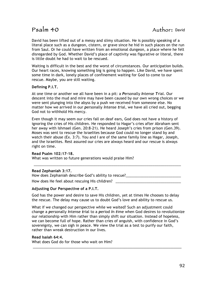David has been lifted out of a messy and slimy situation. He is possibly speaking of a literal place such as a dungeon, cistern, or grave since he hid in such places on the run from Saul. Or he could have written from an emotional dungeon, a place where he felt disregarded by God. Whether David's place of captivity was figurative or literal, there is little doubt he had to wait to be rescued.

Waiting is difficult in the best and the worst of circumstances. Our anticipation builds. Our heart races, knowing something big is going to happen. Like David, we have spent some time in dark, lonely places of confinement waiting for God to come to our rescue. Maybe, you are still waiting.

## **Defining P.I.T.**

At one time or another we all have been in a pit: a *P*ersonally *I*ntense *T*rial. Our descent into the mud and mire may have been caused by our own wrong choices or we were sent plunging into the abyss by a push we received from someone else. No matter how we arrived in our *p*ersonally *i*ntense *t*rial, we have all cried out, begging God not to withhold His mercy.

Even though it may seem our cries fall on deaf ears, God does not have a history of ignoring the cries of His children. He responded to Hagar's cries after Abraham sent her away with Ishmael (Gen. 20:8-21). He heard Joseph's cries from prison (Gen.39). Moses was sent to rescue the Israelites because God could no longer stand by and watch their abuse (Ex. 3:7). You and I are of the same family line as Hagar, Joseph, and the Israelites. Rest assured our cries are always heard and our rescue is always right on time.

## **Read Psalm 102:17-18.**

What was written so future generations would praise Him?

## **Read Zephaniah 3:17.**

How does Zephaniah describe God's ability to rescue?\_\_\_\_\_\_\_\_\_\_\_\_\_\_\_\_\_\_\_\_\_\_\_\_\_\_\_\_ How does He feel about rescuing His children? \_\_\_\_\_\_\_\_\_\_\_\_\_\_\_\_\_\_\_\_\_\_\_\_\_\_\_\_\_\_\_\_\_\_

\_\_\_\_\_\_\_\_\_\_\_\_\_\_\_\_\_\_\_\_\_\_\_\_\_\_\_\_\_\_\_\_\_\_\_\_\_\_\_\_\_\_\_\_\_\_\_\_\_\_\_\_\_\_\_\_\_\_\_\_\_\_\_\_\_\_\_\_\_\_\_\_

## **Adjusting Our Perspective of a P.I.T.**

God has the power and desire to save His children, yet at times He chooses to delay the rescue. The delay may cause us to doubt God's love and ability to rescue us.

What if we changed our perspective while we waited? Such an adjustment could change a *p*ersonally *i*ntense *t*rial to a *p*eriod *i*n *t*ime when God desires to revolutionize our relationship with Him rather than simply shift our situation. Instead of hopeless, we can become full of hope. Rather than cries of anguish, with confidence in God's sovereignty, we can sigh in peace. We view the trial as a test to purify our faith, rather than wreak destruction in our lives.

\_\_\_\_\_\_\_\_\_\_\_\_\_\_\_\_\_\_\_\_\_\_\_\_\_\_\_\_\_\_\_\_\_\_\_\_\_\_\_\_\_\_\_\_\_\_\_\_\_\_\_\_\_\_\_

## **Read Isaiah 64:4.**

What does God do for those who wait on Him?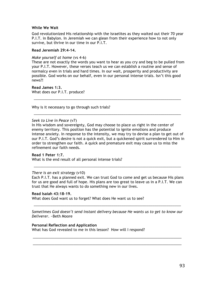## **While We Wait**

God revolutionized His relationship with the Israelites as they waited out their 70 year P.I.T. in Babylon. In Jeremiah we can glean from their experience how to not only survive, but thrive in our time in our P.I.T.

## **Read Jeremiah 29:4-14.**

## *Make yourself at home* (vs 4-6)

These are not exactly the words you want to hear as you cry and beg to be pulled from your P.I.T. However, these verses teach us we can establish a routine and sense of normalcy even in trials and hard times. In our wait, prosperity and productivity are possible. God works on our behalf, even in our personal intense trials. Isn't this good news?!

\_\_\_\_\_\_\_\_\_\_\_\_\_\_\_\_\_\_\_\_\_\_\_\_\_\_\_\_\_\_\_\_\_\_\_\_\_\_\_\_\_\_\_\_\_\_\_\_\_\_\_\_\_\_\_\_\_\_\_\_\_\_\_\_\_\_\_\_\_\_\_\_

\_\_\_\_\_\_\_\_\_\_\_\_\_\_\_\_\_\_\_\_\_\_\_\_\_\_\_\_\_\_\_\_\_\_\_\_\_\_\_\_\_\_\_\_\_\_\_\_\_\_\_\_\_\_\_\_\_\_\_\_\_\_\_\_\_\_\_\_\_\_\_\_

## **Read James 1:3.** What does our P.I.T. produce?

Why is it necessary to go through such trials?

## *Seek to Live in Peace* (v7)

In His wisdom and sovereignty, God may choose to place us right in the center of enemy territory. This position has the potential to ignite emotions and produce intense anxiety. In response to the intensity, we may try to devise a plan to get out of our P.I.T. God's desire is not a quick exit, but a quickened spirit surrendered to Him in order to strengthen our faith. A quick and premature exit may cause us to miss the refinement our faith needs.

## **Read 1 Peter 1:7.**

What is the end result of all personal intense trials?

## *There is an exit strategy* (v10)

Each P.I.T. has a planned exit. We can trust God to come and get us because His plans for us are good and full of hope. His plans are too great to leave us in a P.I.T. We can trust that He always wants to do something new in our lives.

\_\_\_\_\_\_\_\_\_\_\_\_\_\_\_\_\_\_\_\_\_\_\_\_\_\_\_\_\_\_\_\_\_\_\_\_\_\_\_\_\_\_\_\_\_\_\_\_\_\_\_\_\_\_\_\_\_\_\_\_\_\_\_\_\_\_\_\_\_\_\_\_

## **Read Isaiah 43:18-19.**

What does God want us to forget? What does He want us to see?

*Sometimes God doesn't send instant delivery because He wants us to get to know our Deliverer*. ~Beth Moore

\_\_\_\_\_\_\_\_\_\_\_\_\_\_\_\_\_\_\_\_\_\_\_\_\_\_\_\_\_\_\_\_\_\_\_\_\_\_\_\_\_\_\_\_\_\_\_\_\_\_\_\_\_\_\_ \_\_\_\_\_\_\_\_\_\_\_\_\_\_\_\_\_\_\_\_\_\_\_\_\_\_\_\_\_\_\_\_\_\_\_\_\_\_\_\_\_\_\_\_\_\_\_\_\_\_\_\_\_\_\_

\_\_\_\_\_\_\_\_\_\_\_\_\_\_\_\_\_\_\_\_\_\_\_\_\_\_\_\_\_\_\_\_\_\_\_\_\_\_\_\_\_\_\_\_\_\_\_\_\_\_\_\_\_\_\_\_\_\_\_\_\_\_\_\_\_\_\_\_\_\_\_\_

## **Personal Reflection and Application**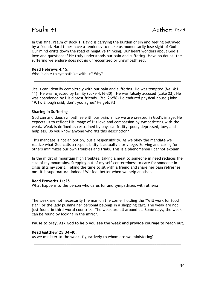In this final Psalm of Book 1, David is carrying the burden of sin and feeling betrayed by a friend. Hard times have a tendency to make us momentarily lose sight of God. Our mind drifts down the road of negative thinking. Our heart wonders about God's love and questions if He truly understands our pain and suffering. Have no doubt—the suffering we endure does not go unrecognized or unsympathized.

## **Read Hebrews 4:15.**

Who is able to sympathize with us? Why?

Jesus can identify completely with our pain and suffering. He was tempted (Mt. 4:1- 11). He was rejected by family (Luke 4:16-30). He was falsely accused (Luke 23). He was abandoned by His closest friends. (Mt. 26:56) He endured physical abuse (John 19:1). Enough said, don't you agree? He gets it!

\_\_\_\_\_\_\_\_\_\_\_\_\_\_\_\_\_\_\_\_\_\_\_\_\_\_\_\_\_\_\_\_\_\_\_\_\_\_\_\_\_\_\_\_\_\_\_\_\_\_\_\_\_\_\_\_\_\_\_\_\_\_\_\_\_\_\_\_\_\_\_\_

## **Sharing in Suffering**

God can and does sympathize with our pain. Since we are created in God's image, He expects us to reflect His image of His love and compassion by sympathizing with the weak. Weak is defined as restrained by physical frailty, poor, depressed, low, and helpless. Do you know anyone who fits this description?

This mandate is not an option, but a responsibility. As we obey the mandate we realize what God calls a responsibility is actually a privilege. Serving and caring for others minimizes our own troubles and trials. This is a phenomenon I cannot explain.

In the midst of mountain high troubles, taking a meal to someone in need reduces the size of my mountains. Stepping out of my self-centeredness to care for someone in crisis lifts my spirit. Taking the time to sit with a friend and share her pain refreshes me. It is supernatural indeed! We feel better when we help another.

## **Read Proverbs 11:25**

What happens to the person who cares for and sympathizes with others?

The weak are not necessarily the man on the corner holding the "Will work for food sign" or the lady pushing her personal belongs in a shopping cart. The weak are not just found in third-world countries. The weak are all around us. Some days, the weak can be found by looking in the mirror.

\_\_\_\_\_\_\_\_\_\_\_\_\_\_\_\_\_\_\_\_\_\_\_\_\_\_\_\_\_\_\_\_\_\_\_\_\_\_\_\_\_\_\_\_\_\_\_\_\_\_\_\_\_\_\_\_\_\_\_\_\_\_\_\_\_\_\_\_\_\_\_\_

**Pause to pray. Ask God to help you see the weak and provide courage to reach out.**

\_\_\_\_\_\_\_\_\_\_\_\_\_\_\_\_\_\_\_\_\_\_\_\_\_\_\_\_\_\_\_\_\_\_\_\_\_\_\_\_\_\_\_\_\_\_\_\_\_\_\_\_\_\_\_\_\_\_\_\_\_\_\_\_\_\_\_\_\_\_\_\_

## **Read Matthew 25:34-40.**

As we minister to the weak, figuratively to whom are we ministering?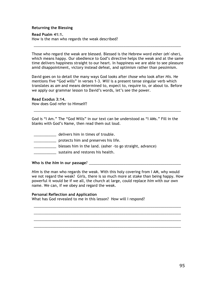## **Returning the Blessing**

## **Read Psalm 41:1.** How is the man who regards the weak described?

Those who regard the weak are blessed. Blessed is the Hebrew word esher (eh'-sher), which means happy. Our obedience to God's directive helps the weak and at the same time delivers happiness straight to our heart. In happiness we are able to see pleasure amid disappointment, victory instead defeat, and optimism rather than pessimism.

\_\_\_\_\_\_\_\_\_\_\_\_\_\_\_\_\_\_\_\_\_\_\_\_\_\_\_\_\_\_\_\_\_\_\_\_\_\_\_\_\_\_\_\_\_\_\_\_\_\_\_\_\_\_\_\_\_\_\_\_\_\_\_\_\_\_\_\_\_\_\_\_

David goes on to detail the many ways God looks after *those* who look after *His*. He mentions five "God wills" in verses 1-3. *Will* is a present tense singular verb which translates as *am* and means determined to, expect to, require to, or about to. Before we apply our grammar lesson to David's words, let's see the power.

### **Read Exodus 3:14.**

How does God refer to Himself?

God is "I Am." The "God Wills" in our text can be understood as "I AMs." Fill in the blanks with God's Name, then read them out loud.

\_\_\_\_\_\_\_\_\_\_\_\_\_\_\_\_\_\_\_\_\_\_\_\_\_\_\_\_\_\_\_\_\_\_\_\_\_\_\_\_\_\_\_\_\_\_\_\_\_\_\_\_\_\_\_\_\_\_\_\_\_\_\_\_\_\_\_\_\_\_\_\_

\_\_\_\_\_\_\_\_\_\_\_ delivers him in times of trouble. \_\_\_\_\_\_\_\_\_\_\_ protects him and preserves his life. \_\_\_\_\_\_\_\_\_\_\_ blesses him in the land. (asher -to go straight, advance) **\_\_\_\_\_\_\_** sustains and restores his health.

## **Who is the** *him* **in our passage**? \_\_\_\_\_\_\_\_\_\_\_\_\_\_\_\_\_\_\_\_\_\_\_\_\_\_\_\_\_\_\_\_\_\_\_\_\_\_\_\_\_\_\_\_\_

*Him* is the man who regards the weak. With this holy covering from I AM, why would we not regard the weak? Girls, there is so much more at stake than being happy. How powerful it would be if we all, the church at large, could replace *him* with our own name. We can, if we obey and regard the weak.

\_\_\_\_\_\_\_\_\_\_\_\_\_\_\_\_\_\_\_\_\_\_\_\_\_\_\_\_\_\_\_\_\_\_\_\_\_\_\_\_\_\_\_\_\_\_\_\_\_\_\_\_\_\_\_\_\_\_\_\_\_\_\_\_\_\_\_\_\_\_\_\_ \_\_\_\_\_\_\_\_\_\_\_\_\_\_\_\_\_\_\_\_\_\_\_\_\_\_\_\_\_\_\_\_\_\_\_\_\_\_\_\_\_\_\_\_\_\_\_\_\_\_\_\_\_\_\_\_\_\_\_\_\_\_\_\_\_\_\_\_\_\_\_\_ \_\_\_\_\_\_\_\_\_\_\_\_\_\_\_\_\_\_\_\_\_\_\_\_\_\_\_\_\_\_\_\_\_\_\_\_\_\_\_\_\_\_\_\_\_\_\_\_\_\_\_\_\_\_\_\_\_\_\_\_\_\_\_\_\_\_\_\_\_\_\_\_ \_\_\_\_\_\_\_\_\_\_\_\_\_\_\_\_\_\_\_\_\_\_\_\_\_\_\_\_\_\_\_\_\_\_\_\_\_\_\_\_\_\_\_\_\_\_\_\_\_\_\_\_\_\_\_\_\_\_\_\_\_\_\_\_\_\_\_\_\_\_\_\_

## **Personal Reflection and Application**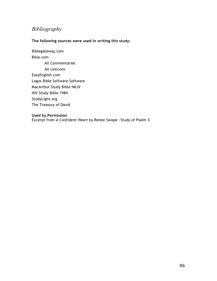# *Bibliography*

## **The following sources were used in writing this study:**

Biblegateway.com Bilos.com All Commentaries All Lexicons EasyEnglish.com Logos Bible Software Software MacArthur Study Bible NKJV NIV Study Bible 1984 StudyLight.org The Treasury of David

## **Used by Permission**

Excerpt from *A Confident Heart* by Renee Swope ~Study of Psalm 3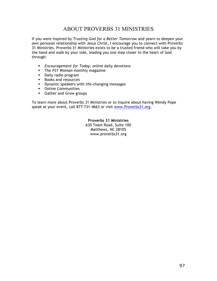# ABOUT PROVERBS 31 MINISTRIES

If you were inspired by *Trusting God for a Better Tomorrow* and yearn to deepen your own personal relationship with Jesus Christ, I encourage you to connect with Proverbs 31 Ministries. Proverbs 31 Ministries exists to be a trusted friend who will take you by the hand and walk by your side, leading you one step closer to the heart of God through:

- *Encouragement for Today*, online daily devotions
- The *P31 Woman* monthly magazine
- **•** Daily radio program
- **Books and resources**
- Dynamic speakers with life-changing messages
- **•** Online Communities
- Gather and Grow groups

To learn more about Proverbs 31 Ministries or to inquire about having Wendy Pope speak at your event, call 877-731-4663 or visit www.Proverbs31.org.

> **Proverbs 31 Ministries** 630 Team Road, Suite 100 Matthews, NC 28105 www.proverbs31.org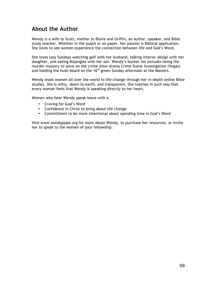# **About the Author**

Wendy is a wife to Scott, mother to Blaire and Griffin, an author, speaker, and Bible study teacher. Whether in the pulpit or on paper, her passion is Biblical application. She loves to see women experience the connection between life and God's Word.

She loves lazy Sundays watching golf with her husband, talking interior design with her daughter, and eating Bojangles with her son. Wendy's bucket list includes being the murder mystery to solve on the crime show drama Crime Scene Investigation (Vegas) and holding the hush-board on the  $16<sup>th</sup>$  green Sunday afternoon at the Masters.

Wendy leads women all over the world to life-change through her in-depth online Bible studies. She is witty, down-to-earth, and transparent. She teaches in such way that every woman feels that Wendy is speaking directly to her heart.

Women who hear Wendy speak leave with a

- Craving for God's Word
- Confidence in Christ to bring about life change
- Commitment to be more intentional about spending time in God's Word

Visit www.wendypope.org for more about Wendy, to purchase her resources, or invite her to speak to the women of your fellowship.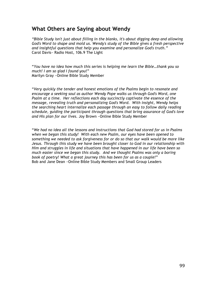# **What Others are Saying about Wendy**

*"Bible Study isn't just about filling in the blanks, it's about digging deep and allowing God's Word to shape and mold us. Wendy's study of the Bible gives a fresh perspective and insightful questions that help you examine and personalize God's truth."* Carol Davis~ Radio Host, 106.9 The Light

"*You have no idea how much this series is helping me learn the Bible…thank you so much! I am so glad I found you*!" Marilyn Gray ~Online Bible Study Member

"*Very quickly the tender and honest emotions of the Psalms begin to resonate and encourage a seeking soul as author Wendy Pope walks us through God's Word, one Psalm at a time. Her reflections each day succinctly captivate the essence of the message, revealing truth and personalizing God's Word. With insight, Wendy helps the searching heart internalize each passage through an easy to follow daily reading schedule, guiding the participant through questions that bring assurance of God's love and His plan for our lives*. Joy Brown ~Online Bible Study Member

"*We had no idea all the lessons and instructions that God had stored for us in Psalms when we began this study! With each new Psalm, our eyes have been opened to something we needed to ask forgiveness for or do so that our walk would be more like Jesus. Through this study we have been brought closer to God in our relationship with Him and struggles in life and situations that have happened in our life have been so much easier since we began this study. And we thought Psalms was only a boring book of poetry! What a great journey this has been for us as a couple!*" Bob and Jane Dean ~Online Bible Study Members and Small Group Leaders